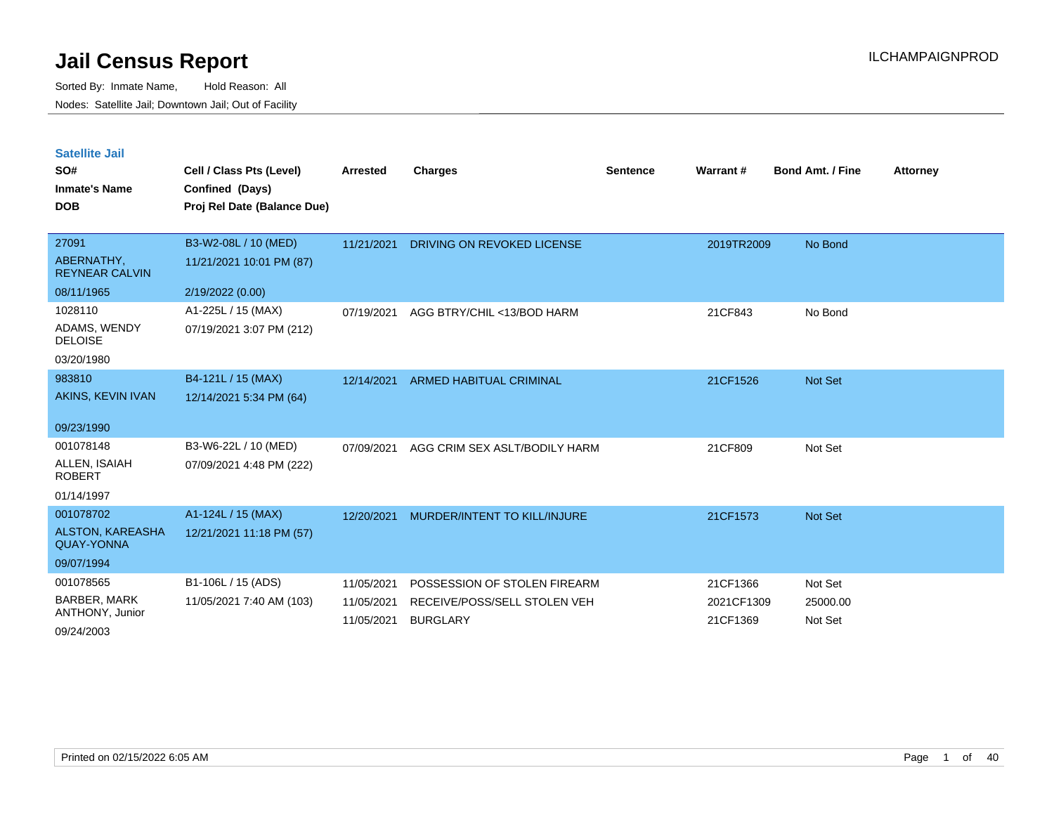| <b>Satellite Jail</b> |  |
|-----------------------|--|
|                       |  |

| SO#<br><b>Inmate's Name</b><br><b>DOB</b> | Cell / Class Pts (Level)<br>Confined (Days)<br>Proj Rel Date (Balance Due) | <b>Arrested</b>          | Charges                                         | <b>Sentence</b> | Warrant#               | <b>Bond Amt. / Fine</b> | <b>Attorney</b> |
|-------------------------------------------|----------------------------------------------------------------------------|--------------------------|-------------------------------------------------|-----------------|------------------------|-------------------------|-----------------|
| 27091                                     | B3-W2-08L / 10 (MED)                                                       | 11/21/2021               | DRIVING ON REVOKED LICENSE                      |                 | 2019TR2009             | No Bond                 |                 |
| ABERNATHY,<br><b>REYNEAR CALVIN</b>       | 11/21/2021 10:01 PM (87)                                                   |                          |                                                 |                 |                        |                         |                 |
| 08/11/1965                                | 2/19/2022 (0.00)                                                           |                          |                                                 |                 |                        |                         |                 |
| 1028110                                   | A1-225L / 15 (MAX)                                                         | 07/19/2021               | AGG BTRY/CHIL <13/BOD HARM                      |                 | 21CF843                | No Bond                 |                 |
| ADAMS, WENDY<br><b>DELOISE</b>            | 07/19/2021 3:07 PM (212)                                                   |                          |                                                 |                 |                        |                         |                 |
| 03/20/1980                                |                                                                            |                          |                                                 |                 |                        |                         |                 |
| 983810                                    | B4-121L / 15 (MAX)                                                         | 12/14/2021               | <b>ARMED HABITUAL CRIMINAL</b>                  |                 | 21CF1526               | Not Set                 |                 |
| AKINS, KEVIN IVAN                         | 12/14/2021 5:34 PM (64)                                                    |                          |                                                 |                 |                        |                         |                 |
| 09/23/1990                                |                                                                            |                          |                                                 |                 |                        |                         |                 |
| 001078148                                 | B3-W6-22L / 10 (MED)                                                       | 07/09/2021               | AGG CRIM SEX ASLT/BODILY HARM                   |                 | 21CF809                | Not Set                 |                 |
| ALLEN, ISAIAH<br><b>ROBERT</b>            | 07/09/2021 4:48 PM (222)                                                   |                          |                                                 |                 |                        |                         |                 |
| 01/14/1997                                |                                                                            |                          |                                                 |                 |                        |                         |                 |
| 001078702                                 | A1-124L / 15 (MAX)                                                         | 12/20/2021               | MURDER/INTENT TO KILL/INJURE                    |                 | 21CF1573               | Not Set                 |                 |
| ALSTON, KAREASHA<br><b>QUAY-YONNA</b>     | 12/21/2021 11:18 PM (57)                                                   |                          |                                                 |                 |                        |                         |                 |
| 09/07/1994                                |                                                                            |                          |                                                 |                 |                        |                         |                 |
| 001078565                                 | B1-106L / 15 (ADS)                                                         | 11/05/2021               | POSSESSION OF STOLEN FIREARM                    |                 | 21CF1366               | Not Set                 |                 |
| <b>BARBER, MARK</b><br>ANTHONY, Junior    | 11/05/2021 7:40 AM (103)                                                   | 11/05/2021<br>11/05/2021 | RECEIVE/POSS/SELL STOLEN VEH<br><b>BURGLARY</b> |                 | 2021CF1309<br>21CF1369 | 25000.00<br>Not Set     |                 |
| 09/24/2003                                |                                                                            |                          |                                                 |                 |                        |                         |                 |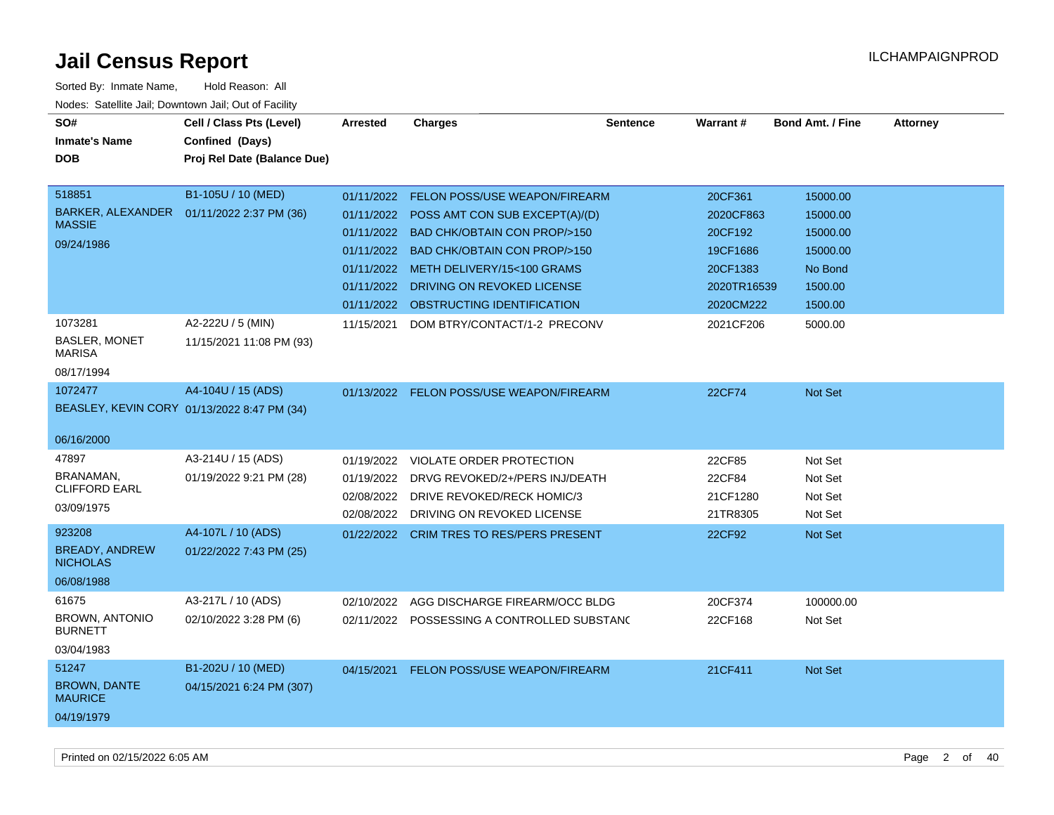| SO#<br><b>Inmate's Name</b><br><b>DOB</b>                                            | Cell / Class Pts (Level)<br>Confined (Days)<br>Proj Rel Date (Balance Due) | <b>Arrested</b>                                                                  | <b>Charges</b>                                                                                                                                                                                                                                        | <b>Sentence</b> | <b>Warrant#</b>                                                                     | <b>Bond Amt. / Fine</b>                                                       | <b>Attorney</b> |
|--------------------------------------------------------------------------------------|----------------------------------------------------------------------------|----------------------------------------------------------------------------------|-------------------------------------------------------------------------------------------------------------------------------------------------------------------------------------------------------------------------------------------------------|-----------------|-------------------------------------------------------------------------------------|-------------------------------------------------------------------------------|-----------------|
| 518851<br>BARKER, ALEXANDER<br><b>MASSIE</b><br>09/24/1986                           | B1-105U / 10 (MED)<br>01/11/2022 2:37 PM (36)                              | 01/11/2022<br>01/11/2022<br>01/11/2022<br>01/11/2022<br>01/11/2022<br>01/11/2022 | <b>FELON POSS/USE WEAPON/FIREARM</b><br>POSS AMT CON SUB EXCEPT(A)/(D)<br><b>BAD CHK/OBTAIN CON PROP/&gt;150</b><br>01/11/2022 BAD CHK/OBTAIN CON PROP/>150<br>METH DELIVERY/15<100 GRAMS<br>DRIVING ON REVOKED LICENSE<br>OBSTRUCTING IDENTIFICATION |                 | 20CF361<br>2020CF863<br>20CF192<br>19CF1686<br>20CF1383<br>2020TR16539<br>2020CM222 | 15000.00<br>15000.00<br>15000.00<br>15000.00<br>No Bond<br>1500.00<br>1500.00 |                 |
| 1073281<br><b>BASLER, MONET</b><br><b>MARISA</b><br>08/17/1994                       | A2-222U / 5 (MIN)<br>11/15/2021 11:08 PM (93)                              | 11/15/2021                                                                       | DOM BTRY/CONTACT/1-2 PRECONV                                                                                                                                                                                                                          |                 | 2021CF206                                                                           | 5000.00                                                                       |                 |
| 1072477<br>06/16/2000                                                                | A4-104U / 15 (ADS)<br>BEASLEY, KEVIN CORY 01/13/2022 8:47 PM (34)          |                                                                                  | 01/13/2022 FELON POSS/USE WEAPON/FIREARM                                                                                                                                                                                                              |                 | 22CF74                                                                              | Not Set                                                                       |                 |
| 47897<br>BRANAMAN,<br><b>CLIFFORD EARL</b><br>03/09/1975<br>923208<br>BREADY, ANDREW | A3-214U / 15 (ADS)<br>01/19/2022 9:21 PM (28)<br>A4-107L / 10 (ADS)        | 01/19/2022<br>01/19/2022<br>02/08/2022<br>02/08/2022<br>01/22/2022               | <b>VIOLATE ORDER PROTECTION</b><br>DRVG REVOKED/2+/PERS INJ/DEATH<br>DRIVE REVOKED/RECK HOMIC/3<br>DRIVING ON REVOKED LICENSE<br><b>CRIM TRES TO RES/PERS PRESENT</b>                                                                                 |                 | 22CF85<br>22CF84<br>21CF1280<br>21TR8305<br>22CF92                                  | Not Set<br>Not Set<br>Not Set<br>Not Set<br>Not Set                           |                 |
| <b>NICHOLAS</b><br>06/08/1988                                                        | 01/22/2022 7:43 PM (25)                                                    |                                                                                  |                                                                                                                                                                                                                                                       |                 |                                                                                     |                                                                               |                 |
| 61675<br><b>BROWN, ANTONIO</b><br><b>BURNETT</b><br>03/04/1983                       | A3-217L / 10 (ADS)<br>02/10/2022 3:28 PM (6)                               | 02/10/2022<br>02/11/2022                                                         | AGG DISCHARGE FIREARM/OCC BLDG<br>POSSESSING A CONTROLLED SUBSTAND                                                                                                                                                                                    |                 | 20CF374<br>22CF168                                                                  | 100000.00<br>Not Set                                                          |                 |
| 51247<br><b>BROWN, DANTE</b><br><b>MAURICE</b><br>04/19/1979                         | B1-202U / 10 (MED)<br>04/15/2021 6:24 PM (307)                             | 04/15/2021                                                                       | FELON POSS/USE WEAPON/FIREARM                                                                                                                                                                                                                         |                 | 21CF411                                                                             | <b>Not Set</b>                                                                |                 |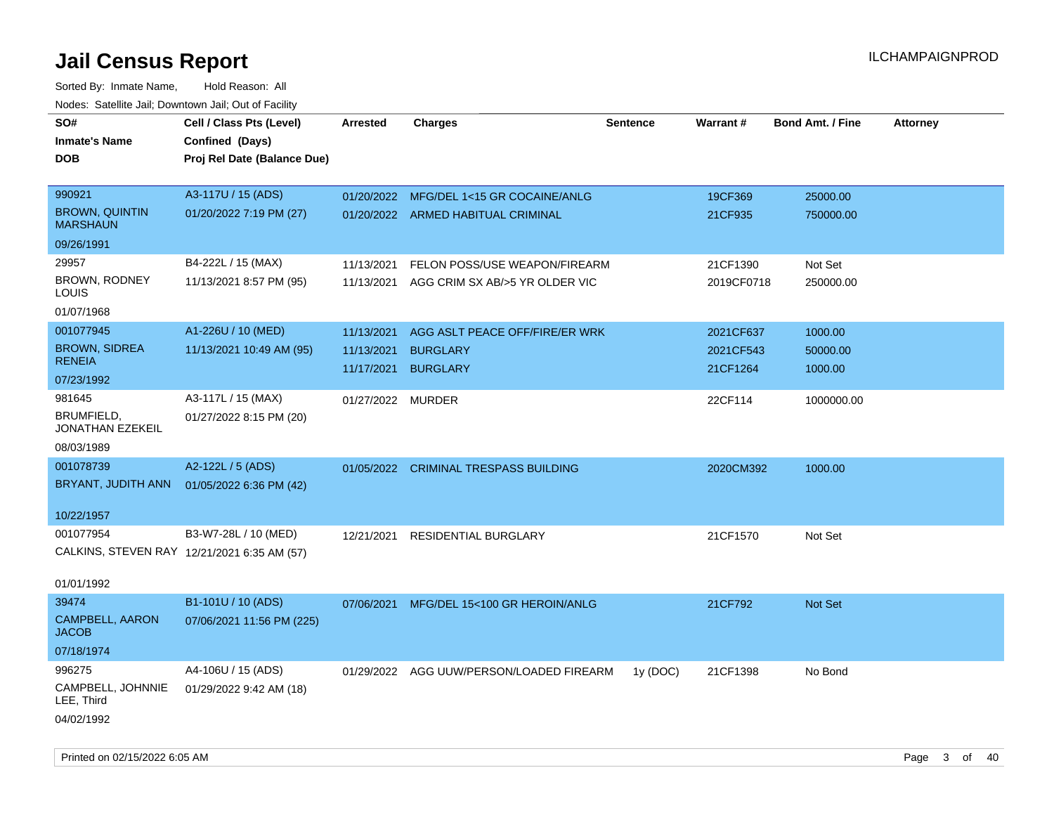| SO#<br><b>Inmate's Name</b><br><b>DOB</b>   | Cell / Class Pts (Level)<br>Confined (Days)<br>Proj Rel Date (Balance Due) | <b>Arrested</b>   | <b>Charges</b>                           | <b>Sentence</b> | Warrant#   | <b>Bond Amt. / Fine</b> | <b>Attorney</b> |
|---------------------------------------------|----------------------------------------------------------------------------|-------------------|------------------------------------------|-----------------|------------|-------------------------|-----------------|
| 990921                                      | A3-117U / 15 (ADS)                                                         | 01/20/2022        | MFG/DEL 1<15 GR COCAINE/ANLG             |                 | 19CF369    | 25000.00                |                 |
| <b>BROWN, QUINTIN</b><br><b>MARSHAUN</b>    | 01/20/2022 7:19 PM (27)                                                    |                   | 01/20/2022 ARMED HABITUAL CRIMINAL       |                 | 21CF935    | 750000.00               |                 |
| 09/26/1991                                  |                                                                            |                   |                                          |                 |            |                         |                 |
| 29957                                       | B4-222L / 15 (MAX)                                                         | 11/13/2021        | FELON POSS/USE WEAPON/FIREARM            |                 | 21CF1390   | Not Set                 |                 |
| <b>BROWN, RODNEY</b><br>LOUIS               | 11/13/2021 8:57 PM (95)                                                    | 11/13/2021        | AGG CRIM SX AB/>5 YR OLDER VIC           |                 | 2019CF0718 | 250000.00               |                 |
| 01/07/1968                                  |                                                                            |                   |                                          |                 |            |                         |                 |
| 001077945                                   | A1-226U / 10 (MED)                                                         | 11/13/2021        | AGG ASLT PEACE OFF/FIRE/ER WRK           |                 | 2021CF637  | 1000.00                 |                 |
| <b>BROWN, SIDREA</b>                        | 11/13/2021 10:49 AM (95)                                                   | 11/13/2021        | <b>BURGLARY</b>                          |                 | 2021CF543  | 50000.00                |                 |
| <b>RENEIA</b>                               |                                                                            | 11/17/2021        | <b>BURGLARY</b>                          |                 | 21CF1264   | 1000.00                 |                 |
| 07/23/1992                                  |                                                                            |                   |                                          |                 |            |                         |                 |
| 981645<br>BRUMFIELD,<br>JONATHAN EZEKEIL    | A3-117L / 15 (MAX)<br>01/27/2022 8:15 PM (20)                              | 01/27/2022 MURDER |                                          |                 | 22CF114    | 1000000.00              |                 |
| 08/03/1989                                  |                                                                            |                   |                                          |                 |            |                         |                 |
| 001078739                                   | A2-122L / 5 (ADS)                                                          |                   | 01/05/2022 CRIMINAL TRESPASS BUILDING    |                 | 2020CM392  | 1000.00                 |                 |
| BRYANT, JUDITH ANN                          | 01/05/2022 6:36 PM (42)                                                    |                   |                                          |                 |            |                         |                 |
| 10/22/1957                                  |                                                                            |                   |                                          |                 |            |                         |                 |
| 001077954                                   | B3-W7-28L / 10 (MED)                                                       | 12/21/2021        | <b>RESIDENTIAL BURGLARY</b>              |                 | 21CF1570   | Not Set                 |                 |
| CALKINS, STEVEN RAY 12/21/2021 6:35 AM (57) |                                                                            |                   |                                          |                 |            |                         |                 |
| 01/01/1992                                  |                                                                            |                   |                                          |                 |            |                         |                 |
| 39474                                       | B1-101U / 10 (ADS)                                                         | 07/06/2021        | MFG/DEL 15<100 GR HEROIN/ANLG            |                 | 21CF792    | Not Set                 |                 |
| CAMPBELL, AARON<br><b>JACOB</b>             | 07/06/2021 11:56 PM (225)                                                  |                   |                                          |                 |            |                         |                 |
| 07/18/1974                                  |                                                                            |                   |                                          |                 |            |                         |                 |
| 996275                                      | A4-106U / 15 (ADS)                                                         |                   | 01/29/2022 AGG UUW/PERSON/LOADED FIREARM | 1y (DOC)        | 21CF1398   | No Bond                 |                 |
| CAMPBELL, JOHNNIE<br>LEE, Third             | 01/29/2022 9:42 AM (18)                                                    |                   |                                          |                 |            |                         |                 |
| 04/02/1992                                  |                                                                            |                   |                                          |                 |            |                         |                 |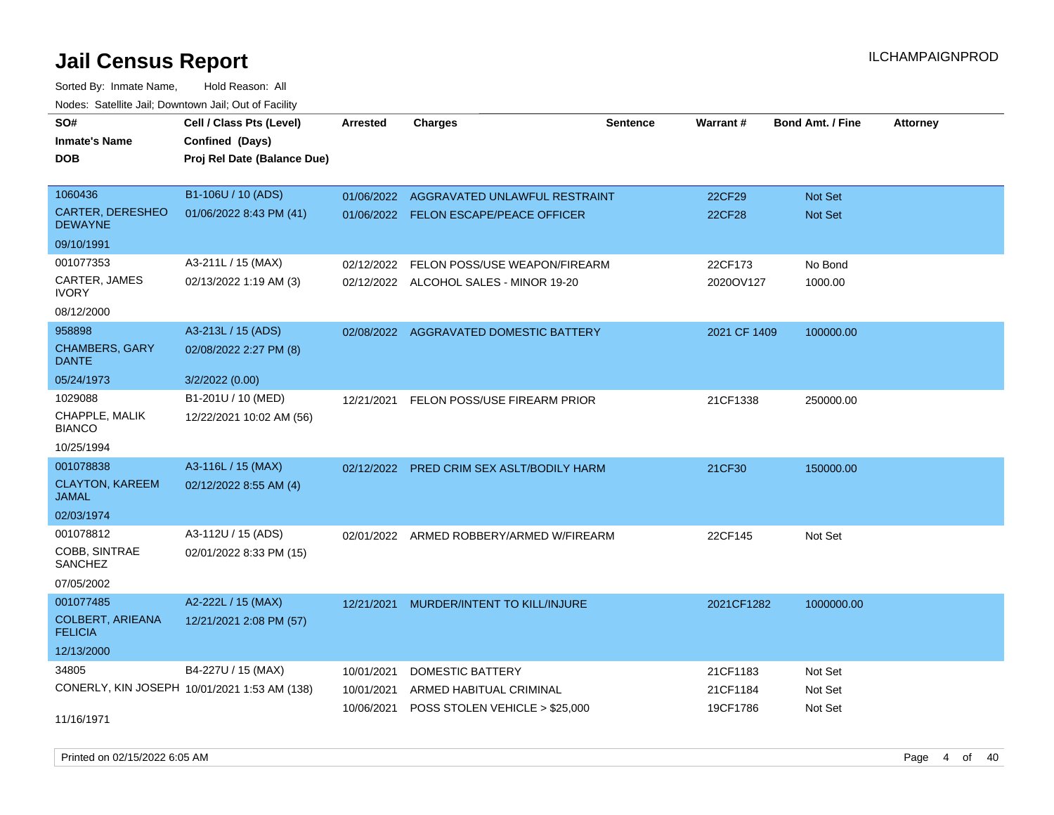Sorted By: Inmate Name, Hold Reason: All

| Nodes: Satellite Jail; Downtown Jail; Out of Facility |                                              |                 |                                           |                 |              |                         |                 |
|-------------------------------------------------------|----------------------------------------------|-----------------|-------------------------------------------|-----------------|--------------|-------------------------|-----------------|
| SO#                                                   | Cell / Class Pts (Level)                     | <b>Arrested</b> | <b>Charges</b>                            | <b>Sentence</b> | Warrant#     | <b>Bond Amt. / Fine</b> | <b>Attorney</b> |
| <b>Inmate's Name</b>                                  | Confined (Days)                              |                 |                                           |                 |              |                         |                 |
| <b>DOB</b>                                            | Proj Rel Date (Balance Due)                  |                 |                                           |                 |              |                         |                 |
|                                                       |                                              |                 |                                           |                 |              |                         |                 |
| 1060436                                               | B1-106U / 10 (ADS)                           | 01/06/2022      | AGGRAVATED UNLAWFUL RESTRAINT             |                 | 22CF29       | <b>Not Set</b>          |                 |
| <b>CARTER, DERESHEO</b><br><b>DEWAYNE</b>             | 01/06/2022 8:43 PM (41)                      |                 | 01/06/2022 FELON ESCAPE/PEACE OFFICER     |                 | 22CF28       | Not Set                 |                 |
| 09/10/1991                                            |                                              |                 |                                           |                 |              |                         |                 |
| 001077353                                             | A3-211L / 15 (MAX)                           | 02/12/2022      | FELON POSS/USE WEAPON/FIREARM             |                 | 22CF173      | No Bond                 |                 |
| CARTER, JAMES<br><b>IVORY</b>                         | 02/13/2022 1:19 AM (3)                       |                 | 02/12/2022 ALCOHOL SALES - MINOR 19-20    |                 | 2020OV127    | 1000.00                 |                 |
| 08/12/2000                                            |                                              |                 |                                           |                 |              |                         |                 |
| 958898                                                | A3-213L / 15 (ADS)                           |                 | 02/08/2022 AGGRAVATED DOMESTIC BATTERY    |                 | 2021 CF 1409 | 100000.00               |                 |
| <b>CHAMBERS, GARY</b><br><b>DANTE</b>                 | 02/08/2022 2:27 PM (8)                       |                 |                                           |                 |              |                         |                 |
| 05/24/1973                                            | 3/2/2022 (0.00)                              |                 |                                           |                 |              |                         |                 |
| 1029088                                               | B1-201U / 10 (MED)                           | 12/21/2021      | <b>FELON POSS/USE FIREARM PRIOR</b>       |                 | 21CF1338     | 250000.00               |                 |
| CHAPPLE, MALIK<br><b>BIANCO</b>                       | 12/22/2021 10:02 AM (56)                     |                 |                                           |                 |              |                         |                 |
| 10/25/1994                                            |                                              |                 |                                           |                 |              |                         |                 |
| 001078838                                             | A3-116L / 15 (MAX)                           |                 | 02/12/2022 PRED CRIM SEX ASLT/BODILY HARM |                 | 21CF30       | 150000.00               |                 |
| <b>CLAYTON, KAREEM</b><br><b>JAMAL</b>                | 02/12/2022 8:55 AM (4)                       |                 |                                           |                 |              |                         |                 |
| 02/03/1974                                            |                                              |                 |                                           |                 |              |                         |                 |
| 001078812                                             | A3-112U / 15 (ADS)                           |                 | 02/01/2022 ARMED ROBBERY/ARMED W/FIREARM  |                 | 22CF145      | Not Set                 |                 |
| COBB, SINTRAE<br><b>SANCHEZ</b>                       | 02/01/2022 8:33 PM (15)                      |                 |                                           |                 |              |                         |                 |
| 07/05/2002                                            |                                              |                 |                                           |                 |              |                         |                 |
| 001077485                                             | A2-222L / 15 (MAX)                           |                 | 12/21/2021 MURDER/INTENT TO KILL/INJURE   |                 | 2021CF1282   | 1000000.00              |                 |
| <b>COLBERT, ARIEANA</b><br><b>FELICIA</b>             | 12/21/2021 2:08 PM (57)                      |                 |                                           |                 |              |                         |                 |
| 12/13/2000                                            |                                              |                 |                                           |                 |              |                         |                 |
| 34805                                                 | B4-227U / 15 (MAX)                           | 10/01/2021      | DOMESTIC BATTERY                          |                 | 21CF1183     | Not Set                 |                 |
|                                                       | CONERLY, KIN JOSEPH 10/01/2021 1:53 AM (138) | 10/01/2021      | ARMED HABITUAL CRIMINAL                   |                 | 21CF1184     | Not Set                 |                 |
|                                                       |                                              | 10/06/2021      | POSS STOLEN VEHICLE > \$25,000            |                 | 19CF1786     | Not Set                 |                 |
| 11/16/1971                                            |                                              |                 |                                           |                 |              |                         |                 |

Printed on 02/15/2022 6:05 AM Page 4 of 40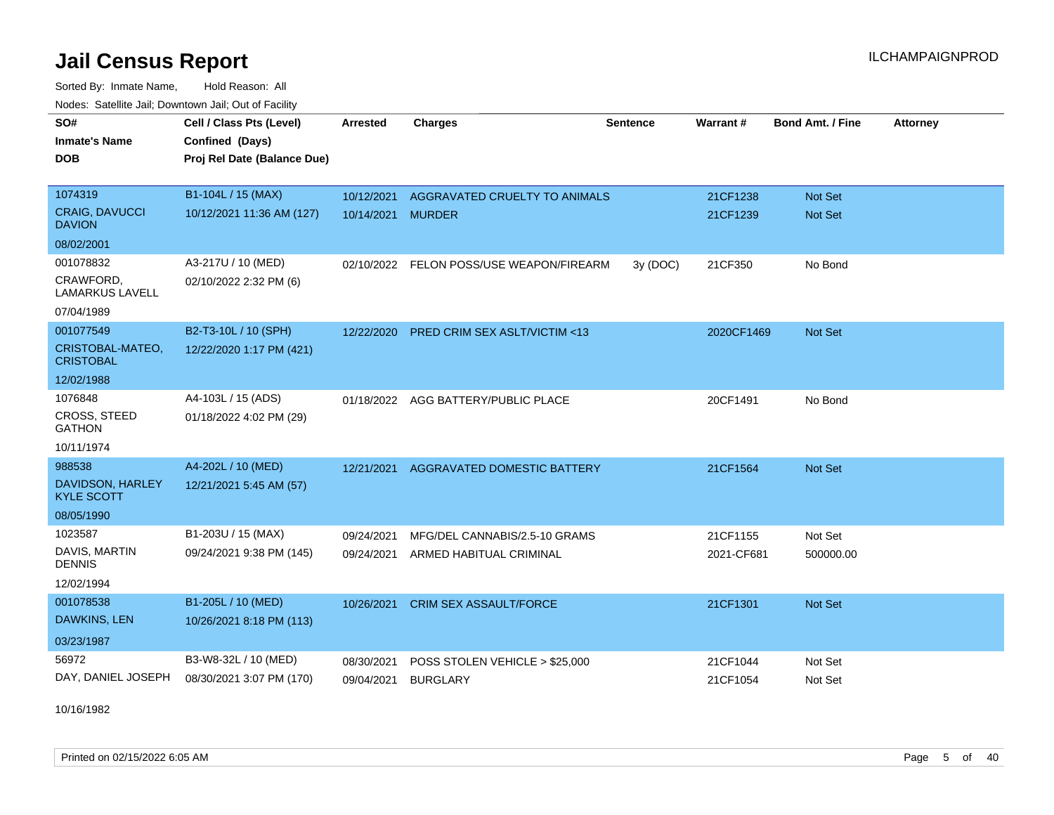Sorted By: Inmate Name, Hold Reason: All Nodes: Satellite Jail; Downtown Jail; Out of Facility

| SO#<br><b>Inmate's Name</b>           | Cell / Class Pts (Level)<br>Confined (Days) | <b>Arrested</b> | <b>Charges</b>                           | <b>Sentence</b> | <b>Warrant#</b> | <b>Bond Amt. / Fine</b> | <b>Attorney</b> |
|---------------------------------------|---------------------------------------------|-----------------|------------------------------------------|-----------------|-----------------|-------------------------|-----------------|
| DOB                                   | Proj Rel Date (Balance Due)                 |                 |                                          |                 |                 |                         |                 |
| 1074319                               | B1-104L / 15 (MAX)                          | 10/12/2021      | AGGRAVATED CRUELTY TO ANIMALS            |                 | 21CF1238        | Not Set                 |                 |
| CRAIG, DAVUCCI<br><b>DAVION</b>       | 10/12/2021 11:36 AM (127)                   | 10/14/2021      | <b>MURDER</b>                            |                 | 21CF1239        | Not Set                 |                 |
| 08/02/2001                            |                                             |                 |                                          |                 |                 |                         |                 |
| 001078832                             | A3-217U / 10 (MED)                          |                 | 02/10/2022 FELON POSS/USE WEAPON/FIREARM | 3y (DOC)        | 21CF350         | No Bond                 |                 |
| CRAWFORD.<br><b>LAMARKUS LAVELL</b>   | 02/10/2022 2:32 PM (6)                      |                 |                                          |                 |                 |                         |                 |
| 07/04/1989                            |                                             |                 |                                          |                 |                 |                         |                 |
| 001077549                             | B2-T3-10L / 10 (SPH)                        | 12/22/2020      | <b>PRED CRIM SEX ASLT/VICTIM &lt;13</b>  |                 | 2020CF1469      | Not Set                 |                 |
| CRISTOBAL-MATEO,<br><b>CRISTOBAL</b>  | 12/22/2020 1:17 PM (421)                    |                 |                                          |                 |                 |                         |                 |
| 12/02/1988                            |                                             |                 |                                          |                 |                 |                         |                 |
| 1076848                               | A4-103L / 15 (ADS)                          |                 | 01/18/2022 AGG BATTERY/PUBLIC PLACE      |                 | 20CF1491        | No Bond                 |                 |
| <b>CROSS, STEED</b><br><b>GATHON</b>  | 01/18/2022 4:02 PM (29)                     |                 |                                          |                 |                 |                         |                 |
| 10/11/1974                            |                                             |                 |                                          |                 |                 |                         |                 |
| 988538                                | A4-202L / 10 (MED)                          | 12/21/2021      | <b>AGGRAVATED DOMESTIC BATTERY</b>       |                 | 21CF1564        | Not Set                 |                 |
| DAVIDSON, HARLEY<br><b>KYLE SCOTT</b> | 12/21/2021 5:45 AM (57)                     |                 |                                          |                 |                 |                         |                 |
| 08/05/1990                            |                                             |                 |                                          |                 |                 |                         |                 |
| 1023587                               | B1-203U / 15 (MAX)                          | 09/24/2021      | MFG/DEL CANNABIS/2.5-10 GRAMS            |                 | 21CF1155        | Not Set                 |                 |
| DAVIS, MARTIN<br><b>DENNIS</b>        | 09/24/2021 9:38 PM (145)                    | 09/24/2021      | ARMED HABITUAL CRIMINAL                  |                 | 2021-CF681      | 500000.00               |                 |
| 12/02/1994                            |                                             |                 |                                          |                 |                 |                         |                 |
| 001078538                             | B1-205L / 10 (MED)                          | 10/26/2021      | <b>CRIM SEX ASSAULT/FORCE</b>            |                 | 21CF1301        | Not Set                 |                 |
| DAWKINS, LEN                          | 10/26/2021 8:18 PM (113)                    |                 |                                          |                 |                 |                         |                 |
| 03/23/1987                            |                                             |                 |                                          |                 |                 |                         |                 |
| 56972                                 | B3-W8-32L / 10 (MED)                        | 08/30/2021      | POSS STOLEN VEHICLE > \$25,000           |                 | 21CF1044        | Not Set                 |                 |
| DAY, DANIEL JOSEPH                    | 08/30/2021 3:07 PM (170)                    | 09/04/2021      | <b>BURGLARY</b>                          |                 | 21CF1054        | Not Set                 |                 |

10/16/1982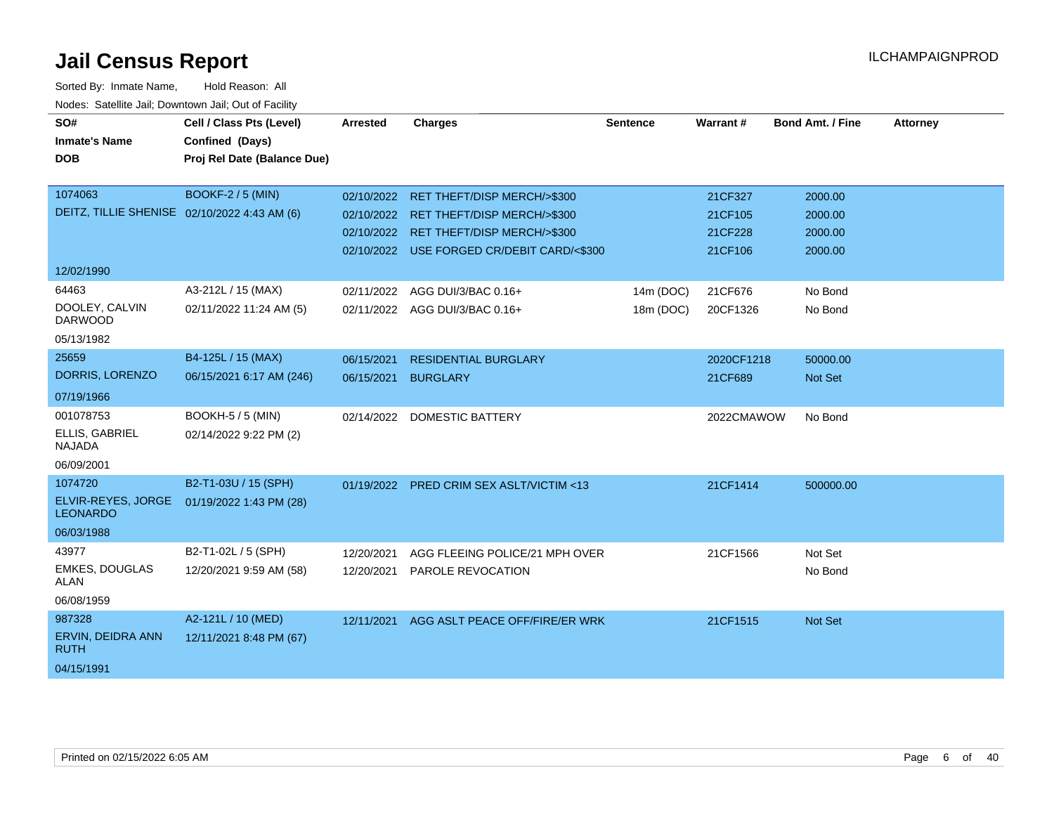| SO#<br><b>Inmate's Name</b><br><b>DOB</b>                             | Cell / Class Pts (Level)<br>Confined (Days)<br>Proj Rel Date (Balance Due) | <b>Arrested</b>          | <b>Charges</b>                                                                                                                                                           | <b>Sentence</b>        | Warrant#                                 | Bond Amt. / Fine                         | <b>Attorney</b> |
|-----------------------------------------------------------------------|----------------------------------------------------------------------------|--------------------------|--------------------------------------------------------------------------------------------------------------------------------------------------------------------------|------------------------|------------------------------------------|------------------------------------------|-----------------|
| 1074063<br>DEITZ, TILLIE SHENISE 02/10/2022 4:43 AM (6)               | <b>BOOKF-2 / 5 (MIN)</b>                                                   |                          | 02/10/2022 RET THEFT/DISP MERCH/>\$300<br>02/10/2022 RET THEFT/DISP MERCH/>\$300<br>02/10/2022 RET THEFT/DISP MERCH/>\$300<br>02/10/2022 USE FORGED CR/DEBIT CARD/<\$300 |                        | 21CF327<br>21CF105<br>21CF228<br>21CF106 | 2000.00<br>2000.00<br>2000.00<br>2000.00 |                 |
| 12/02/1990<br>64463<br>DOOLEY, CALVIN<br><b>DARWOOD</b><br>05/13/1982 | A3-212L / 15 (MAX)<br>02/11/2022 11:24 AM (5)                              | 02/11/2022               | AGG DUI/3/BAC 0.16+<br>02/11/2022 AGG DUI/3/BAC 0.16+                                                                                                                    | 14m (DOC)<br>18m (DOC) | 21CF676<br>20CF1326                      | No Bond<br>No Bond                       |                 |
| 25659<br>DORRIS, LORENZO<br>07/19/1966                                | B4-125L / 15 (MAX)<br>06/15/2021 6:17 AM (246)                             | 06/15/2021<br>06/15/2021 | <b>RESIDENTIAL BURGLARY</b><br><b>BURGLARY</b>                                                                                                                           |                        | 2020CF1218<br>21CF689                    | 50000.00<br>Not Set                      |                 |
| 001078753<br>ELLIS, GABRIEL<br><b>NAJADA</b><br>06/09/2001            | BOOKH-5 / 5 (MIN)<br>02/14/2022 9:22 PM (2)                                | 02/14/2022               | DOMESTIC BATTERY                                                                                                                                                         |                        | 2022CMAWOW                               | No Bond                                  |                 |
| 1074720<br>ELVIR-REYES, JORGE<br><b>LEONARDO</b><br>06/03/1988        | B2-T1-03U / 15 (SPH)<br>01/19/2022 1:43 PM (28)                            |                          | 01/19/2022 PRED CRIM SEX ASLT/VICTIM <13                                                                                                                                 |                        | 21CF1414                                 | 500000.00                                |                 |
| 43977<br><b>EMKES, DOUGLAS</b><br><b>ALAN</b><br>06/08/1959           | B2-T1-02L / 5 (SPH)<br>12/20/2021 9:59 AM (58)                             | 12/20/2021<br>12/20/2021 | AGG FLEEING POLICE/21 MPH OVER<br>PAROLE REVOCATION                                                                                                                      |                        | 21CF1566                                 | Not Set<br>No Bond                       |                 |
| 987328<br>ERVIN, DEIDRA ANN<br><b>RUTH</b><br>04/15/1991              | A2-121L / 10 (MED)<br>12/11/2021 8:48 PM (67)                              | 12/11/2021               | AGG ASLT PEACE OFF/FIRE/ER WRK                                                                                                                                           |                        | 21CF1515                                 | <b>Not Set</b>                           |                 |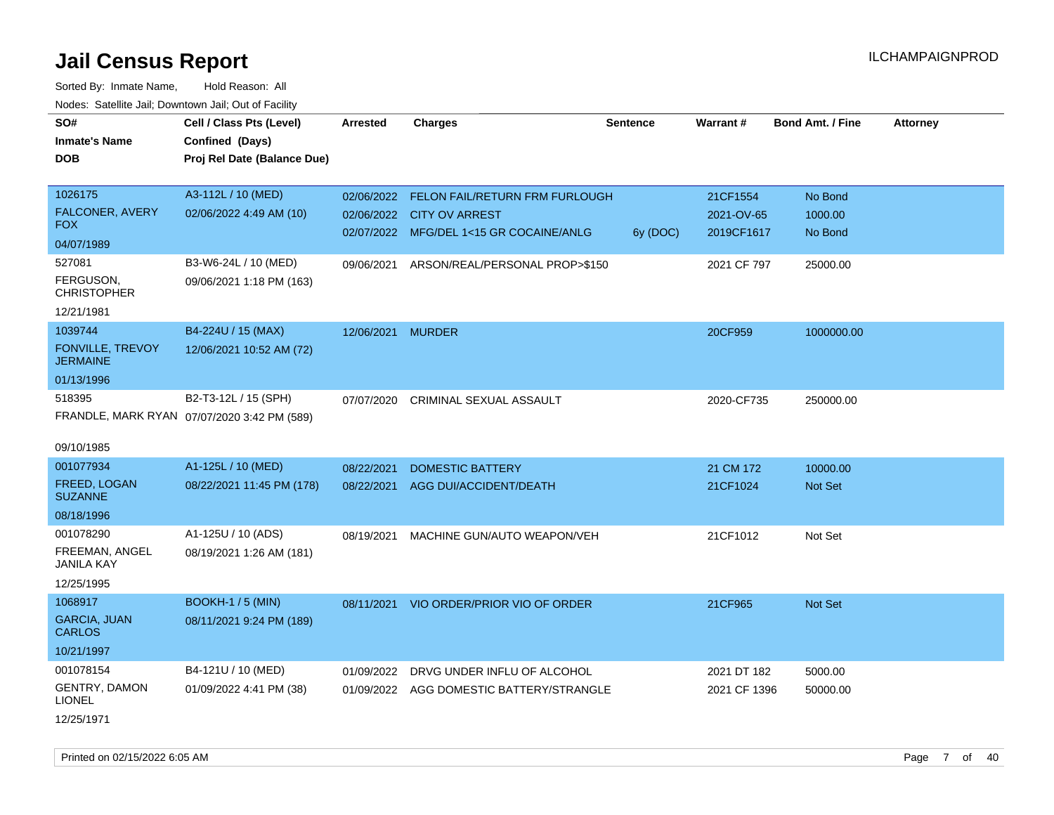| SO#                                   | Cell / Class Pts (Level)                    | <b>Arrested</b>   | <b>Charges</b>                           | <b>Sentence</b> | Warrant#     | <b>Bond Amt. / Fine</b> | <b>Attorney</b> |
|---------------------------------------|---------------------------------------------|-------------------|------------------------------------------|-----------------|--------------|-------------------------|-----------------|
| <b>Inmate's Name</b>                  | Confined (Days)                             |                   |                                          |                 |              |                         |                 |
| <b>DOB</b>                            | Proj Rel Date (Balance Due)                 |                   |                                          |                 |              |                         |                 |
|                                       |                                             |                   |                                          |                 |              |                         |                 |
| 1026175                               | A3-112L / 10 (MED)                          | 02/06/2022        | FELON FAIL/RETURN FRM FURLOUGH           |                 | 21CF1554     | No Bond                 |                 |
| FALCONER, AVERY                       | 02/06/2022 4:49 AM (10)                     |                   | 02/06/2022 CITY OV ARREST                |                 | 2021-OV-65   | 1000.00                 |                 |
| FOX.                                  |                                             |                   | 02/07/2022 MFG/DEL 1<15 GR COCAINE/ANLG  | 6y (DOC)        | 2019CF1617   | No Bond                 |                 |
| 04/07/1989                            |                                             |                   |                                          |                 |              |                         |                 |
| 527081                                | B3-W6-24L / 10 (MED)                        | 09/06/2021        | ARSON/REAL/PERSONAL PROP>\$150           |                 | 2021 CF 797  | 25000.00                |                 |
| FERGUSON,<br><b>CHRISTOPHER</b>       | 09/06/2021 1:18 PM (163)                    |                   |                                          |                 |              |                         |                 |
| 12/21/1981                            |                                             |                   |                                          |                 |              |                         |                 |
| 1039744                               | B4-224U / 15 (MAX)                          | 12/06/2021 MURDER |                                          |                 | 20CF959      | 1000000.00              |                 |
| FONVILLE, TREVOY<br><b>JERMAINE</b>   | 12/06/2021 10:52 AM (72)                    |                   |                                          |                 |              |                         |                 |
| 01/13/1996                            |                                             |                   |                                          |                 |              |                         |                 |
| 518395                                | B2-T3-12L / 15 (SPH)                        | 07/07/2020        | CRIMINAL SEXUAL ASSAULT                  |                 | 2020-CF735   | 250000.00               |                 |
|                                       | FRANDLE, MARK RYAN 07/07/2020 3:42 PM (589) |                   |                                          |                 |              |                         |                 |
|                                       |                                             |                   |                                          |                 |              |                         |                 |
| 09/10/1985                            |                                             |                   |                                          |                 |              |                         |                 |
| 001077934                             | A1-125L / 10 (MED)                          | 08/22/2021        | <b>DOMESTIC BATTERY</b>                  |                 | 21 CM 172    | 10000.00                |                 |
| FREED, LOGAN                          | 08/22/2021 11:45 PM (178)                   | 08/22/2021        | AGG DUI/ACCIDENT/DEATH                   |                 | 21CF1024     | <b>Not Set</b>          |                 |
| <b>SUZANNE</b>                        |                                             |                   |                                          |                 |              |                         |                 |
| 08/18/1996                            |                                             |                   |                                          |                 |              |                         |                 |
| 001078290                             | A1-125U / 10 (ADS)                          | 08/19/2021        | MACHINE GUN/AUTO WEAPON/VEH              |                 | 21CF1012     | Not Set                 |                 |
| FREEMAN, ANGEL<br><b>JANILA KAY</b>   | 08/19/2021 1:26 AM (181)                    |                   |                                          |                 |              |                         |                 |
| 12/25/1995                            |                                             |                   |                                          |                 |              |                         |                 |
| 1068917                               | <b>BOOKH-1/5 (MIN)</b>                      | 08/11/2021        | VIO ORDER/PRIOR VIO OF ORDER             |                 | 21CF965      | Not Set                 |                 |
| <b>GARCIA, JUAN</b><br><b>CARLOS</b>  | 08/11/2021 9:24 PM (189)                    |                   |                                          |                 |              |                         |                 |
| 10/21/1997                            |                                             |                   |                                          |                 |              |                         |                 |
| 001078154                             | B4-121U / 10 (MED)                          | 01/09/2022        | DRVG UNDER INFLU OF ALCOHOL              |                 | 2021 DT 182  | 5000.00                 |                 |
| <b>GENTRY, DAMON</b><br><b>LIONEL</b> | 01/09/2022 4:41 PM (38)                     |                   | 01/09/2022 AGG DOMESTIC BATTERY/STRANGLE |                 | 2021 CF 1396 | 50000.00                |                 |
| 12/25/1971                            |                                             |                   |                                          |                 |              |                         |                 |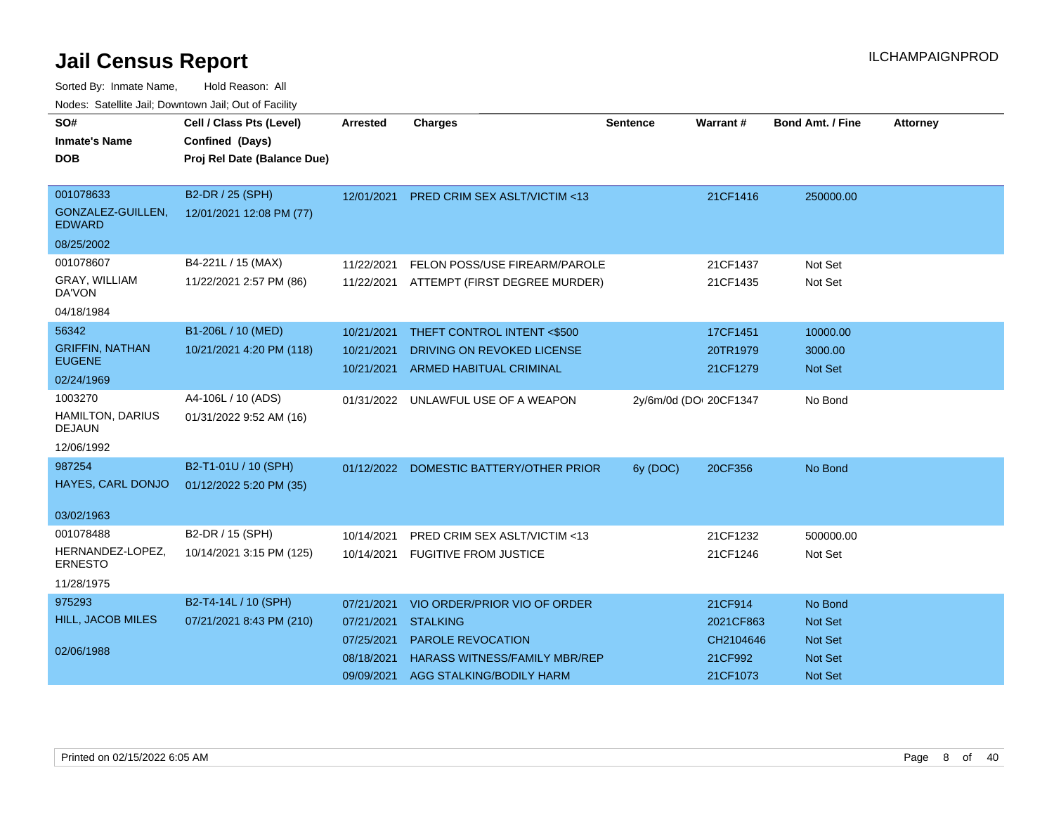| SO#                                      | Cell / Class Pts (Level)    | <b>Arrested</b> | <b>Charges</b>                           | <b>Sentence</b>        | Warrant#  | <b>Bond Amt. / Fine</b> | <b>Attorney</b> |
|------------------------------------------|-----------------------------|-----------------|------------------------------------------|------------------------|-----------|-------------------------|-----------------|
| <b>Inmate's Name</b>                     | Confined (Days)             |                 |                                          |                        |           |                         |                 |
| <b>DOB</b>                               | Proj Rel Date (Balance Due) |                 |                                          |                        |           |                         |                 |
|                                          |                             |                 |                                          |                        |           |                         |                 |
| 001078633                                | B2-DR / 25 (SPH)            | 12/01/2021      | <b>PRED CRIM SEX ASLT/VICTIM &lt;13</b>  |                        | 21CF1416  | 250000.00               |                 |
| GONZALEZ-GUILLEN,<br><b>EDWARD</b>       | 12/01/2021 12:08 PM (77)    |                 |                                          |                        |           |                         |                 |
| 08/25/2002                               |                             |                 |                                          |                        |           |                         |                 |
| 001078607                                | B4-221L / 15 (MAX)          | 11/22/2021      | FELON POSS/USE FIREARM/PAROLE            |                        | 21CF1437  | Not Set                 |                 |
| GRAY, WILLIAM<br>DA'VON                  | 11/22/2021 2:57 PM (86)     |                 | 11/22/2021 ATTEMPT (FIRST DEGREE MURDER) |                        | 21CF1435  | Not Set                 |                 |
| 04/18/1984                               |                             |                 |                                          |                        |           |                         |                 |
| 56342                                    | B1-206L / 10 (MED)          | 10/21/2021      | THEFT CONTROL INTENT <\$500              |                        | 17CF1451  | 10000.00                |                 |
| <b>GRIFFIN, NATHAN</b>                   | 10/21/2021 4:20 PM (118)    | 10/21/2021      | DRIVING ON REVOKED LICENSE               |                        | 20TR1979  | 3000.00                 |                 |
| <b>EUGENE</b>                            |                             | 10/21/2021      | ARMED HABITUAL CRIMINAL                  |                        | 21CF1279  | <b>Not Set</b>          |                 |
| 02/24/1969                               |                             |                 |                                          |                        |           |                         |                 |
| 1003270                                  | A4-106L / 10 (ADS)          |                 | 01/31/2022 UNLAWFUL USE OF A WEAPON      | 2y/6m/0d (DOI 20CF1347 |           | No Bond                 |                 |
| <b>HAMILTON, DARIUS</b><br><b>DEJAUN</b> | 01/31/2022 9:52 AM (16)     |                 |                                          |                        |           |                         |                 |
| 12/06/1992                               |                             |                 |                                          |                        |           |                         |                 |
| 987254                                   | B2-T1-01U / 10 (SPH)        |                 | 01/12/2022 DOMESTIC BATTERY/OTHER PRIOR  | 6y (DOC)               | 20CF356   | No Bond                 |                 |
| HAYES, CARL DONJO                        | 01/12/2022 5:20 PM (35)     |                 |                                          |                        |           |                         |                 |
| 03/02/1963                               |                             |                 |                                          |                        |           |                         |                 |
| 001078488                                | B2-DR / 15 (SPH)            | 10/14/2021      | PRED CRIM SEX ASLT/VICTIM <13            |                        | 21CF1232  | 500000.00               |                 |
| HERNANDEZ-LOPEZ,<br><b>ERNESTO</b>       | 10/14/2021 3:15 PM (125)    |                 | 10/14/2021 FUGITIVE FROM JUSTICE         |                        | 21CF1246  | Not Set                 |                 |
| 11/28/1975                               |                             |                 |                                          |                        |           |                         |                 |
| 975293                                   | B2-T4-14L / 10 (SPH)        | 07/21/2021      | VIO ORDER/PRIOR VIO OF ORDER             |                        | 21CF914   | No Bond                 |                 |
| HILL, JACOB MILES                        | 07/21/2021 8:43 PM (210)    | 07/21/2021      | <b>STALKING</b>                          |                        | 2021CF863 | <b>Not Set</b>          |                 |
|                                          |                             | 07/25/2021      | <b>PAROLE REVOCATION</b>                 |                        | CH2104646 | <b>Not Set</b>          |                 |
| 02/06/1988                               |                             | 08/18/2021      | <b>HARASS WITNESS/FAMILY MBR/REP</b>     |                        | 21CF992   | <b>Not Set</b>          |                 |
|                                          |                             | 09/09/2021      | AGG STALKING/BODILY HARM                 |                        | 21CF1073  | Not Set                 |                 |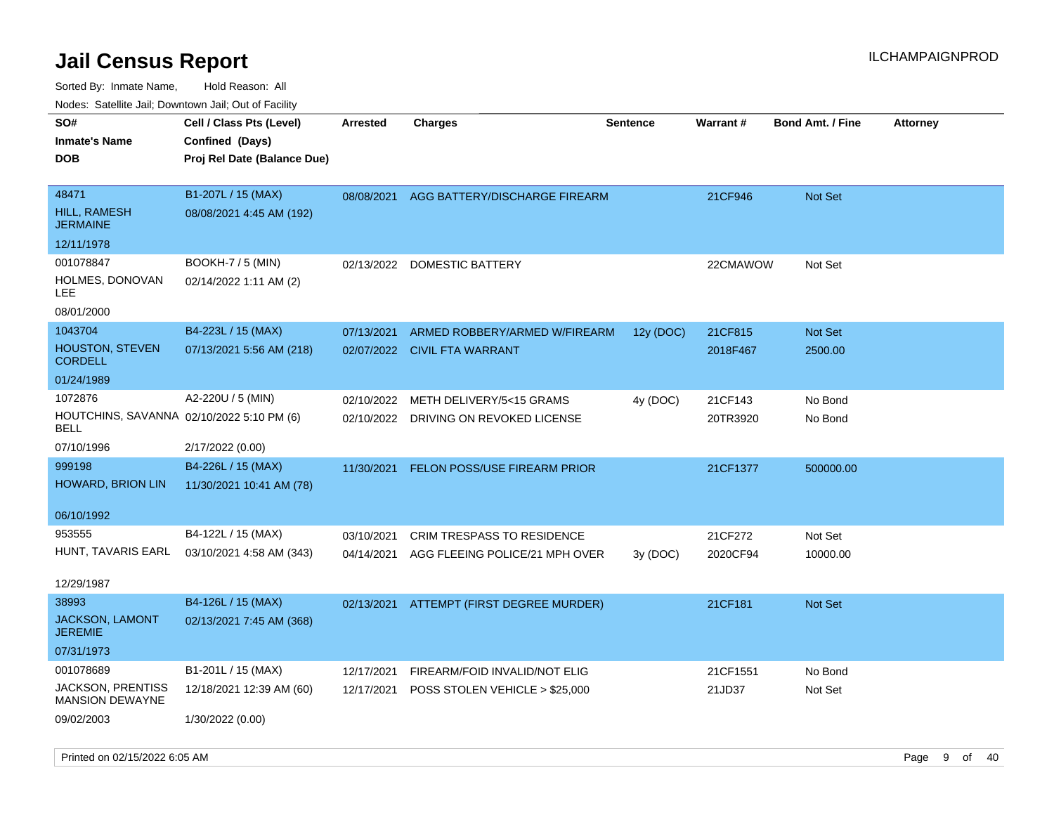| roaco. Catolino cali, Downtown cali, Out of Fability                       |                                                                            |                          |                                                                   |                 |                     |                         |                 |
|----------------------------------------------------------------------------|----------------------------------------------------------------------------|--------------------------|-------------------------------------------------------------------|-----------------|---------------------|-------------------------|-----------------|
| SO#<br><b>Inmate's Name</b><br>DOB                                         | Cell / Class Pts (Level)<br>Confined (Days)<br>Proj Rel Date (Balance Due) | <b>Arrested</b>          | <b>Charges</b>                                                    | <b>Sentence</b> | <b>Warrant#</b>     | <b>Bond Amt. / Fine</b> | <b>Attorney</b> |
| 48471<br><b>HILL, RAMESH</b><br><b>JERMAINE</b><br>12/11/1978              | B1-207L / 15 (MAX)<br>08/08/2021 4:45 AM (192)                             | 08/08/2021               | AGG BATTERY/DISCHARGE FIREARM                                     |                 | 21CF946             | <b>Not Set</b>          |                 |
| 001078847<br>HOLMES, DONOVAN<br>LEE<br>08/01/2000                          | <b>BOOKH-7 / 5 (MIN)</b><br>02/14/2022 1:11 AM (2)                         | 02/13/2022               | DOMESTIC BATTERY                                                  |                 | 22CMAWOW            | Not Set                 |                 |
| 1043704<br>HOUSTON, STEVEN<br><b>CORDELL</b><br>01/24/1989                 | B4-223L / 15 (MAX)<br>07/13/2021 5:56 AM (218)                             | 07/13/2021               | ARMED ROBBERY/ARMED W/FIREARM<br>02/07/2022 CIVIL FTA WARRANT     | 12y (DOC)       | 21CF815<br>2018F467 | Not Set<br>2500.00      |                 |
| 1072876<br>HOUTCHINS, SAVANNA 02/10/2022 5:10 PM (6)<br>BELL<br>07/10/1996 | A2-220U / 5 (MIN)<br>2/17/2022 (0.00)                                      | 02/10/2022               | METH DELIVERY/5<15 GRAMS<br>02/10/2022 DRIVING ON REVOKED LICENSE | 4y (DOC)        | 21CF143<br>20TR3920 | No Bond<br>No Bond      |                 |
| 999198<br>HOWARD, BRION LIN<br>06/10/1992                                  | B4-226L / 15 (MAX)<br>11/30/2021 10:41 AM (78)                             | 11/30/2021               | FELON POSS/USE FIREARM PRIOR                                      |                 | 21CF1377            | 500000.00               |                 |
| 953555<br>HUNT, TAVARIS EARL<br>12/29/1987                                 | B4-122L / 15 (MAX)<br>03/10/2021 4:58 AM (343)                             | 03/10/2021<br>04/14/2021 | CRIM TRESPASS TO RESIDENCE<br>AGG FLEEING POLICE/21 MPH OVER      | 3y (DOC)        | 21CF272<br>2020CF94 | Not Set<br>10000.00     |                 |
| 38993<br><b>JACKSON, LAMONT</b><br><b>JEREMIE</b><br>07/31/1973            | B4-126L / 15 (MAX)<br>02/13/2021 7:45 AM (368)                             | 02/13/2021               | ATTEMPT (FIRST DEGREE MURDER)                                     |                 | 21CF181             | Not Set                 |                 |
| 001078689<br><b>JACKSON, PRENTISS</b><br>MANSION DEWAYNE<br>09/02/2003     | B1-201L / 15 (MAX)<br>12/18/2021 12:39 AM (60)<br>1/30/2022 (0.00)         | 12/17/2021<br>12/17/2021 | FIREARM/FOID INVALID/NOT ELIG<br>POSS STOLEN VEHICLE > \$25,000   |                 | 21CF1551<br>21JD37  | No Bond<br>Not Set      |                 |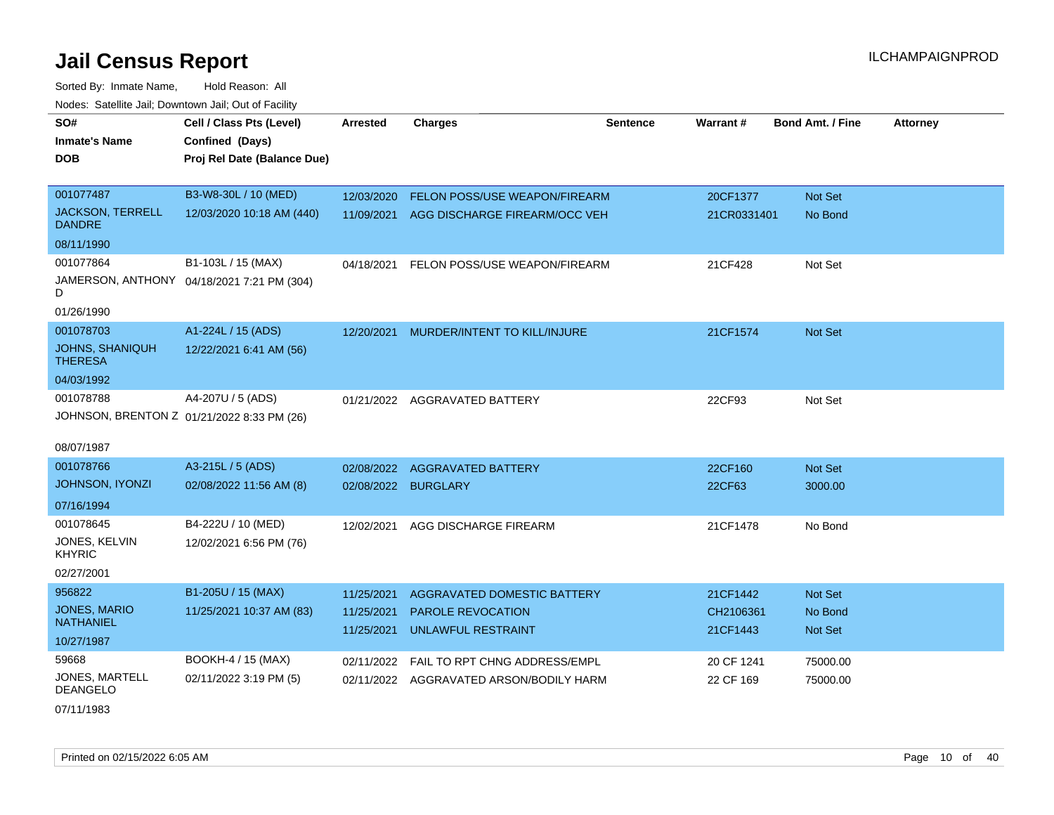| SO#                                        | Cell / Class Pts (Level)                   | <b>Arrested</b> | <b>Charges</b>                          | <b>Sentence</b> | Warrant#    | <b>Bond Amt. / Fine</b> | <b>Attorney</b> |
|--------------------------------------------|--------------------------------------------|-----------------|-----------------------------------------|-----------------|-------------|-------------------------|-----------------|
| <b>Inmate's Name</b>                       | Confined (Days)                            |                 |                                         |                 |             |                         |                 |
| <b>DOB</b>                                 | Proj Rel Date (Balance Due)                |                 |                                         |                 |             |                         |                 |
|                                            |                                            |                 |                                         |                 |             |                         |                 |
| 001077487                                  | B3-W8-30L / 10 (MED)                       | 12/03/2020      | FELON POSS/USE WEAPON/FIREARM           |                 | 20CF1377    | Not Set                 |                 |
| <b>JACKSON, TERRELL</b><br><b>DANDRE</b>   | 12/03/2020 10:18 AM (440)                  | 11/09/2021      | AGG DISCHARGE FIREARM/OCC VEH           |                 | 21CR0331401 | No Bond                 |                 |
| 08/11/1990                                 |                                            |                 |                                         |                 |             |                         |                 |
| 001077864                                  | B1-103L / 15 (MAX)                         | 04/18/2021      | FELON POSS/USE WEAPON/FIREARM           |                 | 21CF428     | Not Set                 |                 |
| D                                          | JAMERSON, ANTHONY 04/18/2021 7:21 PM (304) |                 |                                         |                 |             |                         |                 |
| 01/26/1990                                 |                                            |                 |                                         |                 |             |                         |                 |
| 001078703                                  | A1-224L / 15 (ADS)                         | 12/20/2021      | MURDER/INTENT TO KILL/INJURE            |                 | 21CF1574    | <b>Not Set</b>          |                 |
| JOHNS, SHANIQUH<br><b>THERESA</b>          | 12/22/2021 6:41 AM (56)                    |                 |                                         |                 |             |                         |                 |
| 04/03/1992                                 |                                            |                 |                                         |                 |             |                         |                 |
| 001078788                                  | A4-207U / 5 (ADS)                          |                 | 01/21/2022 AGGRAVATED BATTERY           |                 | 22CF93      | Not Set                 |                 |
| JOHNSON, BRENTON Z 01/21/2022 8:33 PM (26) |                                            |                 |                                         |                 |             |                         |                 |
|                                            |                                            |                 |                                         |                 |             |                         |                 |
| 08/07/1987                                 |                                            |                 |                                         |                 |             |                         |                 |
| 001078766                                  | A3-215L / 5 (ADS)                          | 02/08/2022      | <b>AGGRAVATED BATTERY</b>               |                 | 22CF160     | Not Set                 |                 |
| <b>JOHNSON, IYONZI</b>                     | 02/08/2022 11:56 AM (8)                    | 02/08/2022      | <b>BURGLARY</b>                         |                 | 22CF63      | 3000.00                 |                 |
| 07/16/1994                                 |                                            |                 |                                         |                 |             |                         |                 |
| 001078645                                  | B4-222U / 10 (MED)                         | 12/02/2021      | AGG DISCHARGE FIREARM                   |                 | 21CF1478    | No Bond                 |                 |
| JONES, KELVIN<br><b>KHYRIC</b>             | 12/02/2021 6:56 PM (76)                    |                 |                                         |                 |             |                         |                 |
| 02/27/2001                                 |                                            |                 |                                         |                 |             |                         |                 |
| 956822                                     | B1-205U / 15 (MAX)                         | 11/25/2021      | AGGRAVATED DOMESTIC BATTERY             |                 | 21CF1442    | Not Set                 |                 |
| JONES, MARIO<br><b>NATHANIEL</b>           | 11/25/2021 10:37 AM (83)                   | 11/25/2021      | <b>PAROLE REVOCATION</b>                |                 | CH2106361   | No Bond                 |                 |
| 10/27/1987                                 |                                            | 11/25/2021      | <b>UNLAWFUL RESTRAINT</b>               |                 | 21CF1443    | Not Set                 |                 |
| 59668                                      | BOOKH-4 / 15 (MAX)                         | 02/11/2022      | FAIL TO RPT CHNG ADDRESS/EMPL           |                 | 20 CF 1241  | 75000.00                |                 |
| JONES, MARTELL<br><b>DEANGELO</b>          | 02/11/2022 3:19 PM (5)                     |                 | 02/11/2022 AGGRAVATED ARSON/BODILY HARM |                 | 22 CF 169   | 75000.00                |                 |
| 07/11/1983                                 |                                            |                 |                                         |                 |             |                         |                 |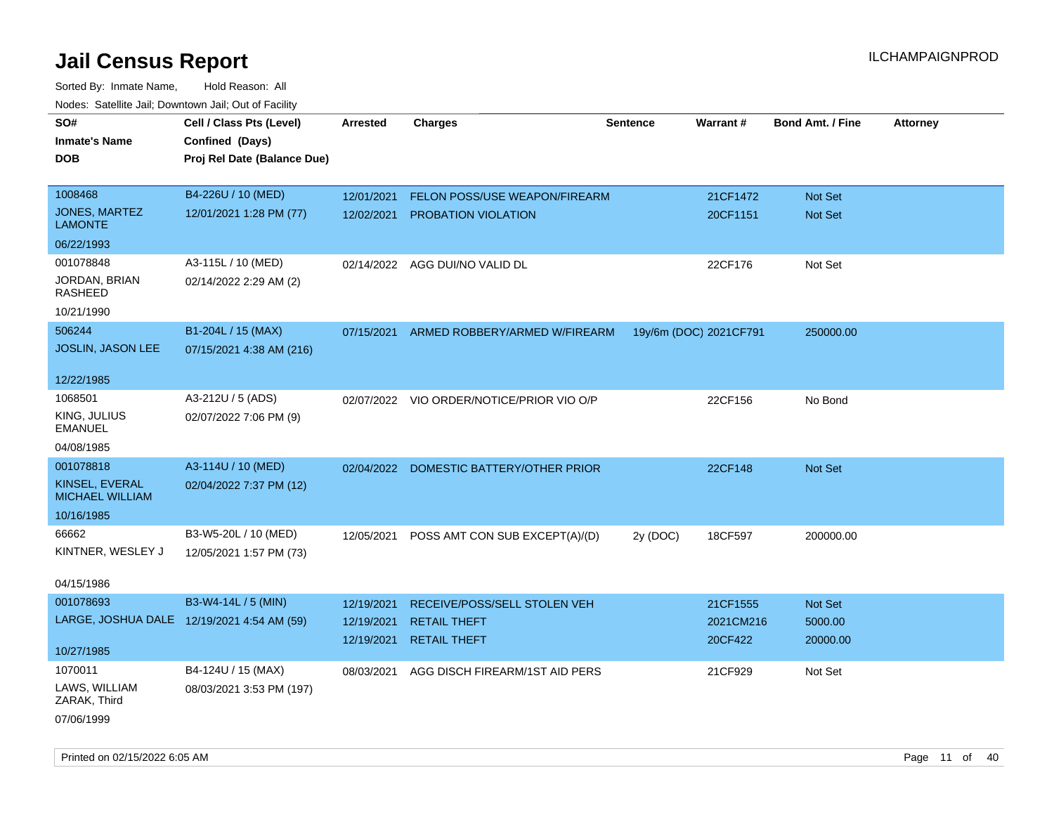| SO#                                      | Cell / Class Pts (Level)                   | <b>Arrested</b> | <b>Charges</b>                            | <b>Sentence</b>        | Warrant#  | <b>Bond Amt. / Fine</b> | <b>Attorney</b> |
|------------------------------------------|--------------------------------------------|-----------------|-------------------------------------------|------------------------|-----------|-------------------------|-----------------|
|                                          |                                            |                 |                                           |                        |           |                         |                 |
| <b>Inmate's Name</b>                     | Confined (Days)                            |                 |                                           |                        |           |                         |                 |
| <b>DOB</b>                               | Proj Rel Date (Balance Due)                |                 |                                           |                        |           |                         |                 |
| 1008468                                  | B4-226U / 10 (MED)                         | 12/01/2021      | FELON POSS/USE WEAPON/FIREARM             |                        | 21CF1472  | Not Set                 |                 |
| <b>JONES, MARTEZ</b>                     | 12/01/2021 1:28 PM (77)                    |                 | PROBATION VIOLATION                       |                        | 20CF1151  | <b>Not Set</b>          |                 |
| <b>LAMONTE</b>                           |                                            | 12/02/2021      |                                           |                        |           |                         |                 |
| 06/22/1993                               |                                            |                 |                                           |                        |           |                         |                 |
| 001078848                                | A3-115L / 10 (MED)                         |                 | 02/14/2022 AGG DUI/NO VALID DL            |                        | 22CF176   | Not Set                 |                 |
| JORDAN, BRIAN<br>RASHEED                 | 02/14/2022 2:29 AM (2)                     |                 |                                           |                        |           |                         |                 |
| 10/21/1990                               |                                            |                 |                                           |                        |           |                         |                 |
| 506244                                   | B1-204L / 15 (MAX)                         | 07/15/2021      | ARMED ROBBERY/ARMED W/FIREARM             | 19y/6m (DOC) 2021CF791 |           | 250000.00               |                 |
| JOSLIN, JASON LEE                        | 07/15/2021 4:38 AM (216)                   |                 |                                           |                        |           |                         |                 |
| 12/22/1985                               |                                            |                 |                                           |                        |           |                         |                 |
| 1068501                                  | A3-212U / 5 (ADS)                          |                 | 02/07/2022 VIO ORDER/NOTICE/PRIOR VIO O/P |                        | 22CF156   | No Bond                 |                 |
| KING, JULIUS<br><b>EMANUEL</b>           | 02/07/2022 7:06 PM (9)                     |                 |                                           |                        |           |                         |                 |
| 04/08/1985                               |                                            |                 |                                           |                        |           |                         |                 |
| 001078818                                | A3-114U / 10 (MED)                         | 02/04/2022      | DOMESTIC BATTERY/OTHER PRIOR              |                        | 22CF148   | Not Set                 |                 |
| KINSEL, EVERAL<br><b>MICHAEL WILLIAM</b> | 02/04/2022 7:37 PM (12)                    |                 |                                           |                        |           |                         |                 |
| 10/16/1985                               |                                            |                 |                                           |                        |           |                         |                 |
| 66662                                    | B3-W5-20L / 10 (MED)                       | 12/05/2021      | POSS AMT CON SUB EXCEPT(A)/(D)            | 2y (DOC)               | 18CF597   | 200000.00               |                 |
| KINTNER, WESLEY J                        | 12/05/2021 1:57 PM (73)                    |                 |                                           |                        |           |                         |                 |
| 04/15/1986                               |                                            |                 |                                           |                        |           |                         |                 |
| 001078693                                | B3-W4-14L / 5 (MIN)                        | 12/19/2021      | RECEIVE/POSS/SELL STOLEN VEH              |                        | 21CF1555  | <b>Not Set</b>          |                 |
|                                          | LARGE, JOSHUA DALE 12/19/2021 4:54 AM (59) | 12/19/2021      | <b>RETAIL THEFT</b>                       |                        | 2021CM216 | 5000.00                 |                 |
| 10/27/1985                               |                                            | 12/19/2021      | <b>RETAIL THEFT</b>                       |                        | 20CF422   | 20000.00                |                 |
| 1070011                                  | B4-124U / 15 (MAX)                         | 08/03/2021      | AGG DISCH FIREARM/1ST AID PERS            |                        | 21CF929   | Not Set                 |                 |
| LAWS, WILLIAM<br>ZARAK, Third            | 08/03/2021 3:53 PM (197)                   |                 |                                           |                        |           |                         |                 |
| 07/06/1999                               |                                            |                 |                                           |                        |           |                         |                 |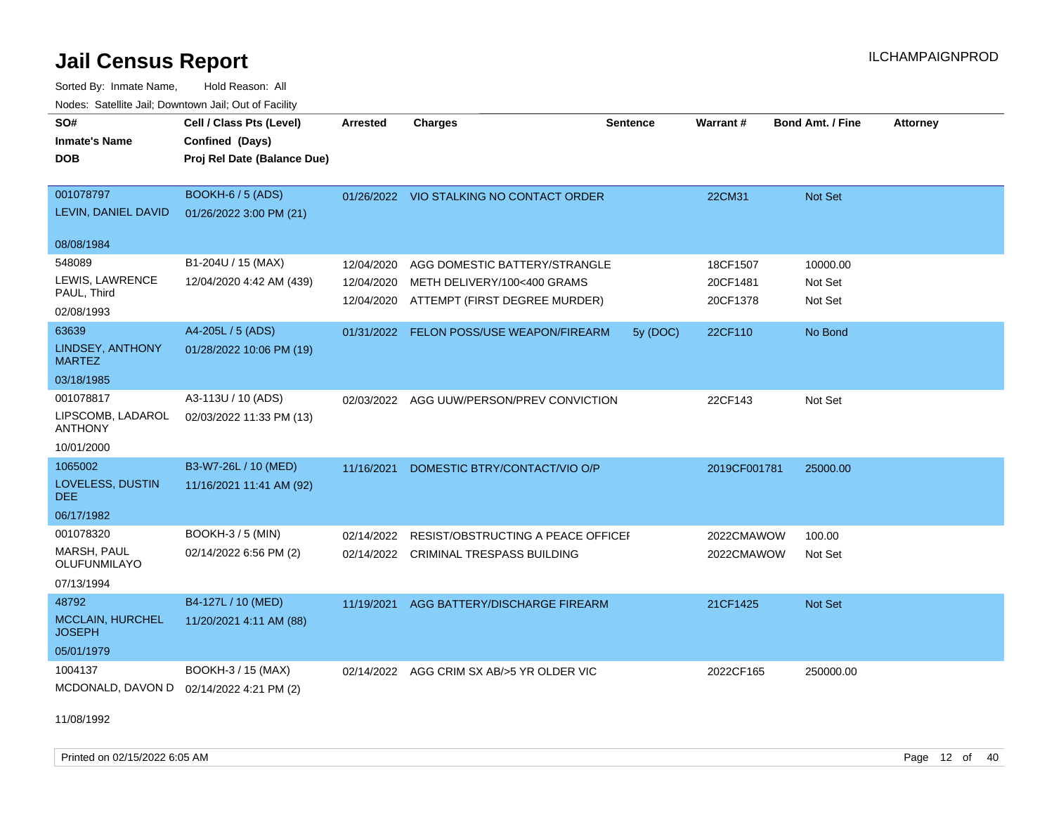Sorted By: Inmate Name, Hold Reason: All Nodes: Satellite Jail; Downtown Jail; Out of Facility

| <u>Houce.</u> Catellite ball, Downtown ball, Out of Fability |                                             |                 |                                           |                 |              |                         |                 |
|--------------------------------------------------------------|---------------------------------------------|-----------------|-------------------------------------------|-----------------|--------------|-------------------------|-----------------|
| SO#<br><b>Inmate's Name</b>                                  | Cell / Class Pts (Level)<br>Confined (Days) | <b>Arrested</b> | <b>Charges</b>                            | <b>Sentence</b> | Warrant#     | <b>Bond Amt. / Fine</b> | <b>Attorney</b> |
| <b>DOB</b>                                                   | Proj Rel Date (Balance Due)                 |                 |                                           |                 |              |                         |                 |
|                                                              |                                             |                 |                                           |                 |              |                         |                 |
| 001078797                                                    | BOOKH-6 / 5 (ADS)                           |                 | 01/26/2022 VIO STALKING NO CONTACT ORDER  |                 | 22CM31       | Not Set                 |                 |
| LEVIN, DANIEL DAVID                                          | 01/26/2022 3:00 PM (21)                     |                 |                                           |                 |              |                         |                 |
| 08/08/1984                                                   |                                             |                 |                                           |                 |              |                         |                 |
| 548089                                                       | B1-204U / 15 (MAX)                          | 12/04/2020      | AGG DOMESTIC BATTERY/STRANGLE             |                 | 18CF1507     | 10000.00                |                 |
| LEWIS, LAWRENCE                                              | 12/04/2020 4:42 AM (439)                    | 12/04/2020      | METH DELIVERY/100<400 GRAMS               |                 | 20CF1481     | Not Set                 |                 |
| PAUL, Third                                                  |                                             |                 | 12/04/2020 ATTEMPT (FIRST DEGREE MURDER)  |                 | 20CF1378     | Not Set                 |                 |
| 02/08/1993                                                   |                                             |                 |                                           |                 |              |                         |                 |
| 63639                                                        | A4-205L / 5 (ADS)                           |                 | 01/31/2022 FELON POSS/USE WEAPON/FIREARM  | 5y (DOC)        | 22CF110      | No Bond                 |                 |
| LINDSEY, ANTHONY<br><b>MARTEZ</b>                            | 01/28/2022 10:06 PM (19)                    |                 |                                           |                 |              |                         |                 |
| 03/18/1985                                                   |                                             |                 |                                           |                 |              |                         |                 |
| 001078817                                                    | A3-113U / 10 (ADS)                          |                 | 02/03/2022 AGG UUW/PERSON/PREV CONVICTION |                 | 22CF143      | Not Set                 |                 |
| LIPSCOMB, LADAROL<br><b>ANTHONY</b>                          | 02/03/2022 11:33 PM (13)                    |                 |                                           |                 |              |                         |                 |
| 10/01/2000                                                   |                                             |                 |                                           |                 |              |                         |                 |
| 1065002                                                      | B3-W7-26L / 10 (MED)                        | 11/16/2021      | DOMESTIC BTRY/CONTACT/VIO O/P             |                 | 2019CF001781 | 25000.00                |                 |
| LOVELESS, DUSTIN<br><b>DEE</b>                               | 11/16/2021 11:41 AM (92)                    |                 |                                           |                 |              |                         |                 |
| 06/17/1982                                                   |                                             |                 |                                           |                 |              |                         |                 |
| 001078320                                                    | <b>BOOKH-3 / 5 (MIN)</b>                    | 02/14/2022      | <b>RESIST/OBSTRUCTING A PEACE OFFICEF</b> |                 | 2022CMAWOW   | 100.00                  |                 |
| MARSH, PAUL<br>OLUFUNMILAYO                                  | 02/14/2022 6:56 PM (2)                      |                 | 02/14/2022 CRIMINAL TRESPASS BUILDING     |                 | 2022CMAWOW   | Not Set                 |                 |
| 07/13/1994                                                   |                                             |                 |                                           |                 |              |                         |                 |
| 48792                                                        | B4-127L / 10 (MED)                          | 11/19/2021      | AGG BATTERY/DISCHARGE FIREARM             |                 | 21CF1425     | Not Set                 |                 |
| <b>MCCLAIN, HURCHEL</b><br><b>JOSEPH</b>                     | 11/20/2021 4:11 AM (88)                     |                 |                                           |                 |              |                         |                 |
| 05/01/1979                                                   |                                             |                 |                                           |                 |              |                         |                 |
| 1004137                                                      | BOOKH-3 / 15 (MAX)                          |                 | 02/14/2022 AGG CRIM SX AB/>5 YR OLDER VIC |                 | 2022CF165    | 250000.00               |                 |
| MCDONALD, DAVON D 02/14/2022 4:21 PM (2)                     |                                             |                 |                                           |                 |              |                         |                 |

11/08/1992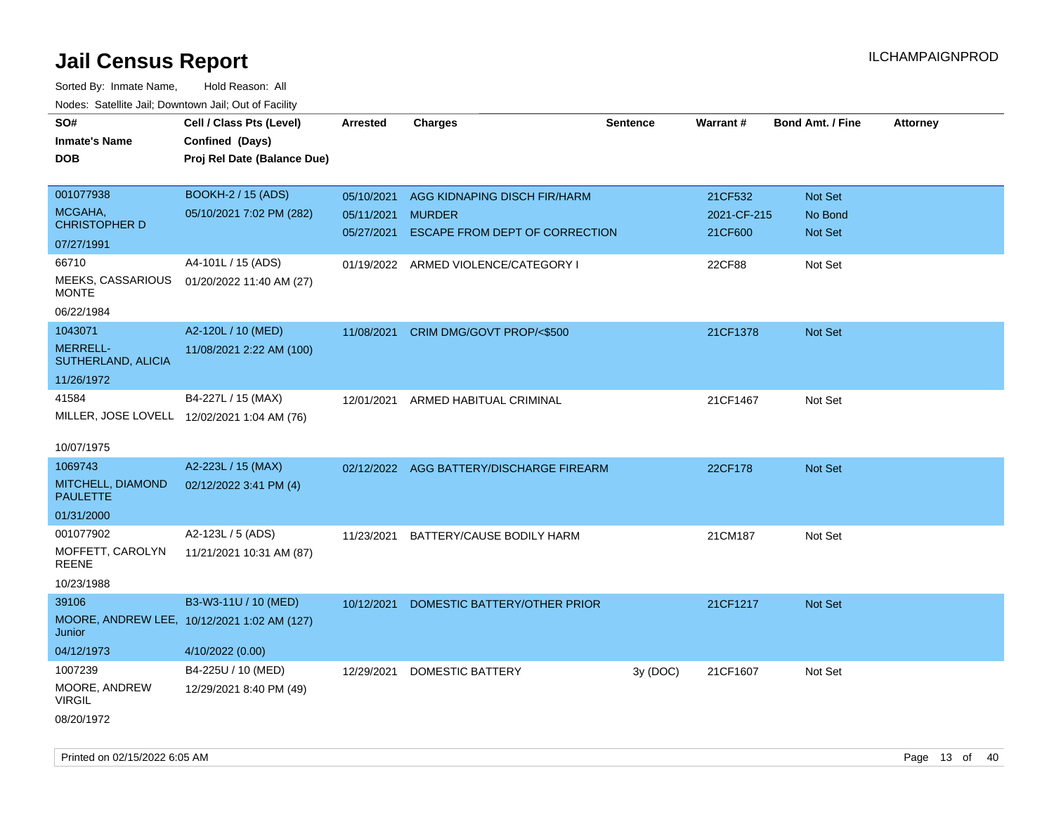| SO#                                         | Cell / Class Pts (Level)                    | <b>Arrested</b> | <b>Charges</b>                           | <b>Sentence</b> | Warrant#    | <b>Bond Amt. / Fine</b> | Attorney |
|---------------------------------------------|---------------------------------------------|-----------------|------------------------------------------|-----------------|-------------|-------------------------|----------|
| <b>Inmate's Name</b>                        | Confined (Days)                             |                 |                                          |                 |             |                         |          |
| <b>DOB</b>                                  | Proj Rel Date (Balance Due)                 |                 |                                          |                 |             |                         |          |
|                                             |                                             |                 |                                          |                 |             |                         |          |
| 001077938                                   | BOOKH-2 / 15 (ADS)                          | 05/10/2021      | AGG KIDNAPING DISCH FIR/HARM             |                 | 21CF532     | Not Set                 |          |
| MCGAHA,                                     | 05/10/2021 7:02 PM (282)                    | 05/11/2021      | <b>MURDER</b>                            |                 | 2021-CF-215 | No Bond                 |          |
| <b>CHRISTOPHER D</b>                        |                                             | 05/27/2021      | ESCAPE FROM DEPT OF CORRECTION           |                 | 21CF600     | Not Set                 |          |
| 07/27/1991                                  |                                             |                 |                                          |                 |             |                         |          |
| 66710                                       | A4-101L / 15 (ADS)                          | 01/19/2022      | ARMED VIOLENCE/CATEGORY I                |                 | 22CF88      | Not Set                 |          |
| <b>MEEKS, CASSARIOUS</b><br><b>MONTE</b>    | 01/20/2022 11:40 AM (27)                    |                 |                                          |                 |             |                         |          |
| 06/22/1984                                  |                                             |                 |                                          |                 |             |                         |          |
| 1043071                                     | A2-120L / 10 (MED)                          | 11/08/2021      | CRIM DMG/GOVT PROP/<\$500                |                 | 21CF1378    | Not Set                 |          |
| <b>MERRELL-</b><br>SUTHERLAND, ALICIA       | 11/08/2021 2:22 AM (100)                    |                 |                                          |                 |             |                         |          |
| 11/26/1972                                  |                                             |                 |                                          |                 |             |                         |          |
| 41584                                       | B4-227L / 15 (MAX)                          | 12/01/2021      | ARMED HABITUAL CRIMINAL                  |                 | 21CF1467    | Not Set                 |          |
| MILLER, JOSE LOVELL 12/02/2021 1:04 AM (76) |                                             |                 |                                          |                 |             |                         |          |
|                                             |                                             |                 |                                          |                 |             |                         |          |
| 10/07/1975                                  |                                             |                 |                                          |                 |             |                         |          |
| 1069743                                     | A2-223L / 15 (MAX)                          |                 | 02/12/2022 AGG BATTERY/DISCHARGE FIREARM |                 | 22CF178     | Not Set                 |          |
| MITCHELL, DIAMOND<br><b>PAULETTE</b>        | 02/12/2022 3:41 PM (4)                      |                 |                                          |                 |             |                         |          |
| 01/31/2000                                  |                                             |                 |                                          |                 |             |                         |          |
| 001077902                                   | A2-123L / 5 (ADS)                           | 11/23/2021      | BATTERY/CAUSE BODILY HARM                |                 | 21CM187     | Not Set                 |          |
| MOFFETT, CAROLYN<br>REENE                   | 11/21/2021 10:31 AM (87)                    |                 |                                          |                 |             |                         |          |
| 10/23/1988                                  |                                             |                 |                                          |                 |             |                         |          |
| 39106                                       | B3-W3-11U / 10 (MED)                        | 10/12/2021      | DOMESTIC BATTERY/OTHER PRIOR             |                 | 21CF1217    | Not Set                 |          |
| Junior                                      | MOORE, ANDREW LEE, 10/12/2021 1:02 AM (127) |                 |                                          |                 |             |                         |          |
| 04/12/1973                                  | 4/10/2022 (0.00)                            |                 |                                          |                 |             |                         |          |
| 1007239                                     | B4-225U / 10 (MED)                          | 12/29/2021      | <b>DOMESTIC BATTERY</b>                  | 3y (DOC)        | 21CF1607    | Not Set                 |          |
| MOORE, ANDREW<br><b>VIRGIL</b>              | 12/29/2021 8:40 PM (49)                     |                 |                                          |                 |             |                         |          |
| 08/20/1972                                  |                                             |                 |                                          |                 |             |                         |          |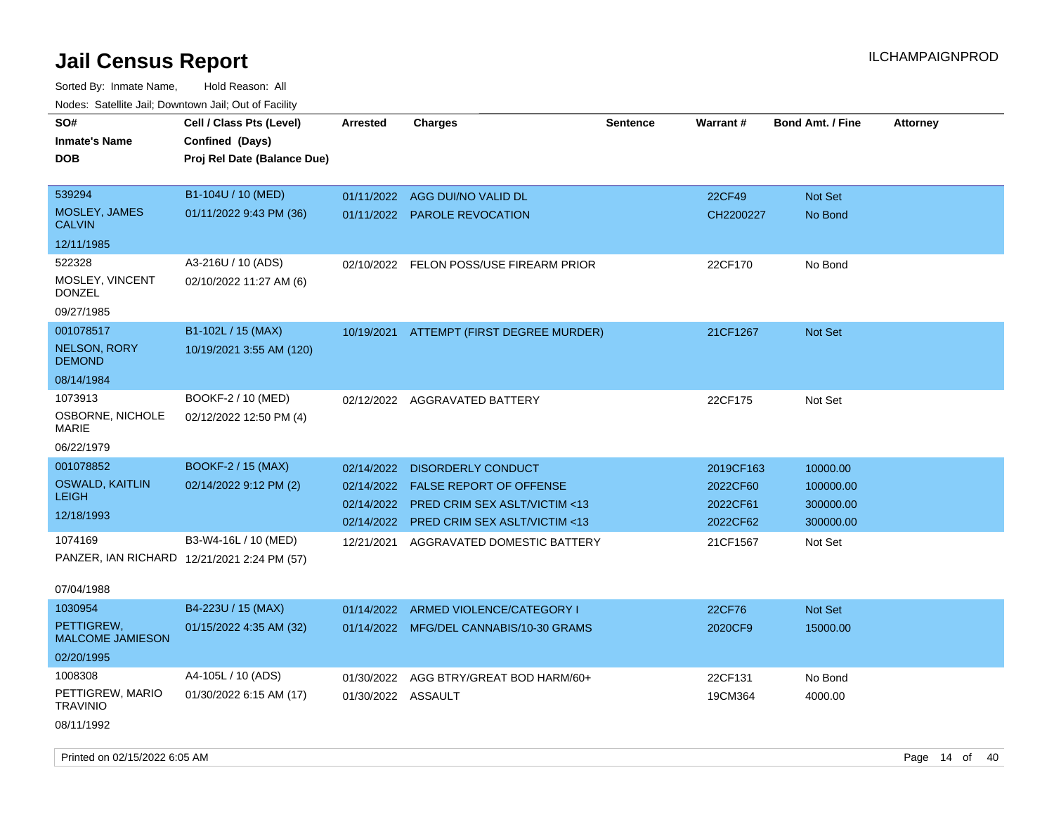| rouce. Calcinic Jan, Downtown Jan, Out or Facility |                             |                    |                                          |          |           |                         |                 |
|----------------------------------------------------|-----------------------------|--------------------|------------------------------------------|----------|-----------|-------------------------|-----------------|
| SO#                                                | Cell / Class Pts (Level)    | <b>Arrested</b>    | <b>Charges</b>                           | Sentence | Warrant#  | <b>Bond Amt. / Fine</b> | <b>Attorney</b> |
| <b>Inmate's Name</b>                               | Confined (Days)             |                    |                                          |          |           |                         |                 |
| <b>DOB</b>                                         | Proj Rel Date (Balance Due) |                    |                                          |          |           |                         |                 |
|                                                    |                             |                    |                                          |          |           |                         |                 |
| 539294                                             | B1-104U / 10 (MED)          | 01/11/2022         | AGG DUI/NO VALID DL                      |          | 22CF49    | Not Set                 |                 |
| MOSLEY, JAMES<br><b>CALVIN</b>                     | 01/11/2022 9:43 PM (36)     |                    | 01/11/2022 PAROLE REVOCATION             |          | CH2200227 | No Bond                 |                 |
| 12/11/1985                                         |                             |                    |                                          |          |           |                         |                 |
| 522328                                             | A3-216U / 10 (ADS)          | 02/10/2022         | FELON POSS/USE FIREARM PRIOR             |          | 22CF170   | No Bond                 |                 |
| MOSLEY, VINCENT<br><b>DONZEL</b>                   | 02/10/2022 11:27 AM (6)     |                    |                                          |          |           |                         |                 |
| 09/27/1985                                         |                             |                    |                                          |          |           |                         |                 |
| 001078517                                          | B1-102L / 15 (MAX)          |                    | 10/19/2021 ATTEMPT (FIRST DEGREE MURDER) |          | 21CF1267  | Not Set                 |                 |
| <b>NELSON, RORY</b><br><b>DEMOND</b>               | 10/19/2021 3:55 AM (120)    |                    |                                          |          |           |                         |                 |
| 08/14/1984                                         |                             |                    |                                          |          |           |                         |                 |
| 1073913                                            | BOOKF-2 / 10 (MED)          |                    | 02/12/2022 AGGRAVATED BATTERY            |          | 22CF175   | Not Set                 |                 |
| OSBORNE, NICHOLE<br>MARIE                          | 02/12/2022 12:50 PM (4)     |                    |                                          |          |           |                         |                 |
| 06/22/1979                                         |                             |                    |                                          |          |           |                         |                 |
| 001078852                                          | <b>BOOKF-2 / 15 (MAX)</b>   | 02/14/2022         | <b>DISORDERLY CONDUCT</b>                |          | 2019CF163 | 10000.00                |                 |
| <b>OSWALD, KAITLIN</b>                             | 02/14/2022 9:12 PM (2)      | 02/14/2022         | <b>FALSE REPORT OF OFFENSE</b>           |          | 2022CF60  | 100000.00               |                 |
| <b>LEIGH</b>                                       |                             | 02/14/2022         | <b>PRED CRIM SEX ASLT/VICTIM &lt;13</b>  |          | 2022CF61  | 300000.00               |                 |
| 12/18/1993                                         |                             | 02/14/2022         | <b>PRED CRIM SEX ASLT/VICTIM &lt;13</b>  |          | 2022CF62  | 300000.00               |                 |
| 1074169                                            | B3-W4-16L / 10 (MED)        | 12/21/2021         | AGGRAVATED DOMESTIC BATTERY              |          | 21CF1567  | Not Set                 |                 |
| PANZER, IAN RICHARD 12/21/2021 2:24 PM (57)        |                             |                    |                                          |          |           |                         |                 |
|                                                    |                             |                    |                                          |          |           |                         |                 |
| 07/04/1988                                         |                             |                    |                                          |          |           |                         |                 |
| 1030954                                            | B4-223U / 15 (MAX)          | 01/14/2022         | ARMED VIOLENCE/CATEGORY I                |          | 22CF76    | Not Set                 |                 |
| PETTIGREW,<br><b>MALCOME JAMIESON</b>              | 01/15/2022 4:35 AM (32)     |                    | 01/14/2022 MFG/DEL CANNABIS/10-30 GRAMS  |          | 2020CF9   | 15000.00                |                 |
| 02/20/1995                                         |                             |                    |                                          |          |           |                         |                 |
| 1008308                                            | A4-105L / 10 (ADS)          | 01/30/2022         | AGG BTRY/GREAT BOD HARM/60+              |          | 22CF131   | No Bond                 |                 |
| PETTIGREW, MARIO<br><b>TRAVINIO</b>                | 01/30/2022 6:15 AM (17)     | 01/30/2022 ASSAULT |                                          |          | 19CM364   | 4000.00                 |                 |
| 08/11/1992                                         |                             |                    |                                          |          |           |                         |                 |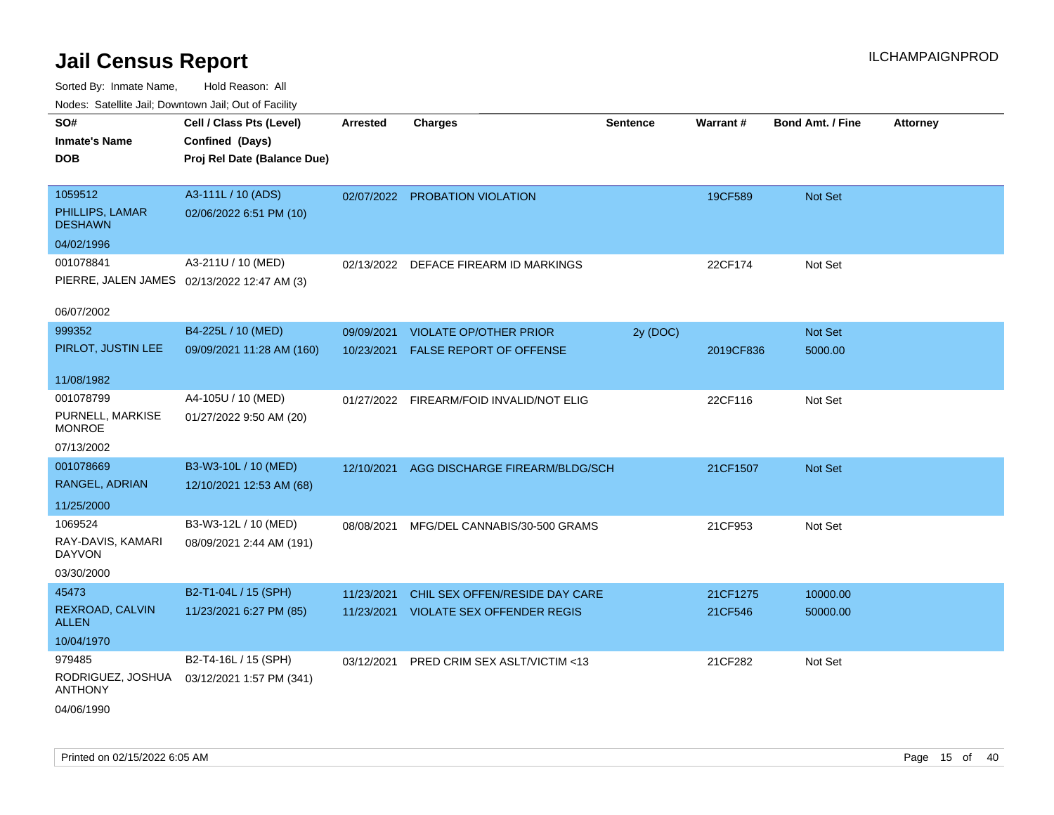| rougs. Calcing Jan, Downtown Jan, Out of Facility |                                                                            |                 |                                          |                 |           |                         |                 |
|---------------------------------------------------|----------------------------------------------------------------------------|-----------------|------------------------------------------|-----------------|-----------|-------------------------|-----------------|
| SO#<br><b>Inmate's Name</b><br><b>DOB</b>         | Cell / Class Pts (Level)<br>Confined (Days)<br>Proj Rel Date (Balance Due) | <b>Arrested</b> | <b>Charges</b>                           | <b>Sentence</b> | Warrant#  | <b>Bond Amt. / Fine</b> | <b>Attorney</b> |
|                                                   |                                                                            |                 |                                          |                 |           |                         |                 |
| 1059512                                           | A3-111L / 10 (ADS)                                                         |                 | 02/07/2022 PROBATION VIOLATION           |                 | 19CF589   | Not Set                 |                 |
| PHILLIPS, LAMAR<br><b>DESHAWN</b>                 | 02/06/2022 6:51 PM (10)                                                    |                 |                                          |                 |           |                         |                 |
| 04/02/1996                                        |                                                                            |                 |                                          |                 |           |                         |                 |
| 001078841                                         | A3-211U / 10 (MED)                                                         |                 | 02/13/2022 DEFACE FIREARM ID MARKINGS    |                 | 22CF174   | Not Set                 |                 |
|                                                   | PIERRE, JALEN JAMES 02/13/2022 12:47 AM (3)                                |                 |                                          |                 |           |                         |                 |
| 06/07/2002                                        |                                                                            |                 |                                          |                 |           |                         |                 |
| 999352                                            | B4-225L / 10 (MED)                                                         | 09/09/2021      | <b>VIOLATE OP/OTHER PRIOR</b>            | 2y (DOC)        |           | Not Set                 |                 |
| PIRLOT, JUSTIN LEE                                | 09/09/2021 11:28 AM (160)                                                  | 10/23/2021      | FALSE REPORT OF OFFENSE                  |                 | 2019CF836 | 5000.00                 |                 |
|                                                   |                                                                            |                 |                                          |                 |           |                         |                 |
| 11/08/1982                                        |                                                                            |                 |                                          |                 |           |                         |                 |
| 001078799                                         | A4-105U / 10 (MED)                                                         |                 | 01/27/2022 FIREARM/FOID INVALID/NOT ELIG |                 | 22CF116   | Not Set                 |                 |
| PURNELL, MARKISE<br><b>MONROE</b>                 | 01/27/2022 9:50 AM (20)                                                    |                 |                                          |                 |           |                         |                 |
| 07/13/2002                                        |                                                                            |                 |                                          |                 |           |                         |                 |
| 001078669                                         | B3-W3-10L / 10 (MED)                                                       | 12/10/2021      | AGG DISCHARGE FIREARM/BLDG/SCH           |                 | 21CF1507  | <b>Not Set</b>          |                 |
| RANGEL, ADRIAN                                    | 12/10/2021 12:53 AM (68)                                                   |                 |                                          |                 |           |                         |                 |
| 11/25/2000                                        |                                                                            |                 |                                          |                 |           |                         |                 |
| 1069524                                           | B3-W3-12L / 10 (MED)                                                       |                 |                                          |                 |           |                         |                 |
| RAY-DAVIS, KAMARI                                 | 08/09/2021 2:44 AM (191)                                                   | 08/08/2021      | MFG/DEL CANNABIS/30-500 GRAMS            |                 | 21CF953   | Not Set                 |                 |
| DAYVON                                            |                                                                            |                 |                                          |                 |           |                         |                 |
| 03/30/2000                                        |                                                                            |                 |                                          |                 |           |                         |                 |
| 45473                                             | B2-T1-04L / 15 (SPH)                                                       | 11/23/2021      | CHIL SEX OFFEN/RESIDE DAY CARE           |                 | 21CF1275  | 10000.00                |                 |
| REXROAD, CALVIN<br><b>ALLEN</b>                   | 11/23/2021 6:27 PM (85)                                                    | 11/23/2021      | <b>VIOLATE SEX OFFENDER REGIS</b>        |                 | 21CF546   | 50000.00                |                 |
| 10/04/1970                                        |                                                                            |                 |                                          |                 |           |                         |                 |
| 979485                                            | B2-T4-16L / 15 (SPH)                                                       | 03/12/2021      | PRED CRIM SEX ASLT/VICTIM <13            |                 | 21CF282   | Not Set                 |                 |
| RODRIGUEZ, JOSHUA<br><b>ANTHONY</b>               | 03/12/2021 1:57 PM (341)                                                   |                 |                                          |                 |           |                         |                 |
| 04/06/1990                                        |                                                                            |                 |                                          |                 |           |                         |                 |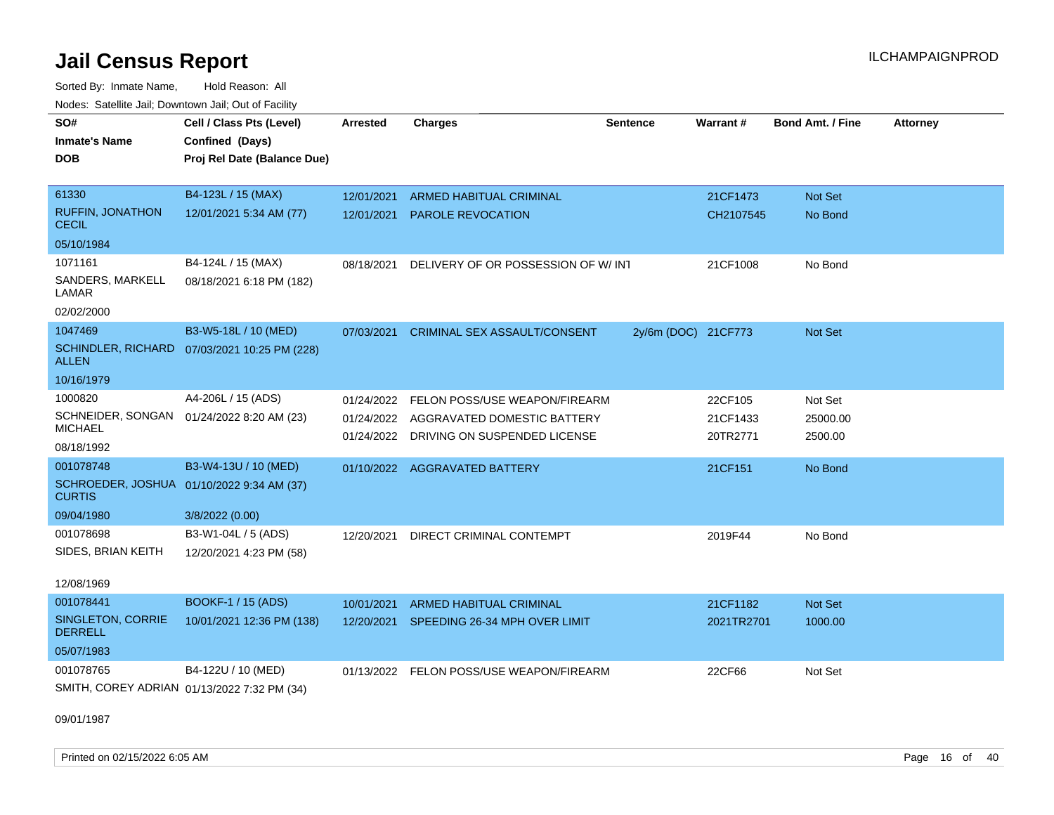Sorted By: Inmate Name, Hold Reason: All Nodes: Satellite Jail; Downtown Jail; Out of Facility

| SO#<br><b>Inmate's Name</b><br>DOB<br>61330                                           | Cell / Class Pts (Level)<br>Confined (Days)<br>Proj Rel Date (Balance Due)<br>B4-123L / 15 (MAX) | <b>Arrested</b><br>12/01/2021          | <b>Charges</b><br><b>ARMED HABITUAL CRIMINAL</b>                                             | <b>Sentence</b>     | Warrant#<br>21CF1473            | Bond Amt. / Fine<br>Not Set    | <b>Attorney</b> |
|---------------------------------------------------------------------------------------|--------------------------------------------------------------------------------------------------|----------------------------------------|----------------------------------------------------------------------------------------------|---------------------|---------------------------------|--------------------------------|-----------------|
| <b>RUFFIN, JONATHON</b><br><b>CECIL</b>                                               | 12/01/2021 5:34 AM (77)                                                                          | 12/01/2021                             | PAROLE REVOCATION                                                                            |                     | CH2107545                       | No Bond                        |                 |
| 05/10/1984                                                                            |                                                                                                  |                                        |                                                                                              |                     |                                 |                                |                 |
| 1071161<br>SANDERS, MARKELL<br>LAMAR<br>02/02/2000                                    | B4-124L / 15 (MAX)<br>08/18/2021 6:18 PM (182)                                                   | 08/18/2021                             | DELIVERY OF OR POSSESSION OF W/ INT                                                          |                     | 21CF1008                        | No Bond                        |                 |
| 1047469<br><b>SCHINDLER, RICHARD</b><br>ALLEN                                         | B3-W5-18L / 10 (MED)<br>07/03/2021 10:25 PM (228)                                                | 07/03/2021                             | <b>CRIMINAL SEX ASSAULT/CONSENT</b>                                                          | 2y/6m (DOC) 21CF773 |                                 | Not Set                        |                 |
| 10/16/1979                                                                            |                                                                                                  |                                        |                                                                                              |                     |                                 |                                |                 |
| 1000820<br>SCHNEIDER, SONGAN 01/24/2022 8:20 AM (23)<br><b>MICHAEL</b><br>08/18/1992  | A4-206L / 15 (ADS)                                                                               | 01/24/2022<br>01/24/2022<br>01/24/2022 | FELON POSS/USE WEAPON/FIREARM<br>AGGRAVATED DOMESTIC BATTERY<br>DRIVING ON SUSPENDED LICENSE |                     | 22CF105<br>21CF1433<br>20TR2771 | Not Set<br>25000.00<br>2500.00 |                 |
| 001078748<br>SCHROEDER, JOSHUA 01/10/2022 9:34 AM (37)<br><b>CURTIS</b><br>09/04/1980 | B3-W4-13U / 10 (MED)<br>3/8/2022 (0.00)                                                          |                                        | 01/10/2022 AGGRAVATED BATTERY                                                                |                     | 21CF151                         | No Bond                        |                 |
| 001078698<br>SIDES, BRIAN KEITH<br>12/08/1969                                         | B3-W1-04L / 5 (ADS)<br>12/20/2021 4:23 PM (58)                                                   | 12/20/2021                             | DIRECT CRIMINAL CONTEMPT                                                                     |                     | 2019F44                         | No Bond                        |                 |
| 001078441<br><b>SINGLETON, CORRIE</b><br><b>DERRELL</b><br>05/07/1983                 | <b>BOOKF-1 / 15 (ADS)</b><br>10/01/2021 12:36 PM (138)                                           | 10/01/2021<br>12/20/2021               | <b>ARMED HABITUAL CRIMINAL</b><br>SPEEDING 26-34 MPH OVER LIMIT                              |                     | 21CF1182<br>2021TR2701          | Not Set<br>1000.00             |                 |
| 001078765<br>SMITH, COREY ADRIAN 01/13/2022 7:32 PM (34)                              | B4-122U / 10 (MED)                                                                               | 01/13/2022                             | FELON POSS/USE WEAPON/FIREARM                                                                |                     | 22CF66                          | Not Set                        |                 |

09/01/1987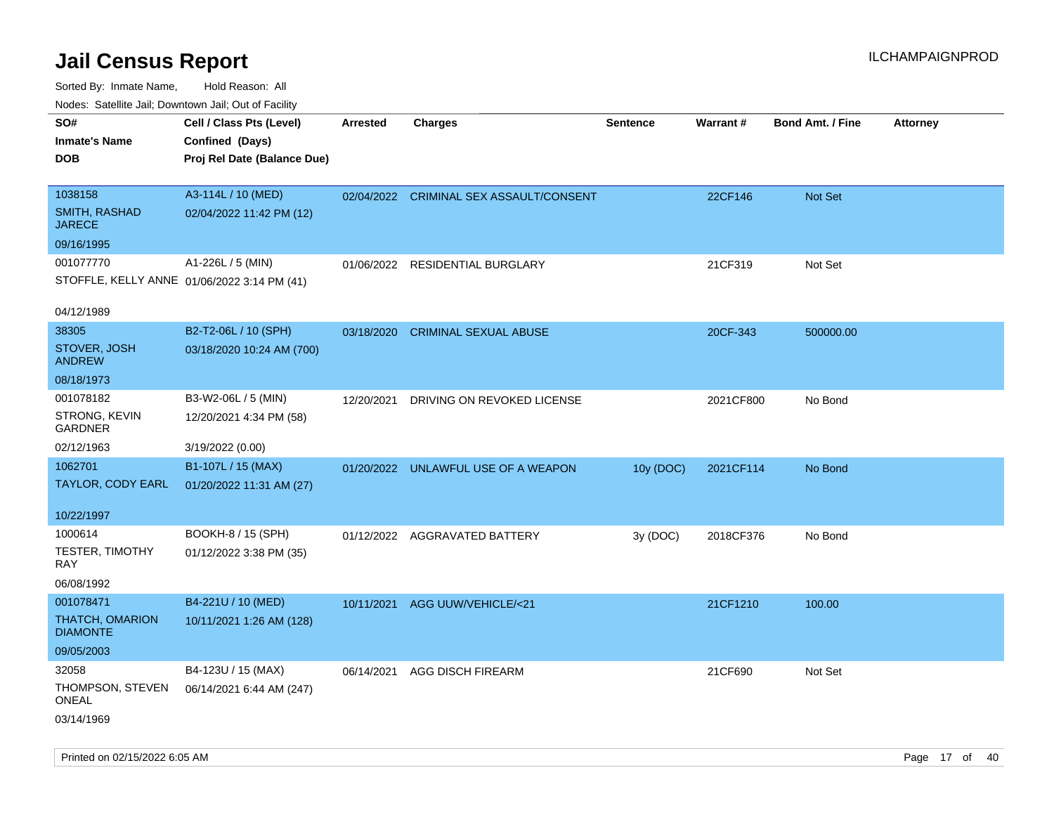| indues. Satellite Jali, Downtown Jali, Out of Facility |                             |            |                                         |                 |                 |                         |                 |
|--------------------------------------------------------|-----------------------------|------------|-----------------------------------------|-----------------|-----------------|-------------------------|-----------------|
| SO#                                                    | Cell / Class Pts (Level)    | Arrested   | <b>Charges</b>                          | <b>Sentence</b> | <b>Warrant#</b> | <b>Bond Amt. / Fine</b> | <b>Attorney</b> |
| <b>Inmate's Name</b>                                   | Confined (Days)             |            |                                         |                 |                 |                         |                 |
| <b>DOB</b>                                             | Proj Rel Date (Balance Due) |            |                                         |                 |                 |                         |                 |
|                                                        |                             |            |                                         |                 |                 |                         |                 |
| 1038158                                                | A3-114L / 10 (MED)          |            | 02/04/2022 CRIMINAL SEX ASSAULT/CONSENT |                 | 22CF146         | Not Set                 |                 |
| SMITH, RASHAD<br><b>JARECE</b>                         | 02/04/2022 11:42 PM (12)    |            |                                         |                 |                 |                         |                 |
| 09/16/1995                                             |                             |            |                                         |                 |                 |                         |                 |
| 001077770                                              | A1-226L / 5 (MIN)           |            | 01/06/2022 RESIDENTIAL BURGLARY         |                 | 21CF319         | Not Set                 |                 |
| STOFFLE, KELLY ANNE 01/06/2022 3:14 PM (41)            |                             |            |                                         |                 |                 |                         |                 |
|                                                        |                             |            |                                         |                 |                 |                         |                 |
| 04/12/1989                                             |                             |            |                                         |                 |                 |                         |                 |
| 38305                                                  | B2-T2-06L / 10 (SPH)        | 03/18/2020 | <b>CRIMINAL SEXUAL ABUSE</b>            |                 | 20CF-343        | 500000.00               |                 |
| STOVER, JOSH<br><b>ANDREW</b>                          | 03/18/2020 10:24 AM (700)   |            |                                         |                 |                 |                         |                 |
| 08/18/1973                                             |                             |            |                                         |                 |                 |                         |                 |
| 001078182                                              | B3-W2-06L / 5 (MIN)         | 12/20/2021 | DRIVING ON REVOKED LICENSE              |                 | 2021CF800       | No Bond                 |                 |
| STRONG, KEVIN<br><b>GARDNER</b>                        | 12/20/2021 4:34 PM (58)     |            |                                         |                 |                 |                         |                 |
| 02/12/1963                                             | 3/19/2022 (0.00)            |            |                                         |                 |                 |                         |                 |
| 1062701                                                | B1-107L / 15 (MAX)          |            | 01/20/2022 UNLAWFUL USE OF A WEAPON     | 10y (DOC)       | 2021CF114       | No Bond                 |                 |
| TAYLOR, CODY EARL                                      | 01/20/2022 11:31 AM (27)    |            |                                         |                 |                 |                         |                 |
|                                                        |                             |            |                                         |                 |                 |                         |                 |
| 10/22/1997                                             |                             |            |                                         |                 |                 |                         |                 |
| 1000614                                                | BOOKH-8 / 15 (SPH)          |            | 01/12/2022 AGGRAVATED BATTERY           | 3y(DOC)         | 2018CF376       | No Bond                 |                 |
| <b>TESTER, TIMOTHY</b><br>RAY                          | 01/12/2022 3:38 PM (35)     |            |                                         |                 |                 |                         |                 |
| 06/08/1992                                             |                             |            |                                         |                 |                 |                         |                 |
| 001078471                                              | B4-221U / 10 (MED)          | 10/11/2021 | AGG UUW/VEHICLE/<21                     |                 | 21CF1210        | 100.00                  |                 |
| <b>THATCH, OMARION</b><br><b>DIAMONTE</b>              | 10/11/2021 1:26 AM (128)    |            |                                         |                 |                 |                         |                 |
| 09/05/2003                                             |                             |            |                                         |                 |                 |                         |                 |
| 32058                                                  | B4-123U / 15 (MAX)          | 06/14/2021 | <b>AGG DISCH FIREARM</b>                |                 | 21CF690         | Not Set                 |                 |
| THOMPSON, STEVEN<br><b>ONEAL</b>                       | 06/14/2021 6:44 AM (247)    |            |                                         |                 |                 |                         |                 |
| 03/14/1969                                             |                             |            |                                         |                 |                 |                         |                 |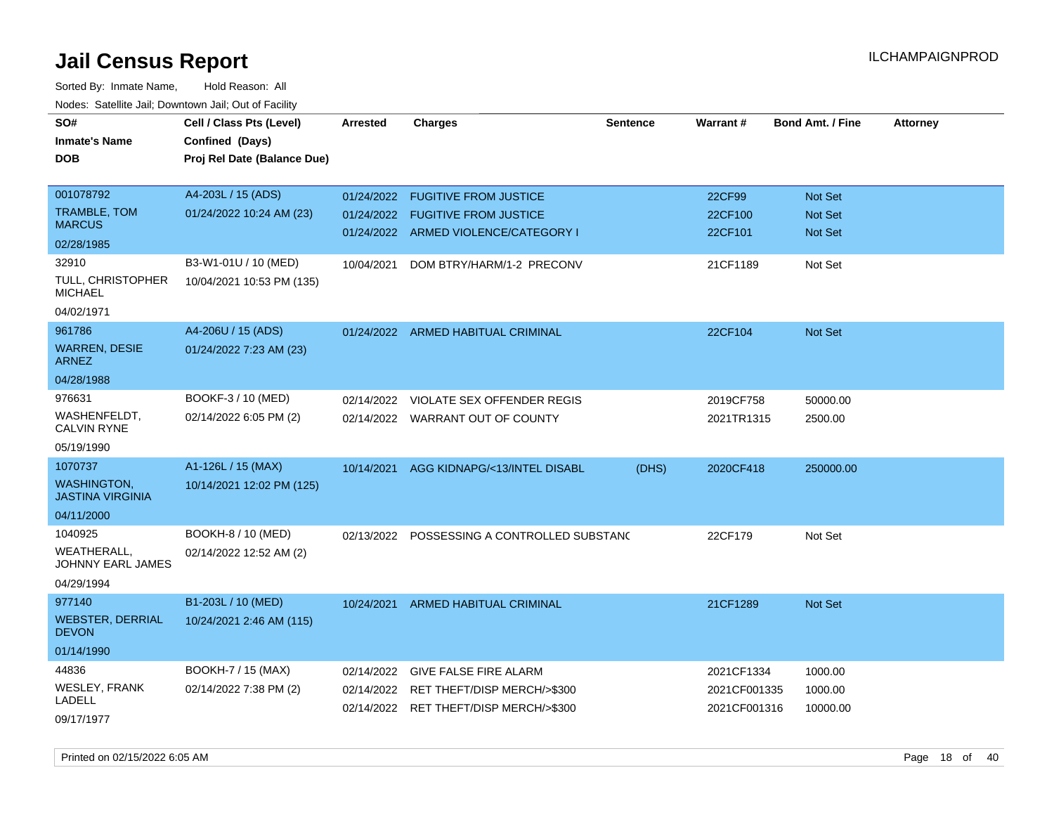| SO#<br><b>Inmate's Name</b><br><b>DOB</b>    | Cell / Class Pts (Level)<br>Confined (Days)<br>Proj Rel Date (Balance Due) | <b>Arrested</b> | <b>Charges</b>                         | <b>Sentence</b> | Warrant#     | <b>Bond Amt. / Fine</b> | <b>Attorney</b> |
|----------------------------------------------|----------------------------------------------------------------------------|-----------------|----------------------------------------|-----------------|--------------|-------------------------|-----------------|
| 001078792                                    | A4-203L / 15 (ADS)                                                         | 01/24/2022      | <b>FUGITIVE FROM JUSTICE</b>           |                 | 22CF99       | Not Set                 |                 |
| TRAMBLE, TOM<br><b>MARCUS</b>                | 01/24/2022 10:24 AM (23)                                                   | 01/24/2022      | <b>FUGITIVE FROM JUSTICE</b>           |                 | 22CF100      | Not Set                 |                 |
| 02/28/1985                                   |                                                                            |                 | 01/24/2022 ARMED VIOLENCE/CATEGORY I   |                 | 22CF101      | <b>Not Set</b>          |                 |
| 32910                                        | B3-W1-01U / 10 (MED)                                                       | 10/04/2021      | DOM BTRY/HARM/1-2 PRECONV              |                 | 21CF1189     | Not Set                 |                 |
| TULL, CHRISTOPHER<br><b>MICHAEL</b>          | 10/04/2021 10:53 PM (135)                                                  |                 |                                        |                 |              |                         |                 |
| 04/02/1971                                   |                                                                            |                 |                                        |                 |              |                         |                 |
| 961786                                       | A4-206U / 15 (ADS)                                                         |                 | 01/24/2022 ARMED HABITUAL CRIMINAL     |                 | 22CF104      | <b>Not Set</b>          |                 |
| <b>WARREN, DESIE</b><br><b>ARNEZ</b>         | 01/24/2022 7:23 AM (23)                                                    |                 |                                        |                 |              |                         |                 |
| 04/28/1988                                   |                                                                            |                 |                                        |                 |              |                         |                 |
| 976631                                       | BOOKF-3 / 10 (MED)                                                         | 02/14/2022      | VIOLATE SEX OFFENDER REGIS             |                 | 2019CF758    | 50000.00                |                 |
| WASHENFELDT.<br><b>CALVIN RYNE</b>           | 02/14/2022 6:05 PM (2)                                                     |                 | 02/14/2022 WARRANT OUT OF COUNTY       |                 | 2021TR1315   | 2500.00                 |                 |
| 05/19/1990                                   |                                                                            |                 |                                        |                 |              |                         |                 |
| 1070737                                      | A1-126L / 15 (MAX)                                                         | 10/14/2021      | AGG KIDNAPG/<13/INTEL DISABL           | (DHS)           | 2020CF418    | 250000.00               |                 |
| <b>WASHINGTON</b><br><b>JASTINA VIRGINIA</b> | 10/14/2021 12:02 PM (125)                                                  |                 |                                        |                 |              |                         |                 |
| 04/11/2000                                   |                                                                            |                 |                                        |                 |              |                         |                 |
| 1040925                                      | BOOKH-8 / 10 (MED)                                                         | 02/13/2022      | POSSESSING A CONTROLLED SUBSTAND       |                 | 22CF179      | Not Set                 |                 |
| WEATHERALL,<br>JOHNNY EARL JAMES             | 02/14/2022 12:52 AM (2)                                                    |                 |                                        |                 |              |                         |                 |
| 04/29/1994                                   |                                                                            |                 |                                        |                 |              |                         |                 |
| 977140                                       | B1-203L / 10 (MED)                                                         | 10/24/2021      | <b>ARMED HABITUAL CRIMINAL</b>         |                 | 21CF1289     | Not Set                 |                 |
| <b>WEBSTER, DERRIAL</b><br><b>DEVON</b>      | 10/24/2021 2:46 AM (115)                                                   |                 |                                        |                 |              |                         |                 |
| 01/14/1990                                   |                                                                            |                 |                                        |                 |              |                         |                 |
| 44836                                        | BOOKH-7 / 15 (MAX)                                                         | 02/14/2022      | <b>GIVE FALSE FIRE ALARM</b>           |                 | 2021CF1334   | 1000.00                 |                 |
| WESLEY, FRANK<br>LADELL                      | 02/14/2022 7:38 PM (2)                                                     |                 | 02/14/2022 RET THEFT/DISP MERCH/>\$300 |                 | 2021CF001335 | 1000.00                 |                 |
| 09/17/1977                                   |                                                                            |                 | 02/14/2022 RET THEFT/DISP MERCH/>\$300 |                 | 2021CF001316 | 10000.00                |                 |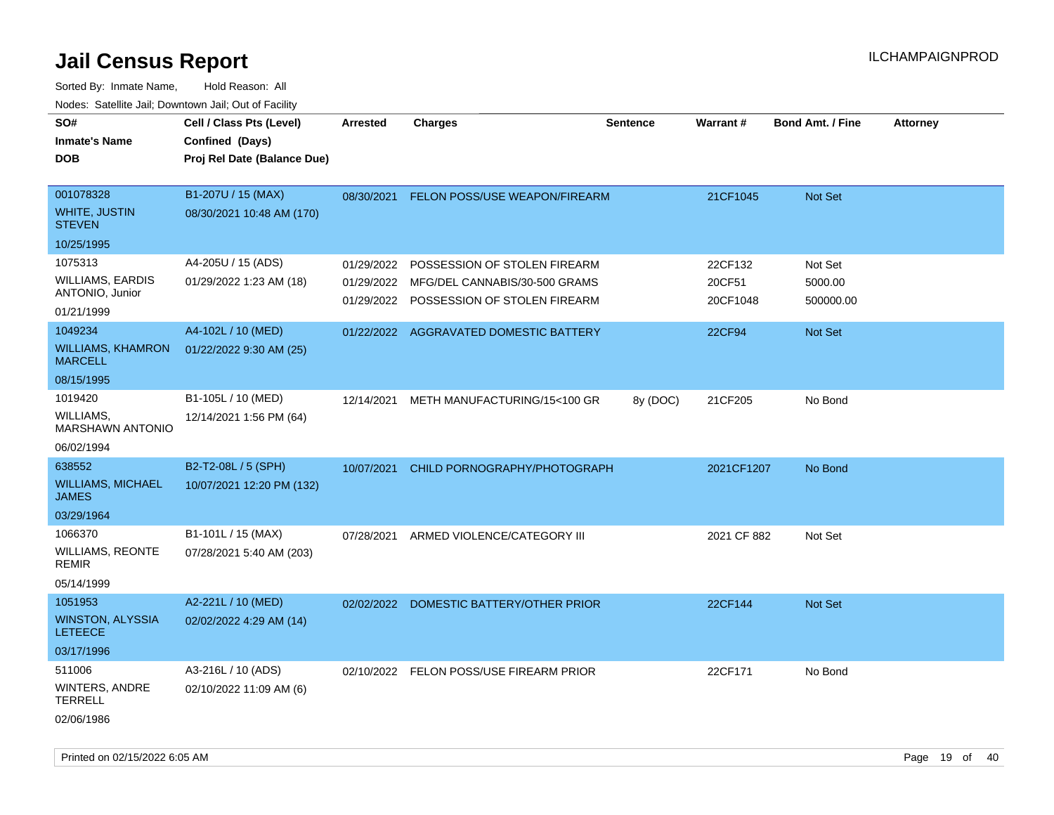Sorted By: Inmate Name, Hold Reason: All Nodes: Satellite Jail; Downtown Jail; Out of Facility

| SO#<br><b>Inmate's Name</b><br><b>DOB</b>          | Cell / Class Pts (Level)<br>Confined (Days)<br>Proj Rel Date (Balance Due) | <b>Arrested</b> | <b>Charges</b>                                                           | <b>Sentence</b> | Warrant#           | <b>Bond Amt. / Fine</b> | <b>Attorney</b> |
|----------------------------------------------------|----------------------------------------------------------------------------|-----------------|--------------------------------------------------------------------------|-----------------|--------------------|-------------------------|-----------------|
| 001078328<br><b>WHITE, JUSTIN</b><br><b>STEVEN</b> | B1-207U / 15 (MAX)<br>08/30/2021 10:48 AM (170)                            | 08/30/2021      | FELON POSS/USE WEAPON/FIREARM                                            |                 | 21CF1045           | <b>Not Set</b>          |                 |
| 10/25/1995                                         |                                                                            |                 |                                                                          |                 |                    |                         |                 |
| 1075313                                            | A4-205U / 15 (ADS)                                                         | 01/29/2022      | POSSESSION OF STOLEN FIREARM                                             |                 | 22CF132            | Not Set                 |                 |
| WILLIAMS, EARDIS<br>ANTONIO, Junior                | 01/29/2022 1:23 AM (18)                                                    | 01/29/2022      | MFG/DEL CANNABIS/30-500 GRAMS<br>01/29/2022 POSSESSION OF STOLEN FIREARM |                 | 20CF51<br>20CF1048 | 5000.00<br>500000.00    |                 |
| 01/21/1999                                         |                                                                            |                 |                                                                          |                 |                    |                         |                 |
| 1049234                                            | A4-102L / 10 (MED)                                                         |                 | 01/22/2022 AGGRAVATED DOMESTIC BATTERY                                   |                 | 22CF94             | Not Set                 |                 |
| <b>WILLIAMS, KHAMRON</b><br><b>MARCELL</b>         | 01/22/2022 9:30 AM (25)                                                    |                 |                                                                          |                 |                    |                         |                 |
| 08/15/1995                                         |                                                                            |                 |                                                                          |                 |                    |                         |                 |
| 1019420                                            | B1-105L / 10 (MED)                                                         | 12/14/2021      | METH MANUFACTURING/15<100 GR                                             | 8y (DOC)        | 21CF205            | No Bond                 |                 |
| WILLIAMS,<br><b>MARSHAWN ANTONIO</b>               | 12/14/2021 1:56 PM (64)                                                    |                 |                                                                          |                 |                    |                         |                 |
| 06/02/1994                                         |                                                                            |                 |                                                                          |                 |                    |                         |                 |
| 638552                                             | B2-T2-08L / 5 (SPH)                                                        | 10/07/2021      | CHILD PORNOGRAPHY/PHOTOGRAPH                                             |                 | 2021CF1207         | No Bond                 |                 |
| <b>WILLIAMS, MICHAEL</b><br><b>JAMES</b>           | 10/07/2021 12:20 PM (132)                                                  |                 |                                                                          |                 |                    |                         |                 |
| 03/29/1964                                         |                                                                            |                 |                                                                          |                 |                    |                         |                 |
| 1066370                                            | B1-101L / 15 (MAX)                                                         | 07/28/2021      | ARMED VIOLENCE/CATEGORY III                                              |                 | 2021 CF 882        | Not Set                 |                 |
| WILLIAMS, REONTE<br>REMIR                          | 07/28/2021 5:40 AM (203)                                                   |                 |                                                                          |                 |                    |                         |                 |
| 05/14/1999                                         |                                                                            |                 |                                                                          |                 |                    |                         |                 |
| 1051953                                            | A2-221L / 10 (MED)                                                         |                 | 02/02/2022 DOMESTIC BATTERY/OTHER PRIOR                                  |                 | 22CF144            | <b>Not Set</b>          |                 |
| <b>WINSTON, ALYSSIA</b><br><b>LETEECE</b>          | 02/02/2022 4:29 AM (14)                                                    |                 |                                                                          |                 |                    |                         |                 |
| 03/17/1996                                         |                                                                            |                 |                                                                          |                 |                    |                         |                 |
| 511006                                             | A3-216L / 10 (ADS)                                                         |                 | 02/10/2022 FELON POSS/USE FIREARM PRIOR                                  |                 | 22CF171            | No Bond                 |                 |
| WINTERS, ANDRE<br>TERRELL                          | 02/10/2022 11:09 AM (6)                                                    |                 |                                                                          |                 |                    |                         |                 |
| 02/06/1986                                         |                                                                            |                 |                                                                          |                 |                    |                         |                 |

Printed on 02/15/2022 6:05 AM Page 19 of 40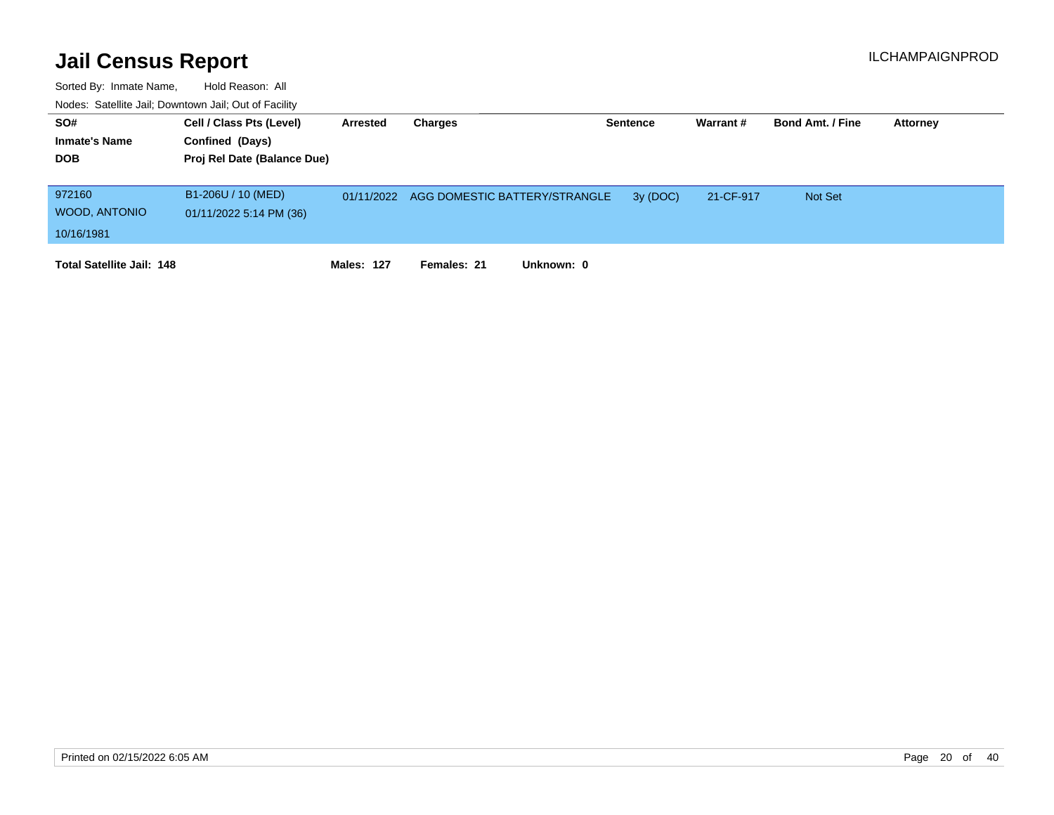| SO#                              | Cell / Class Pts (Level)    | Arrested   | Charges                                  | <b>Sentence</b> | Warrant#  | <b>Bond Amt. / Fine</b> | Attorney |
|----------------------------------|-----------------------------|------------|------------------------------------------|-----------------|-----------|-------------------------|----------|
| <b>Inmate's Name</b>             | Confined (Days)             |            |                                          |                 |           |                         |          |
| <b>DOB</b>                       | Proj Rel Date (Balance Due) |            |                                          |                 |           |                         |          |
|                                  |                             |            |                                          |                 |           |                         |          |
| 972160                           | B1-206U / 10 (MED)          |            | 01/11/2022 AGG DOMESTIC BATTERY/STRANGLE | 3y (DOC)        | 21-CF-917 | <b>Not Set</b>          |          |
| WOOD, ANTONIO                    | 01/11/2022 5:14 PM (36)     |            |                                          |                 |           |                         |          |
| 10/16/1981                       |                             |            |                                          |                 |           |                         |          |
| <b>Total Satellite Jail: 148</b> |                             | Males: 127 | Unknown: 0<br>Females: 21                |                 |           |                         |          |
|                                  |                             |            |                                          |                 |           |                         |          |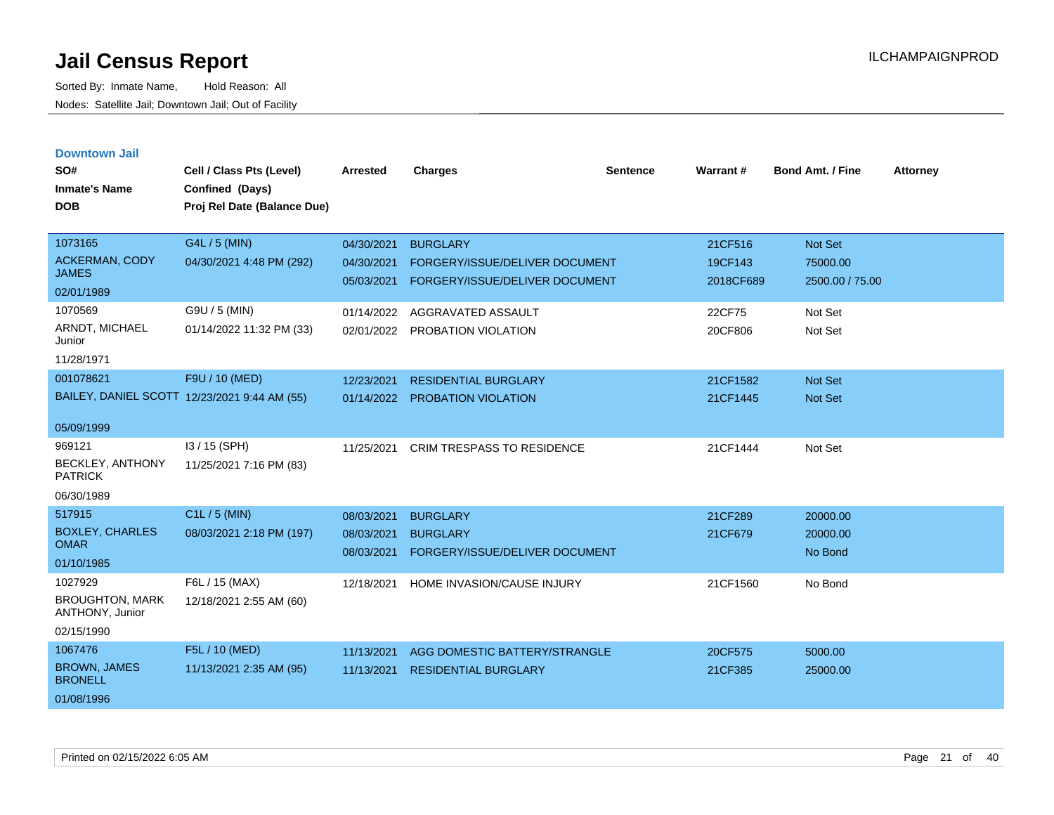| <b>Downtown Jail</b>                      |                                              |            |                                   |          |           |                         |                 |
|-------------------------------------------|----------------------------------------------|------------|-----------------------------------|----------|-----------|-------------------------|-----------------|
| SO#                                       | Cell / Class Pts (Level)                     | Arrested   | <b>Charges</b>                    | Sentence | Warrant#  | <b>Bond Amt. / Fine</b> | <b>Attorney</b> |
| <b>Inmate's Name</b>                      | Confined (Days)                              |            |                                   |          |           |                         |                 |
| <b>DOB</b>                                | Proj Rel Date (Balance Due)                  |            |                                   |          |           |                         |                 |
|                                           |                                              |            |                                   |          |           |                         |                 |
| 1073165                                   | G4L / 5 (MIN)                                | 04/30/2021 | <b>BURGLARY</b>                   |          | 21CF516   | <b>Not Set</b>          |                 |
| <b>ACKERMAN, CODY</b>                     | 04/30/2021 4:48 PM (292)                     | 04/30/2021 | FORGERY/ISSUE/DELIVER DOCUMENT    |          | 19CF143   | 75000.00                |                 |
| <b>JAMES</b>                              |                                              | 05/03/2021 | FORGERY/ISSUE/DELIVER DOCUMENT    |          | 2018CF689 | 2500.00 / 75.00         |                 |
| 02/01/1989                                |                                              |            |                                   |          |           |                         |                 |
| 1070569                                   | G9U / 5 (MIN)                                | 01/14/2022 | AGGRAVATED ASSAULT                |          | 22CF75    | Not Set                 |                 |
| ARNDT, MICHAEL<br>Junior                  | 01/14/2022 11:32 PM (33)                     | 02/01/2022 | PROBATION VIOLATION               |          | 20CF806   | Not Set                 |                 |
| 11/28/1971                                |                                              |            |                                   |          |           |                         |                 |
| 001078621                                 | F9U / 10 (MED)                               | 12/23/2021 | <b>RESIDENTIAL BURGLARY</b>       |          | 21CF1582  | Not Set                 |                 |
|                                           | BAILEY, DANIEL SCOTT 12/23/2021 9:44 AM (55) | 01/14/2022 | PROBATION VIOLATION               |          | 21CF1445  | <b>Not Set</b>          |                 |
|                                           |                                              |            |                                   |          |           |                         |                 |
| 05/09/1999                                |                                              |            |                                   |          |           |                         |                 |
| 969121                                    | I3 / 15 (SPH)                                | 11/25/2021 | <b>CRIM TRESPASS TO RESIDENCE</b> |          | 21CF1444  | Not Set                 |                 |
| <b>BECKLEY, ANTHONY</b><br><b>PATRICK</b> | 11/25/2021 7:16 PM (83)                      |            |                                   |          |           |                         |                 |
| 06/30/1989                                |                                              |            |                                   |          |           |                         |                 |
| 517915                                    | C1L / 5 (MIN)                                | 08/03/2021 | <b>BURGLARY</b>                   |          | 21CF289   | 20000.00                |                 |
| <b>BOXLEY, CHARLES</b>                    | 08/03/2021 2:18 PM (197)                     | 08/03/2021 | <b>BURGLARY</b>                   |          | 21CF679   | 20000.00                |                 |
| <b>OMAR</b>                               |                                              | 08/03/2021 | FORGERY/ISSUE/DELIVER DOCUMENT    |          |           | No Bond                 |                 |
| 01/10/1985                                |                                              |            |                                   |          |           |                         |                 |
| 1027929                                   | F6L / 15 (MAX)                               | 12/18/2021 | HOME INVASION/CAUSE INJURY        |          | 21CF1560  | No Bond                 |                 |
| <b>BROUGHTON, MARK</b><br>ANTHONY, Junior | 12/18/2021 2:55 AM (60)                      |            |                                   |          |           |                         |                 |
| 02/15/1990                                |                                              |            |                                   |          |           |                         |                 |
| 1067476                                   | F5L / 10 (MED)                               | 11/13/2021 | AGG DOMESTIC BATTERY/STRANGLE     |          | 20CF575   | 5000.00                 |                 |
| <b>BROWN, JAMES</b><br><b>BRONELL</b>     | 11/13/2021 2:35 AM (95)                      | 11/13/2021 | <b>RESIDENTIAL BURGLARY</b>       |          | 21CF385   | 25000.00                |                 |
| 01/08/1996                                |                                              |            |                                   |          |           |                         |                 |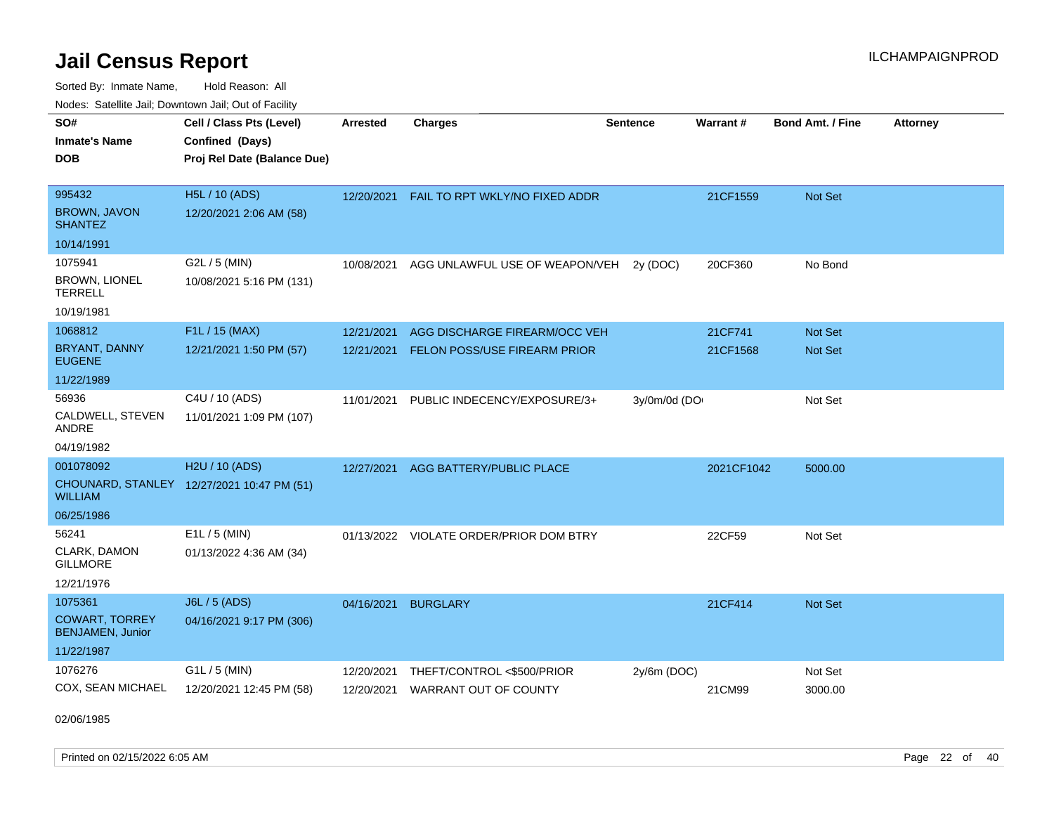Sorted By: Inmate Name, Hold Reason: All Nodes: Satellite Jail; Downtown Jail; Out of Facility

| SO#                                              | Cell / Class Pts (Level)                   | <b>Arrested</b> | <b>Charges</b>                 | <b>Sentence</b> | Warrant#   | <b>Bond Amt. / Fine</b> | <b>Attorney</b> |
|--------------------------------------------------|--------------------------------------------|-----------------|--------------------------------|-----------------|------------|-------------------------|-----------------|
| <b>Inmate's Name</b>                             | Confined (Days)                            |                 |                                |                 |            |                         |                 |
| <b>DOB</b>                                       | Proj Rel Date (Balance Due)                |                 |                                |                 |            |                         |                 |
|                                                  |                                            |                 |                                |                 |            |                         |                 |
| 995432                                           | <b>H5L / 10 (ADS)</b>                      | 12/20/2021      | FAIL TO RPT WKLY/NO FIXED ADDR |                 | 21CF1559   | Not Set                 |                 |
| <b>BROWN, JAVON</b><br><b>SHANTEZ</b>            | 12/20/2021 2:06 AM (58)                    |                 |                                |                 |            |                         |                 |
| 10/14/1991                                       |                                            |                 |                                |                 |            |                         |                 |
| 1075941                                          | G2L / 5 (MIN)                              | 10/08/2021      | AGG UNLAWFUL USE OF WEAPON/VEH | 2y (DOC)        | 20CF360    | No Bond                 |                 |
| <b>BROWN, LIONEL</b><br><b>TERRELL</b>           | 10/08/2021 5:16 PM (131)                   |                 |                                |                 |            |                         |                 |
| 10/19/1981                                       |                                            |                 |                                |                 |            |                         |                 |
| 1068812                                          | F1L / 15 (MAX)                             | 12/21/2021      | AGG DISCHARGE FIREARM/OCC VEH  |                 | 21CF741    | Not Set                 |                 |
| BRYANT, DANNY<br><b>EUGENE</b>                   | 12/21/2021 1:50 PM (57)                    | 12/21/2021      | FELON POSS/USE FIREARM PRIOR   |                 | 21CF1568   | Not Set                 |                 |
| 11/22/1989                                       |                                            |                 |                                |                 |            |                         |                 |
| 56936                                            | C4U / 10 (ADS)                             | 11/01/2021      | PUBLIC INDECENCY/EXPOSURE/3+   | 3y/0m/0d (DO    |            | Not Set                 |                 |
| CALDWELL, STEVEN<br><b>ANDRE</b>                 | 11/01/2021 1:09 PM (107)                   |                 |                                |                 |            |                         |                 |
| 04/19/1982                                       |                                            |                 |                                |                 |            |                         |                 |
| 001078092                                        | H2U / 10 (ADS)                             | 12/27/2021      | AGG BATTERY/PUBLIC PLACE       |                 | 2021CF1042 | 5000.00                 |                 |
| <b>WILLIAM</b>                                   | CHOUNARD, STANLEY 12/27/2021 10:47 PM (51) |                 |                                |                 |            |                         |                 |
| 06/25/1986                                       |                                            |                 |                                |                 |            |                         |                 |
| 56241                                            | $E1L / 5$ (MIN)                            | 01/13/2022      | VIOLATE ORDER/PRIOR DOM BTRY   |                 | 22CF59     | Not Set                 |                 |
| CLARK, DAMON<br><b>GILLMORE</b>                  | 01/13/2022 4:36 AM (34)                    |                 |                                |                 |            |                         |                 |
| 12/21/1976                                       |                                            |                 |                                |                 |            |                         |                 |
| 1075361                                          | J6L / 5 (ADS)                              | 04/16/2021      | <b>BURGLARY</b>                |                 | 21CF414    | Not Set                 |                 |
| <b>COWART, TORREY</b><br><b>BENJAMEN, Junior</b> | 04/16/2021 9:17 PM (306)                   |                 |                                |                 |            |                         |                 |
| 11/22/1987                                       |                                            |                 |                                |                 |            |                         |                 |
| 1076276                                          | G1L / 5 (MIN)                              | 12/20/2021      | THEFT/CONTROL <\$500/PRIOR     | 2y/6m (DOC)     |            | Not Set                 |                 |
| COX, SEAN MICHAEL                                | 12/20/2021 12:45 PM (58)                   | 12/20/2021      | <b>WARRANT OUT OF COUNTY</b>   |                 | 21CM99     | 3000.00                 |                 |

02/06/1985

Printed on 02/15/2022 6:05 AM Page 22 of 40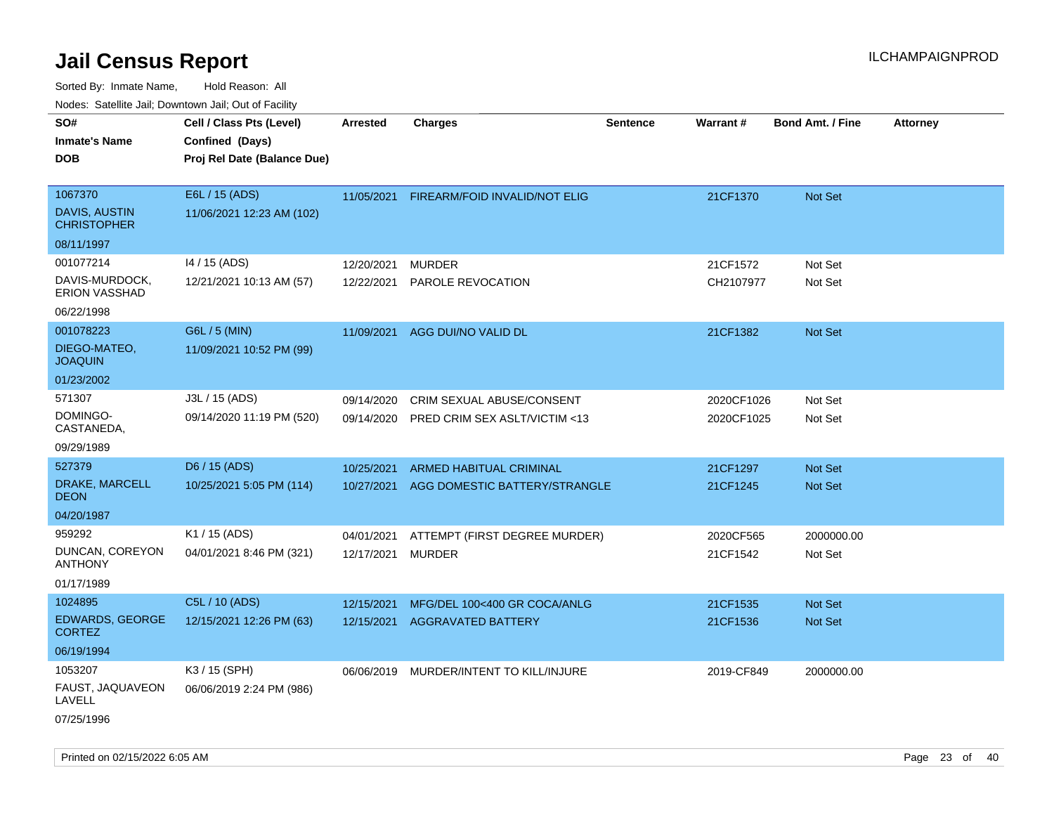| ivouss. Saleline Jali, Downtown Jali, Out of Facility                           |                                                                            |                          |                                                                 |                 |                          |                                  |                 |
|---------------------------------------------------------------------------------|----------------------------------------------------------------------------|--------------------------|-----------------------------------------------------------------|-----------------|--------------------------|----------------------------------|-----------------|
| SO#<br>Inmate's Name<br>DOB                                                     | Cell / Class Pts (Level)<br>Confined (Days)<br>Proj Rel Date (Balance Due) | <b>Arrested</b>          | <b>Charges</b>                                                  | <b>Sentence</b> | Warrant#                 | <b>Bond Amt. / Fine</b>          | <b>Attorney</b> |
| 1067370<br>DAVIS, AUSTIN<br><b>CHRISTOPHER</b>                                  | E6L / 15 (ADS)<br>11/06/2021 12:23 AM (102)                                | 11/05/2021               | FIREARM/FOID INVALID/NOT ELIG                                   |                 | 21CF1370                 | Not Set                          |                 |
| 08/11/1997<br>001077214<br>DAVIS-MURDOCK,<br><b>ERION VASSHAD</b><br>06/22/1998 | 14 / 15 (ADS)<br>12/21/2021 10:13 AM (57)                                  | 12/20/2021<br>12/22/2021 | <b>MURDER</b><br>PAROLE REVOCATION                              |                 | 21CF1572<br>CH2107977    | Not Set<br>Not Set               |                 |
| 001078223<br>DIEGO-MATEO,<br>JOAQUIN<br>01/23/2002                              | G6L / 5 (MIN)<br>11/09/2021 10:52 PM (99)                                  | 11/09/2021               | AGG DUI/NO VALID DL                                             |                 | 21CF1382                 | Not Set                          |                 |
| 571307<br>DOMINGO-<br>CASTANEDA,<br>09/29/1989                                  | J3L / 15 (ADS)<br>09/14/2020 11:19 PM (520)                                | 09/14/2020<br>09/14/2020 | CRIM SEXUAL ABUSE/CONSENT<br>PRED CRIM SEX ASLT/VICTIM <13      |                 | 2020CF1026<br>2020CF1025 | Not Set<br>Not Set               |                 |
| 527379<br>DRAKE, MARCELL<br>DEON<br>04/20/1987                                  | D6 / 15 (ADS)<br>10/25/2021 5:05 PM (114)                                  | 10/25/2021<br>10/27/2021 | <b>ARMED HABITUAL CRIMINAL</b><br>AGG DOMESTIC BATTERY/STRANGLE |                 | 21CF1297<br>21CF1245     | <b>Not Set</b><br><b>Not Set</b> |                 |
| 959292<br>DUNCAN, COREYON<br>ANTHONY<br>01/17/1989                              | K1 / 15 (ADS)<br>04/01/2021 8:46 PM (321)                                  | 04/01/2021<br>12/17/2021 | ATTEMPT (FIRST DEGREE MURDER)<br><b>MURDER</b>                  |                 | 2020CF565<br>21CF1542    | 2000000.00<br>Not Set            |                 |
| 1024895<br><b>EDWARDS, GEORGE</b><br>CORTEZ<br>06/19/1994                       | C5L / 10 (ADS)<br>12/15/2021 12:26 PM (63)                                 | 12/15/2021<br>12/15/2021 | MFG/DEL 100<400 GR COCA/ANLG<br>AGGRAVATED BATTERY              |                 | 21CF1535<br>21CF1536     | <b>Not Set</b><br><b>Not Set</b> |                 |
| 1053207<br>FAUST, JAQUAVEON<br>LAVELL<br>07/25/1996                             | K3 / 15 (SPH)<br>06/06/2019 2:24 PM (986)                                  |                          | 06/06/2019 MURDER/INTENT TO KILL/INJURE                         |                 | 2019-CF849               | 2000000.00                       |                 |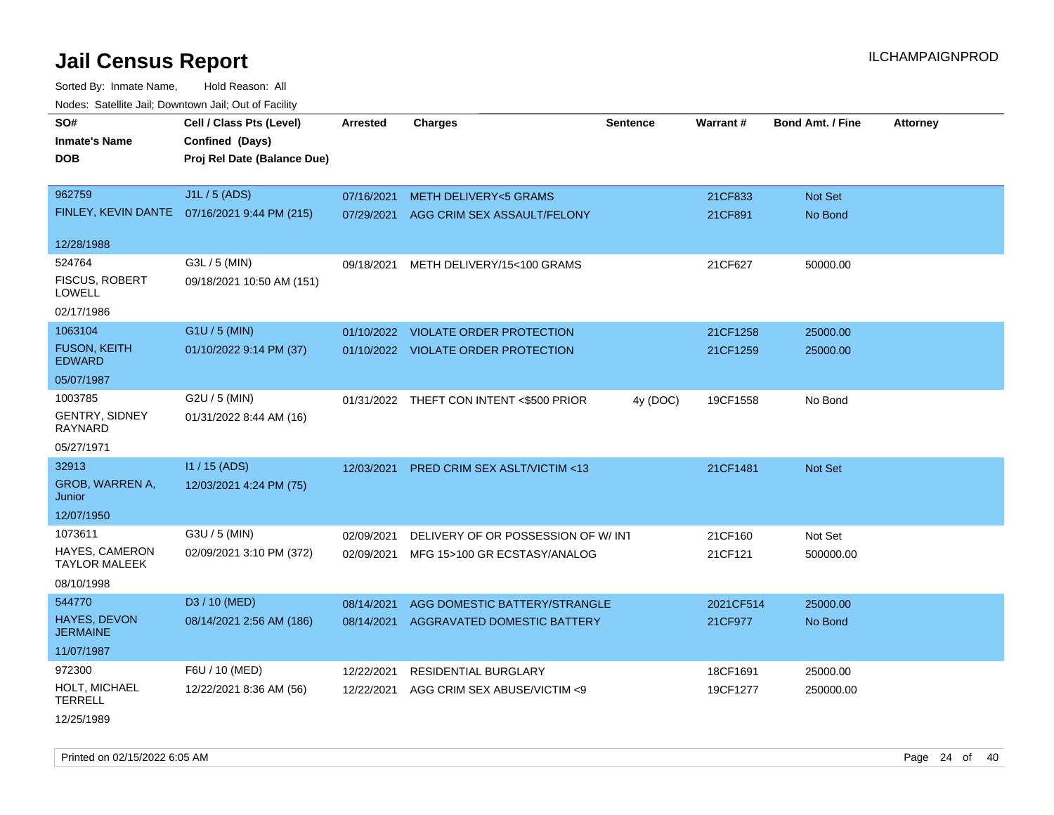Sorted By: Inmate Name, Hold Reason: All Nodes: Satellite Jail; Downtown Jail; Out of Facility

| rouce. Calcillic Jali, Downtown Jali, Out of Facility |                                              |                 |                                          |                 |                 |                         |                 |
|-------------------------------------------------------|----------------------------------------------|-----------------|------------------------------------------|-----------------|-----------------|-------------------------|-----------------|
| SO#<br><b>Inmate's Name</b>                           | Cell / Class Pts (Level)<br>Confined (Days)  | <b>Arrested</b> | <b>Charges</b>                           | <b>Sentence</b> | <b>Warrant#</b> | <b>Bond Amt. / Fine</b> | <b>Attorney</b> |
| <b>DOB</b>                                            | Proj Rel Date (Balance Due)                  |                 |                                          |                 |                 |                         |                 |
| 962759                                                | J1L / 5 (ADS)                                | 07/16/2021      | <b>METH DELIVERY&lt;5 GRAMS</b>          |                 | 21CF833         | Not Set                 |                 |
|                                                       | FINLEY, KEVIN DANTE 07/16/2021 9:44 PM (215) | 07/29/2021      | AGG CRIM SEX ASSAULT/FELONY              |                 | 21CF891         | No Bond                 |                 |
| 12/28/1988                                            |                                              |                 |                                          |                 |                 |                         |                 |
| 524764                                                | G3L / 5 (MIN)                                | 09/18/2021      | METH DELIVERY/15<100 GRAMS               |                 | 21CF627         | 50000.00                |                 |
| <b>FISCUS, ROBERT</b><br><b>LOWELL</b>                | 09/18/2021 10:50 AM (151)                    |                 |                                          |                 |                 |                         |                 |
| 02/17/1986                                            |                                              |                 |                                          |                 |                 |                         |                 |
| 1063104                                               | G1U / 5 (MIN)                                |                 | 01/10/2022 VIOLATE ORDER PROTECTION      |                 | 21CF1258        | 25000.00                |                 |
| <b>FUSON, KEITH</b><br><b>EDWARD</b>                  | 01/10/2022 9:14 PM (37)                      |                 | 01/10/2022 VIOLATE ORDER PROTECTION      |                 | 21CF1259        | 25000.00                |                 |
| 05/07/1987                                            |                                              |                 |                                          |                 |                 |                         |                 |
| 1003785                                               | G2U / 5 (MIN)                                |                 | 01/31/2022 THEFT CON INTENT <\$500 PRIOR | 4y (DOC)        | 19CF1558        | No Bond                 |                 |
| <b>GENTRY, SIDNEY</b><br>RAYNARD                      | 01/31/2022 8:44 AM (16)                      |                 |                                          |                 |                 |                         |                 |
| 05/27/1971                                            |                                              |                 |                                          |                 |                 |                         |                 |
| 32913                                                 | I1 / 15 (ADS)                                | 12/03/2021      | PRED CRIM SEX ASLT/VICTIM <13            |                 | 21CF1481        | <b>Not Set</b>          |                 |
| GROB, WARREN A,<br>Junior                             | 12/03/2021 4:24 PM (75)                      |                 |                                          |                 |                 |                         |                 |
| 12/07/1950                                            |                                              |                 |                                          |                 |                 |                         |                 |
| 1073611                                               | G3U / 5 (MIN)                                | 02/09/2021      | DELIVERY OF OR POSSESSION OF W/INT       |                 | 21CF160         | Not Set                 |                 |
| <b>HAYES, CAMERON</b><br><b>TAYLOR MALEEK</b>         | 02/09/2021 3:10 PM (372)                     | 02/09/2021      | MFG 15>100 GR ECSTASY/ANALOG             |                 | 21CF121         | 500000.00               |                 |
| 08/10/1998                                            |                                              |                 |                                          |                 |                 |                         |                 |
| 544770                                                | D3 / 10 (MED)                                | 08/14/2021      | AGG DOMESTIC BATTERY/STRANGLE            |                 | 2021CF514       | 25000.00                |                 |
| <b>HAYES, DEVON</b><br><b>JERMAINE</b>                | 08/14/2021 2:56 AM (186)                     | 08/14/2021      | <b>AGGRAVATED DOMESTIC BATTERY</b>       |                 | 21CF977         | No Bond                 |                 |
| 11/07/1987                                            |                                              |                 |                                          |                 |                 |                         |                 |
| 972300                                                | F6U / 10 (MED)                               | 12/22/2021      | <b>RESIDENTIAL BURGLARY</b>              |                 | 18CF1691        | 25000.00                |                 |
| HOLT, MICHAEL<br><b>TERRELL</b>                       | 12/22/2021 8:36 AM (56)                      | 12/22/2021      | AGG CRIM SEX ABUSE/VICTIM <9             |                 | 19CF1277        | 250000.00               |                 |
|                                                       |                                              |                 |                                          |                 |                 |                         |                 |

12/25/1989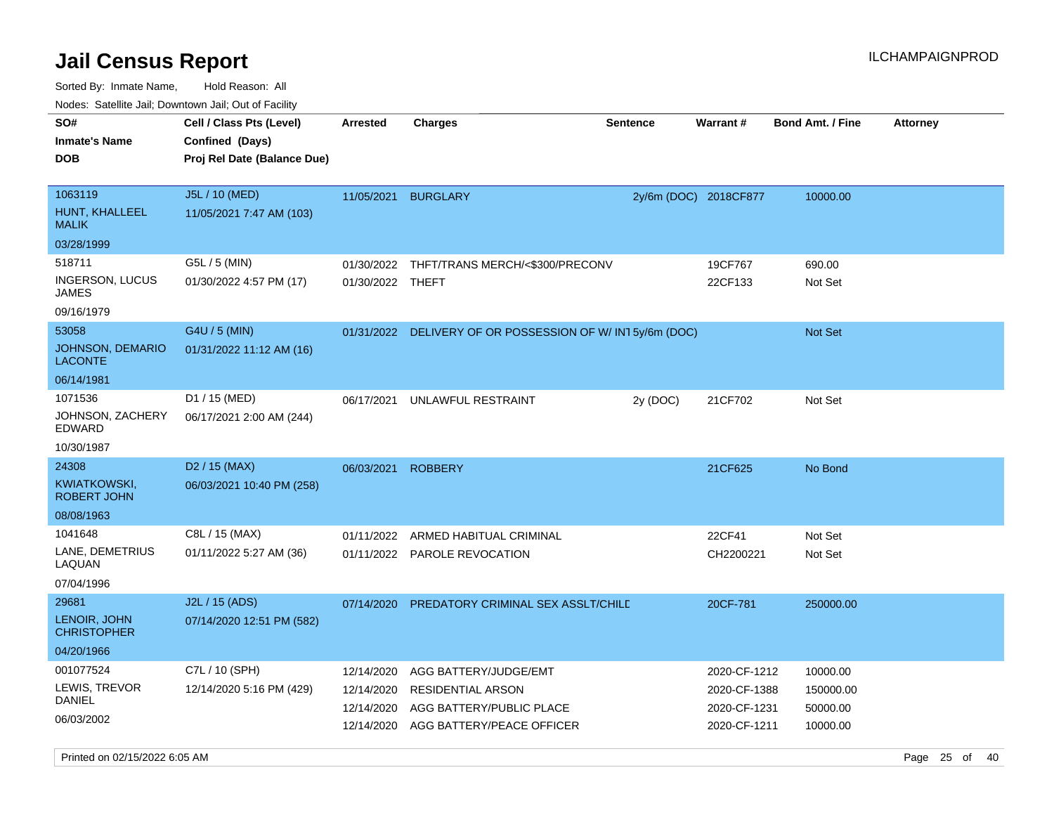Sorted By: Inmate Name, Hold Reason: All

| Nodes: Satellite Jail; Downtown Jail; Out of Facility |                                           |                  |                                                          |                 |                       |                         |                 |  |
|-------------------------------------------------------|-------------------------------------------|------------------|----------------------------------------------------------|-----------------|-----------------------|-------------------------|-----------------|--|
| SO#                                                   | Cell / Class Pts (Level)                  | <b>Arrested</b>  | <b>Charges</b>                                           | <b>Sentence</b> | Warrant#              | <b>Bond Amt. / Fine</b> | <b>Attorney</b> |  |
| <b>Inmate's Name</b>                                  | Confined (Days)                           |                  |                                                          |                 |                       |                         |                 |  |
| <b>DOB</b>                                            | Proj Rel Date (Balance Due)               |                  |                                                          |                 |                       |                         |                 |  |
|                                                       |                                           |                  |                                                          |                 |                       |                         |                 |  |
| 1063119                                               | J5L / 10 (MED)                            |                  | 11/05/2021 BURGLARY                                      |                 | 2y/6m (DOC) 2018CF877 | 10000.00                |                 |  |
| HUNT, KHALLEEL<br><b>MALIK</b>                        | 11/05/2021 7:47 AM (103)                  |                  |                                                          |                 |                       |                         |                 |  |
| 03/28/1999                                            |                                           |                  |                                                          |                 |                       |                         |                 |  |
| 518711                                                | G5L / 5 (MIN)                             |                  | 01/30/2022 THFT/TRANS MERCH/<\$300/PRECONV               |                 | 19CF767               | 690.00                  |                 |  |
| <b>INGERSON, LUCUS</b><br><b>JAMES</b>                | 01/30/2022 4:57 PM (17)                   | 01/30/2022 THEFT |                                                          |                 | 22CF133               | Not Set                 |                 |  |
| 09/16/1979                                            |                                           |                  |                                                          |                 |                       |                         |                 |  |
| 53058                                                 | G4U / 5 (MIN)                             |                  | 01/31/2022 DELIVERY OF OR POSSESSION OF W/IN15y/6m (DOC) |                 |                       | <b>Not Set</b>          |                 |  |
| <b>JOHNSON, DEMARIO</b><br><b>LACONTE</b>             | 01/31/2022 11:12 AM (16)                  |                  |                                                          |                 |                       |                         |                 |  |
| 06/14/1981                                            |                                           |                  |                                                          |                 |                       |                         |                 |  |
| 1071536<br>JOHNSON, ZACHERY<br><b>EDWARD</b>          | D1 / 15 (MED)<br>06/17/2021 2:00 AM (244) | 06/17/2021       | UNLAWFUL RESTRAINT                                       | 2y (DOC)        | 21CF702               | Not Set                 |                 |  |
| 10/30/1987                                            |                                           |                  |                                                          |                 |                       |                         |                 |  |
| 24308                                                 | $D2 / 15$ (MAX)                           | 06/03/2021       | <b>ROBBERY</b>                                           |                 | 21CF625               | No Bond                 |                 |  |
| <b>KWIATKOWSKI,</b><br><b>ROBERT JOHN</b>             | 06/03/2021 10:40 PM (258)                 |                  |                                                          |                 |                       |                         |                 |  |
| 08/08/1963                                            |                                           |                  |                                                          |                 |                       |                         |                 |  |
| 1041648                                               | C8L / 15 (MAX)                            | 01/11/2022       | ARMED HABITUAL CRIMINAL                                  |                 | 22CF41                | Not Set                 |                 |  |
| LANE, DEMETRIUS<br>LAQUAN                             | 01/11/2022 5:27 AM (36)                   |                  | 01/11/2022 PAROLE REVOCATION                             |                 | CH2200221             | Not Set                 |                 |  |
| 07/04/1996                                            |                                           |                  |                                                          |                 |                       |                         |                 |  |
| 29681                                                 | J2L / 15 (ADS)                            | 07/14/2020       | PREDATORY CRIMINAL SEX ASSLT/CHILD                       |                 | 20CF-781              | 250000.00               |                 |  |
| LENOIR, JOHN<br><b>CHRISTOPHER</b>                    | 07/14/2020 12:51 PM (582)                 |                  |                                                          |                 |                       |                         |                 |  |
| 04/20/1966                                            |                                           |                  |                                                          |                 |                       |                         |                 |  |
| 001077524                                             | C7L / 10 (SPH)                            | 12/14/2020       | AGG BATTERY/JUDGE/EMT                                    |                 | 2020-CF-1212          | 10000.00                |                 |  |
| LEWIS, TREVOR                                         | 12/14/2020 5:16 PM (429)                  | 12/14/2020       | <b>RESIDENTIAL ARSON</b>                                 |                 | 2020-CF-1388          | 150000.00               |                 |  |
| <b>DANIEL</b>                                         |                                           | 12/14/2020       | AGG BATTERY/PUBLIC PLACE                                 |                 | 2020-CF-1231          | 50000.00                |                 |  |
| 06/03/2002                                            |                                           | 12/14/2020       | AGG BATTERY/PEACE OFFICER                                |                 | 2020-CF-1211          | 10000.00                |                 |  |

Printed on 02/15/2022 6:05 AM Page 25 of 40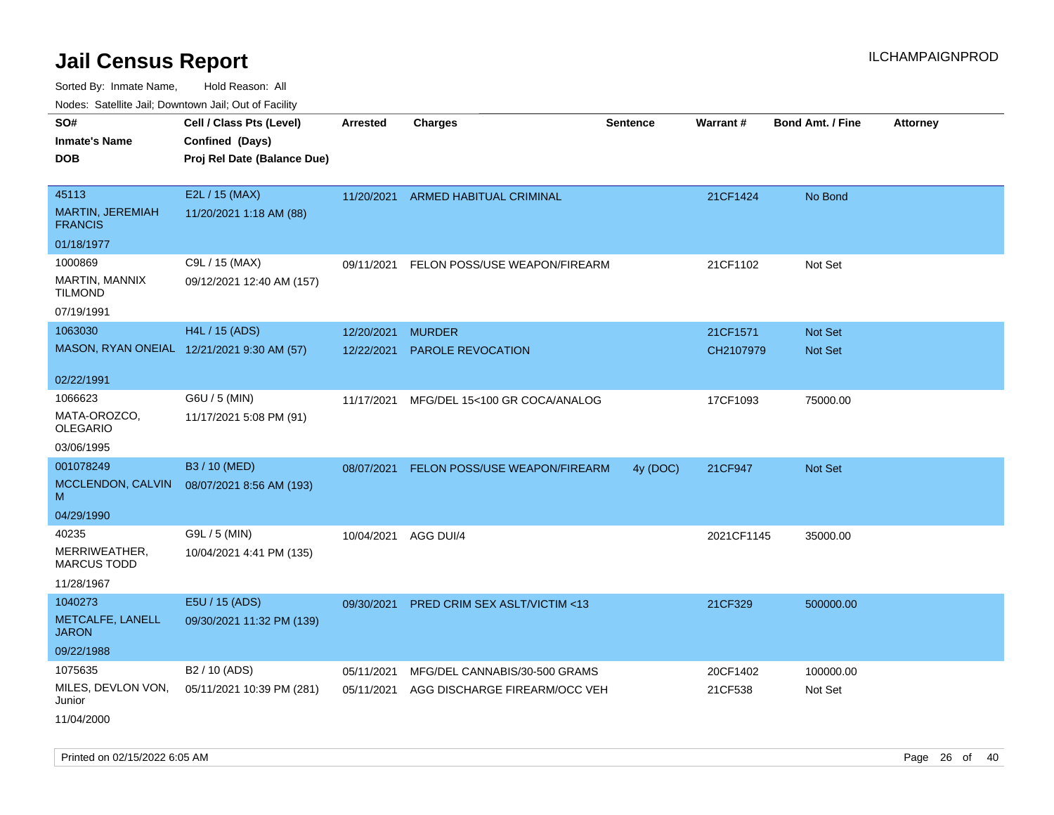Sorted By: Inmate Name, Hold Reason: All Nodes: Satellite Jail; Downtown Jail; Out of Facility

| rouco. Calcillo Jali, Downtown Jali, Out of Facility |                                             |                 |                               |                 |            |                         |                 |
|------------------------------------------------------|---------------------------------------------|-----------------|-------------------------------|-----------------|------------|-------------------------|-----------------|
| SO#<br><b>Inmate's Name</b>                          | Cell / Class Pts (Level)<br>Confined (Days) | <b>Arrested</b> | <b>Charges</b>                | <b>Sentence</b> | Warrant#   | <b>Bond Amt. / Fine</b> | <b>Attorney</b> |
| <b>DOB</b>                                           | Proj Rel Date (Balance Due)                 |                 |                               |                 |            |                         |                 |
| 45113                                                | E2L / 15 (MAX)                              | 11/20/2021      | ARMED HABITUAL CRIMINAL       |                 | 21CF1424   | No Bond                 |                 |
| MARTIN, JEREMIAH<br><b>FRANCIS</b>                   | 11/20/2021 1:18 AM (88)                     |                 |                               |                 |            |                         |                 |
| 01/18/1977                                           |                                             |                 |                               |                 |            |                         |                 |
| 1000869                                              | C9L / 15 (MAX)                              | 09/11/2021      | FELON POSS/USE WEAPON/FIREARM |                 | 21CF1102   | Not Set                 |                 |
| MARTIN, MANNIX<br><b>TILMOND</b>                     | 09/12/2021 12:40 AM (157)                   |                 |                               |                 |            |                         |                 |
| 07/19/1991                                           |                                             |                 |                               |                 |            |                         |                 |
| 1063030                                              | H4L / 15 (ADS)                              | 12/20/2021      | <b>MURDER</b>                 |                 | 21CF1571   | Not Set                 |                 |
|                                                      | MASON, RYAN ONEIAL 12/21/2021 9:30 AM (57)  | 12/22/2021      | <b>PAROLE REVOCATION</b>      |                 | CH2107979  | <b>Not Set</b>          |                 |
| 02/22/1991                                           |                                             |                 |                               |                 |            |                         |                 |
| 1066623                                              | G6U / 5 (MIN)                               | 11/17/2021      | MFG/DEL 15<100 GR COCA/ANALOG |                 | 17CF1093   | 75000.00                |                 |
| MATA-OROZCO,<br>OLEGARIO                             | 11/17/2021 5:08 PM (91)                     |                 |                               |                 |            |                         |                 |
| 03/06/1995                                           |                                             |                 |                               |                 |            |                         |                 |
| 001078249                                            | B3 / 10 (MED)                               | 08/07/2021      | FELON POSS/USE WEAPON/FIREARM | 4y (DOC)        | 21CF947    | Not Set                 |                 |
| MCCLENDON, CALVIN<br>M                               | 08/07/2021 8:56 AM (193)                    |                 |                               |                 |            |                         |                 |
| 04/29/1990                                           |                                             |                 |                               |                 |            |                         |                 |
| 40235                                                | G9L / 5 (MIN)                               | 10/04/2021      | AGG DUI/4                     |                 | 2021CF1145 | 35000.00                |                 |
| MERRIWEATHER,<br><b>MARCUS TODD</b>                  | 10/04/2021 4:41 PM (135)                    |                 |                               |                 |            |                         |                 |
| 11/28/1967                                           |                                             |                 |                               |                 |            |                         |                 |
| 1040273                                              | E5U / 15 (ADS)                              | 09/30/2021      | PRED CRIM SEX ASLT/VICTIM <13 |                 | 21CF329    | 500000.00               |                 |
| METCALFE, LANELL<br><b>JARON</b>                     | 09/30/2021 11:32 PM (139)                   |                 |                               |                 |            |                         |                 |
| 09/22/1988                                           |                                             |                 |                               |                 |            |                         |                 |
| 1075635                                              | B2 / 10 (ADS)                               | 05/11/2021      | MFG/DEL CANNABIS/30-500 GRAMS |                 | 20CF1402   | 100000.00               |                 |
| MILES, DEVLON VON,<br>Junior                         | 05/11/2021 10:39 PM (281)                   | 05/11/2021      | AGG DISCHARGE FIREARM/OCC VEH |                 | 21CF538    | Not Set                 |                 |
| 11/04/2000                                           |                                             |                 |                               |                 |            |                         |                 |

Printed on 02/15/2022 6:05 AM Page 26 of 40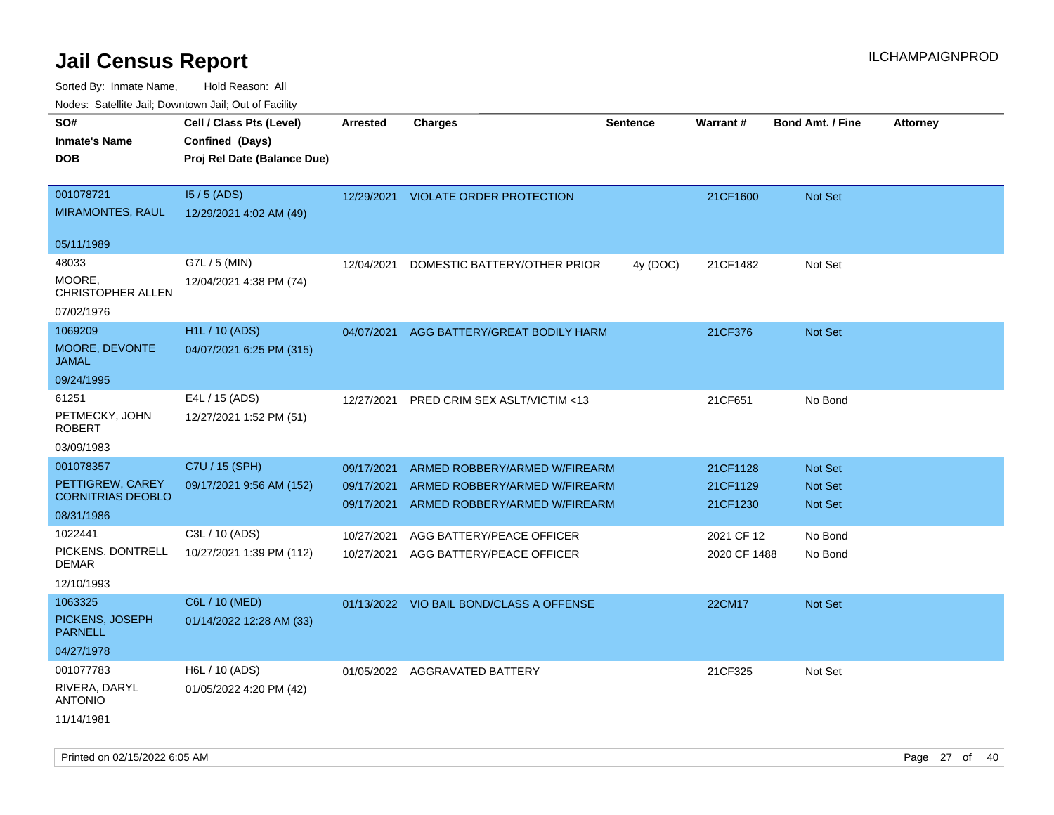Sorted By: Inmate Name, Hold Reason: All

| Nodes: Satellite Jail; Downtown Jail; Out of Facility |
|-------------------------------------------------------|
|                                                       |

| roaco. Odiollito dall, Downtown dall, Out of Fability<br>SO# | Cell / Class Pts (Level)    | <b>Arrested</b> | <b>Charges</b>                           | <b>Sentence</b> | Warrant#     | <b>Bond Amt. / Fine</b> | <b>Attorney</b> |
|--------------------------------------------------------------|-----------------------------|-----------------|------------------------------------------|-----------------|--------------|-------------------------|-----------------|
| <b>Inmate's Name</b>                                         | Confined (Days)             |                 |                                          |                 |              |                         |                 |
| <b>DOB</b>                                                   | Proj Rel Date (Balance Due) |                 |                                          |                 |              |                         |                 |
|                                                              |                             |                 |                                          |                 |              |                         |                 |
| 001078721                                                    | $15/5$ (ADS)                |                 | 12/29/2021 VIOLATE ORDER PROTECTION      |                 | 21CF1600     | Not Set                 |                 |
| <b>MIRAMONTES, RAUL</b>                                      | 12/29/2021 4:02 AM (49)     |                 |                                          |                 |              |                         |                 |
|                                                              |                             |                 |                                          |                 |              |                         |                 |
| 05/11/1989<br>48033                                          | G7L / 5 (MIN)               |                 |                                          |                 |              |                         |                 |
| MOORE,                                                       |                             | 12/04/2021      | DOMESTIC BATTERY/OTHER PRIOR             | 4y (DOC)        | 21CF1482     | Not Set                 |                 |
| CHRISTOPHER ALLEN                                            | 12/04/2021 4:38 PM (74)     |                 |                                          |                 |              |                         |                 |
| 07/02/1976                                                   |                             |                 |                                          |                 |              |                         |                 |
| 1069209                                                      | H1L / 10 (ADS)              | 04/07/2021      | AGG BATTERY/GREAT BODILY HARM            |                 | 21CF376      | Not Set                 |                 |
| MOORE, DEVONTE                                               | 04/07/2021 6:25 PM (315)    |                 |                                          |                 |              |                         |                 |
| <b>JAMAL</b>                                                 |                             |                 |                                          |                 |              |                         |                 |
| 09/24/1995                                                   |                             |                 |                                          |                 |              |                         |                 |
| 61251                                                        | E4L / 15 (ADS)              | 12/27/2021      | PRED CRIM SEX ASLT/VICTIM <13            |                 | 21CF651      | No Bond                 |                 |
| PETMECKY, JOHN<br><b>ROBERT</b>                              | 12/27/2021 1:52 PM (51)     |                 |                                          |                 |              |                         |                 |
| 03/09/1983                                                   |                             |                 |                                          |                 |              |                         |                 |
| 001078357                                                    | C7U / 15 (SPH)              | 09/17/2021      | ARMED ROBBERY/ARMED W/FIREARM            |                 | 21CF1128     | Not Set                 |                 |
| PETTIGREW, CAREY                                             | 09/17/2021 9:56 AM (152)    | 09/17/2021      | ARMED ROBBERY/ARMED W/FIREARM            |                 | 21CF1129     | Not Set                 |                 |
| <b>CORNITRIAS DEOBLO</b>                                     |                             | 09/17/2021      | ARMED ROBBERY/ARMED W/FIREARM            |                 | 21CF1230     | Not Set                 |                 |
| 08/31/1986                                                   |                             |                 |                                          |                 |              |                         |                 |
| 1022441                                                      | C3L / 10 (ADS)              | 10/27/2021      | AGG BATTERY/PEACE OFFICER                |                 | 2021 CF 12   | No Bond                 |                 |
| PICKENS, DONTRELL<br><b>DEMAR</b>                            | 10/27/2021 1:39 PM (112)    | 10/27/2021      | AGG BATTERY/PEACE OFFICER                |                 | 2020 CF 1488 | No Bond                 |                 |
| 12/10/1993                                                   |                             |                 |                                          |                 |              |                         |                 |
| 1063325                                                      | C6L / 10 (MED)              |                 | 01/13/2022 VIO BAIL BOND/CLASS A OFFENSE |                 | 22CM17       | Not Set                 |                 |
| PICKENS, JOSEPH                                              | 01/14/2022 12:28 AM (33)    |                 |                                          |                 |              |                         |                 |
| <b>PARNELL</b>                                               |                             |                 |                                          |                 |              |                         |                 |
| 04/27/1978                                                   |                             |                 |                                          |                 |              |                         |                 |
| 001077783                                                    | H6L / 10 (ADS)              |                 | 01/05/2022 AGGRAVATED BATTERY            |                 | 21CF325      | Not Set                 |                 |
| RIVERA, DARYL<br><b>ANTONIO</b>                              | 01/05/2022 4:20 PM (42)     |                 |                                          |                 |              |                         |                 |
| 11/14/1981                                                   |                             |                 |                                          |                 |              |                         |                 |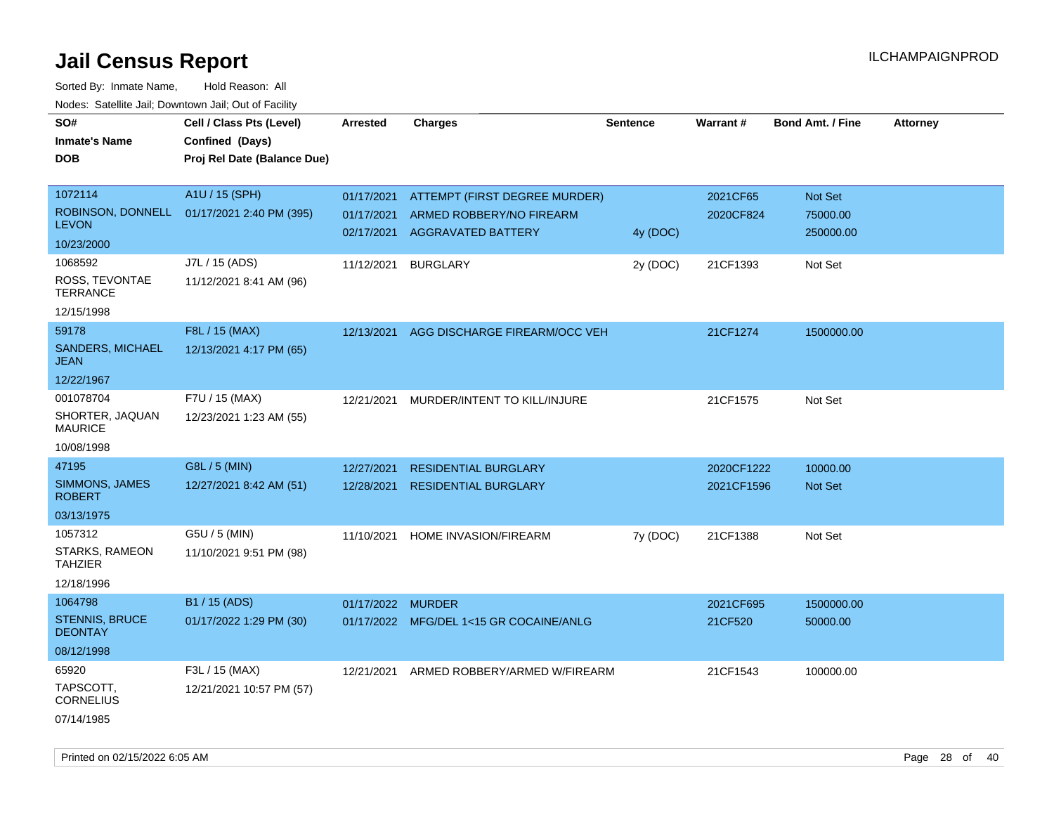| Hougo. Catolino can, Bowmown can, Cat or Fagme<br>SO#<br><b>Inmate's Name</b><br><b>DOB</b> | Cell / Class Pts (Level)<br>Confined (Days)<br>Proj Rel Date (Balance Due) | Arrested          | <b>Charges</b>                          | <b>Sentence</b> | Warrant#   | <b>Bond Amt. / Fine</b> | <b>Attorney</b> |
|---------------------------------------------------------------------------------------------|----------------------------------------------------------------------------|-------------------|-----------------------------------------|-----------------|------------|-------------------------|-----------------|
| 1072114                                                                                     | A1U / 15 (SPH)                                                             | 01/17/2021        | ATTEMPT (FIRST DEGREE MURDER)           |                 | 2021CF65   | Not Set                 |                 |
| <b>LEVON</b>                                                                                | ROBINSON, DONNELL 01/17/2021 2:40 PM (395)                                 | 01/17/2021        | ARMED ROBBERY/NO FIREARM                |                 | 2020CF824  | 75000.00                |                 |
| 10/23/2000                                                                                  |                                                                            | 02/17/2021        | <b>AGGRAVATED BATTERY</b>               | 4y (DOC)        |            | 250000.00               |                 |
| 1068592                                                                                     | J7L / 15 (ADS)                                                             | 11/12/2021        | <b>BURGLARY</b>                         | 2y (DOC)        | 21CF1393   | Not Set                 |                 |
| ROSS, TEVONTAE<br><b>TERRANCE</b>                                                           | 11/12/2021 8:41 AM (96)                                                    |                   |                                         |                 |            |                         |                 |
| 12/15/1998                                                                                  |                                                                            |                   |                                         |                 |            |                         |                 |
| 59178                                                                                       | F8L / 15 (MAX)                                                             | 12/13/2021        | AGG DISCHARGE FIREARM/OCC VEH           |                 | 21CF1274   | 1500000.00              |                 |
| <b>SANDERS, MICHAEL</b><br>JEAN                                                             | 12/13/2021 4:17 PM (65)                                                    |                   |                                         |                 |            |                         |                 |
| 12/22/1967                                                                                  |                                                                            |                   |                                         |                 |            |                         |                 |
| 001078704                                                                                   | F7U / 15 (MAX)                                                             | 12/21/2021        | MURDER/INTENT TO KILL/INJURE            |                 | 21CF1575   | Not Set                 |                 |
| SHORTER, JAQUAN<br><b>MAURICE</b>                                                           | 12/23/2021 1:23 AM (55)                                                    |                   |                                         |                 |            |                         |                 |
| 10/08/1998                                                                                  |                                                                            |                   |                                         |                 |            |                         |                 |
| 47195                                                                                       | G8L / 5 (MIN)                                                              | 12/27/2021        | <b>RESIDENTIAL BURGLARY</b>             |                 | 2020CF1222 | 10000.00                |                 |
| SIMMONS, JAMES<br><b>ROBERT</b>                                                             | 12/27/2021 8:42 AM (51)                                                    | 12/28/2021        | <b>RESIDENTIAL BURGLARY</b>             |                 | 2021CF1596 | <b>Not Set</b>          |                 |
| 03/13/1975                                                                                  |                                                                            |                   |                                         |                 |            |                         |                 |
| 1057312                                                                                     | G5U / 5 (MIN)                                                              | 11/10/2021        | HOME INVASION/FIREARM                   | 7y (DOC)        | 21CF1388   | Not Set                 |                 |
| STARKS, RAMEON<br>TAHZIER                                                                   | 11/10/2021 9:51 PM (98)                                                    |                   |                                         |                 |            |                         |                 |
| 12/18/1996                                                                                  |                                                                            |                   |                                         |                 |            |                         |                 |
| 1064798                                                                                     | B1 / 15 (ADS)                                                              | 01/17/2022 MURDER |                                         |                 | 2021CF695  | 1500000.00              |                 |
| STENNIS, BRUCE<br><b>DEONTAY</b>                                                            | 01/17/2022 1:29 PM (30)                                                    |                   | 01/17/2022 MFG/DEL 1<15 GR COCAINE/ANLG |                 | 21CF520    | 50000.00                |                 |
| 08/12/1998                                                                                  |                                                                            |                   |                                         |                 |            |                         |                 |
| 65920                                                                                       | F3L / 15 (MAX)                                                             | 12/21/2021        | ARMED ROBBERY/ARMED W/FIREARM           |                 | 21CF1543   | 100000.00               |                 |
| TAPSCOTT.<br><b>CORNELIUS</b>                                                               | 12/21/2021 10:57 PM (57)                                                   |                   |                                         |                 |            |                         |                 |
| 07/14/1985                                                                                  |                                                                            |                   |                                         |                 |            |                         |                 |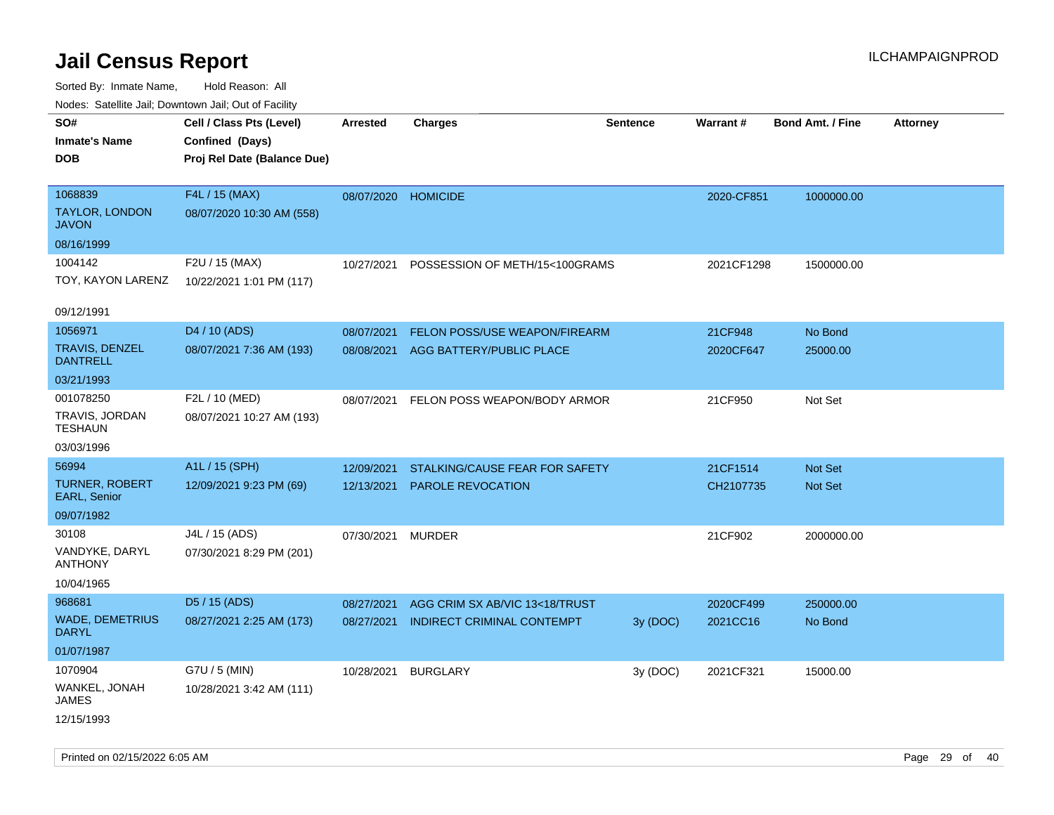| roaco. Catolino cali, Domntonn cali, Out of Facility |                             |                     |                                |                 |            |                         |                 |
|------------------------------------------------------|-----------------------------|---------------------|--------------------------------|-----------------|------------|-------------------------|-----------------|
| SO#                                                  | Cell / Class Pts (Level)    | <b>Arrested</b>     | <b>Charges</b>                 | <b>Sentence</b> | Warrant#   | <b>Bond Amt. / Fine</b> | <b>Attorney</b> |
| <b>Inmate's Name</b>                                 | Confined (Days)             |                     |                                |                 |            |                         |                 |
| <b>DOB</b>                                           | Proj Rel Date (Balance Due) |                     |                                |                 |            |                         |                 |
|                                                      |                             |                     |                                |                 |            |                         |                 |
| 1068839                                              | F4L / 15 (MAX)              | 08/07/2020 HOMICIDE |                                |                 | 2020-CF851 | 1000000.00              |                 |
| TAYLOR, LONDON<br><b>JAVON</b>                       | 08/07/2020 10:30 AM (558)   |                     |                                |                 |            |                         |                 |
| 08/16/1999                                           |                             |                     |                                |                 |            |                         |                 |
| 1004142                                              | F2U / 15 (MAX)              | 10/27/2021          | POSSESSION OF METH/15<100GRAMS |                 | 2021CF1298 | 1500000.00              |                 |
| TOY, KAYON LARENZ                                    | 10/22/2021 1:01 PM (117)    |                     |                                |                 |            |                         |                 |
|                                                      |                             |                     |                                |                 |            |                         |                 |
| 09/12/1991                                           |                             |                     |                                |                 |            |                         |                 |
| 1056971                                              | D4 / 10 (ADS)               | 08/07/2021          | FELON POSS/USE WEAPON/FIREARM  |                 | 21CF948    | No Bond                 |                 |
| <b>TRAVIS, DENZEL</b><br><b>DANTRELL</b>             | 08/07/2021 7:36 AM (193)    | 08/08/2021          | AGG BATTERY/PUBLIC PLACE       |                 | 2020CF647  | 25000.00                |                 |
| 03/21/1993                                           |                             |                     |                                |                 |            |                         |                 |
| 001078250                                            | F2L / 10 (MED)              | 08/07/2021          | FELON POSS WEAPON/BODY ARMOR   |                 | 21CF950    | Not Set                 |                 |
| TRAVIS, JORDAN<br><b>TESHAUN</b>                     | 08/07/2021 10:27 AM (193)   |                     |                                |                 |            |                         |                 |
| 03/03/1996                                           |                             |                     |                                |                 |            |                         |                 |
| 56994                                                | A1L / 15 (SPH)              | 12/09/2021          | STALKING/CAUSE FEAR FOR SAFETY |                 | 21CF1514   | <b>Not Set</b>          |                 |
| TURNER, ROBERT<br>EARL, Senior                       | 12/09/2021 9:23 PM (69)     | 12/13/2021          | <b>PAROLE REVOCATION</b>       |                 | CH2107735  | Not Set                 |                 |
| 09/07/1982                                           |                             |                     |                                |                 |            |                         |                 |
| 30108                                                | J4L / 15 (ADS)              | 07/30/2021          | <b>MURDER</b>                  |                 | 21CF902    | 2000000.00              |                 |
| VANDYKE, DARYL<br><b>ANTHONY</b>                     | 07/30/2021 8:29 PM (201)    |                     |                                |                 |            |                         |                 |
| 10/04/1965                                           |                             |                     |                                |                 |            |                         |                 |
| 968681                                               | D5 / 15 (ADS)               | 08/27/2021          | AGG CRIM SX AB/VIC 13<18/TRUST |                 | 2020CF499  | 250000.00               |                 |
| <b>WADE, DEMETRIUS</b><br><b>DARYL</b>               | 08/27/2021 2:25 AM (173)    | 08/27/2021          | INDIRECT CRIMINAL CONTEMPT     | 3y (DOC)        | 2021CC16   | No Bond                 |                 |
| 01/07/1987                                           |                             |                     |                                |                 |            |                         |                 |
| 1070904                                              | G7U / 5 (MIN)               | 10/28/2021          | <b>BURGLARY</b>                | 3y (DOC)        | 2021CF321  | 15000.00                |                 |
| WANKEL, JONAH<br>JAMES                               | 10/28/2021 3:42 AM (111)    |                     |                                |                 |            |                         |                 |
| 12/15/1993                                           |                             |                     |                                |                 |            |                         |                 |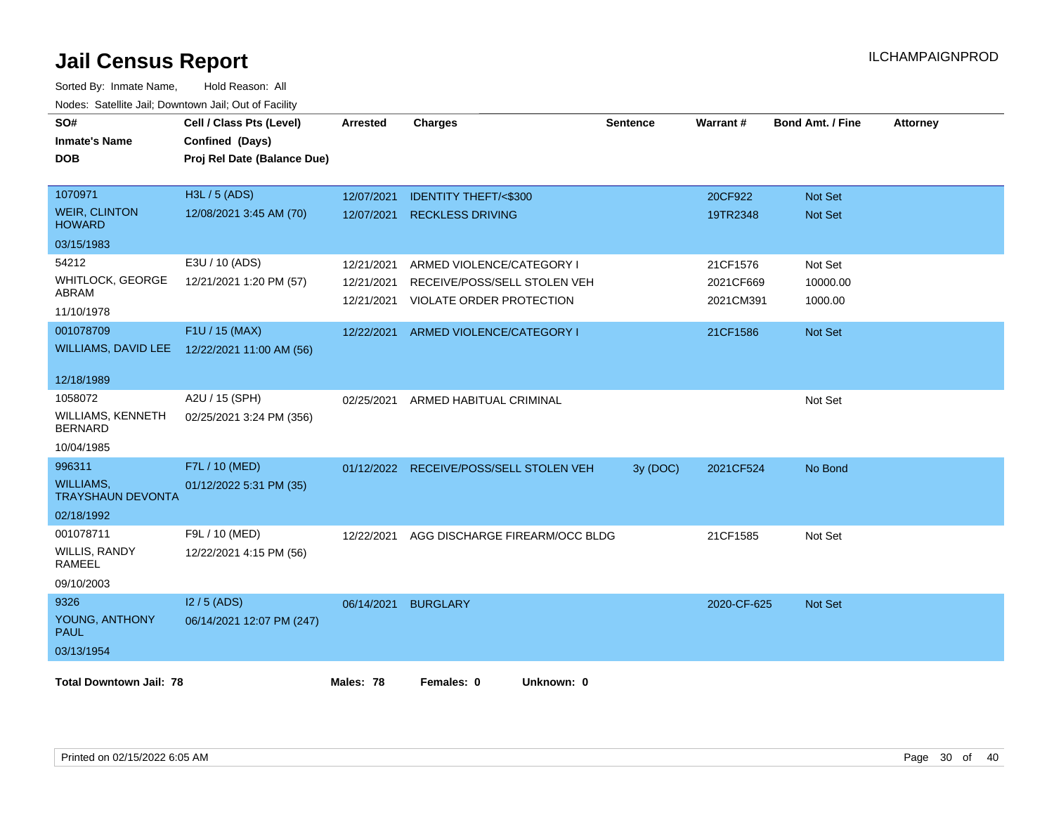| SO#<br><b>Inmate's Name</b><br><b>DOB</b>    | Cell / Class Pts (Level)<br>Confined (Days)<br>Proj Rel Date (Balance Due) | <b>Arrested</b> | <b>Charges</b>                  | <b>Sentence</b> | Warrant#    | <b>Bond Amt. / Fine</b> | <b>Attorney</b> |
|----------------------------------------------|----------------------------------------------------------------------------|-----------------|---------------------------------|-----------------|-------------|-------------------------|-----------------|
| 1070971                                      | H3L / 5 (ADS)                                                              | 12/07/2021      | <b>IDENTITY THEFT/&lt;\$300</b> |                 | 20CF922     | <b>Not Set</b>          |                 |
| <b>WEIR, CLINTON</b><br><b>HOWARD</b>        | 12/08/2021 3:45 AM (70)                                                    | 12/07/2021      | <b>RECKLESS DRIVING</b>         |                 | 19TR2348    | Not Set                 |                 |
| 03/15/1983                                   |                                                                            |                 |                                 |                 |             |                         |                 |
| 54212                                        | E3U / 10 (ADS)                                                             | 12/21/2021      | ARMED VIOLENCE/CATEGORY I       |                 | 21CF1576    | Not Set                 |                 |
| <b>WHITLOCK, GEORGE</b>                      | 12/21/2021 1:20 PM (57)                                                    | 12/21/2021      | RECEIVE/POSS/SELL STOLEN VEH    |                 | 2021CF669   | 10000.00                |                 |
| ABRAM<br>11/10/1978                          |                                                                            | 12/21/2021      | <b>VIOLATE ORDER PROTECTION</b> |                 | 2021CM391   | 1000.00                 |                 |
| 001078709                                    | F1U / 15 (MAX)                                                             | 12/22/2021      | ARMED VIOLENCE/CATEGORY I       |                 | 21CF1586    | Not Set                 |                 |
| <b>WILLIAMS, DAVID LEE</b>                   | 12/22/2021 11:00 AM (56)                                                   |                 |                                 |                 |             |                         |                 |
| 12/18/1989                                   |                                                                            |                 |                                 |                 |             |                         |                 |
| 1058072                                      | A2U / 15 (SPH)                                                             | 02/25/2021      | ARMED HABITUAL CRIMINAL         |                 |             | Not Set                 |                 |
| <b>WILLIAMS, KENNETH</b><br><b>BERNARD</b>   | 02/25/2021 3:24 PM (356)                                                   |                 |                                 |                 |             |                         |                 |
| 10/04/1985                                   |                                                                            |                 |                                 |                 |             |                         |                 |
| 996311                                       | F7L / 10 (MED)                                                             | 01/12/2022      | RECEIVE/POSS/SELL STOLEN VEH    | 3y (DOC)        | 2021CF524   | No Bond                 |                 |
| <b>WILLIAMS,</b><br><b>TRAYSHAUN DEVONTA</b> | 01/12/2022 5:31 PM (35)                                                    |                 |                                 |                 |             |                         |                 |
| 02/18/1992                                   |                                                                            |                 |                                 |                 |             |                         |                 |
| 001078711                                    | F9L / 10 (MED)                                                             | 12/22/2021      | AGG DISCHARGE FIREARM/OCC BLDG  |                 | 21CF1585    | Not Set                 |                 |
| WILLIS, RANDY<br>RAMEEL                      | 12/22/2021 4:15 PM (56)                                                    |                 |                                 |                 |             |                         |                 |
| 09/10/2003                                   |                                                                            |                 |                                 |                 |             |                         |                 |
| 9326                                         | $12/5$ (ADS)                                                               | 06/14/2021      | <b>BURGLARY</b>                 |                 | 2020-CF-625 | <b>Not Set</b>          |                 |
| YOUNG, ANTHONY<br><b>PAUL</b>                | 06/14/2021 12:07 PM (247)                                                  |                 |                                 |                 |             |                         |                 |
| 03/13/1954                                   |                                                                            |                 |                                 |                 |             |                         |                 |
| <b>Total Downtown Jail: 78</b>               |                                                                            | Males: 78       | Females: 0<br>Unknown: 0        |                 |             |                         |                 |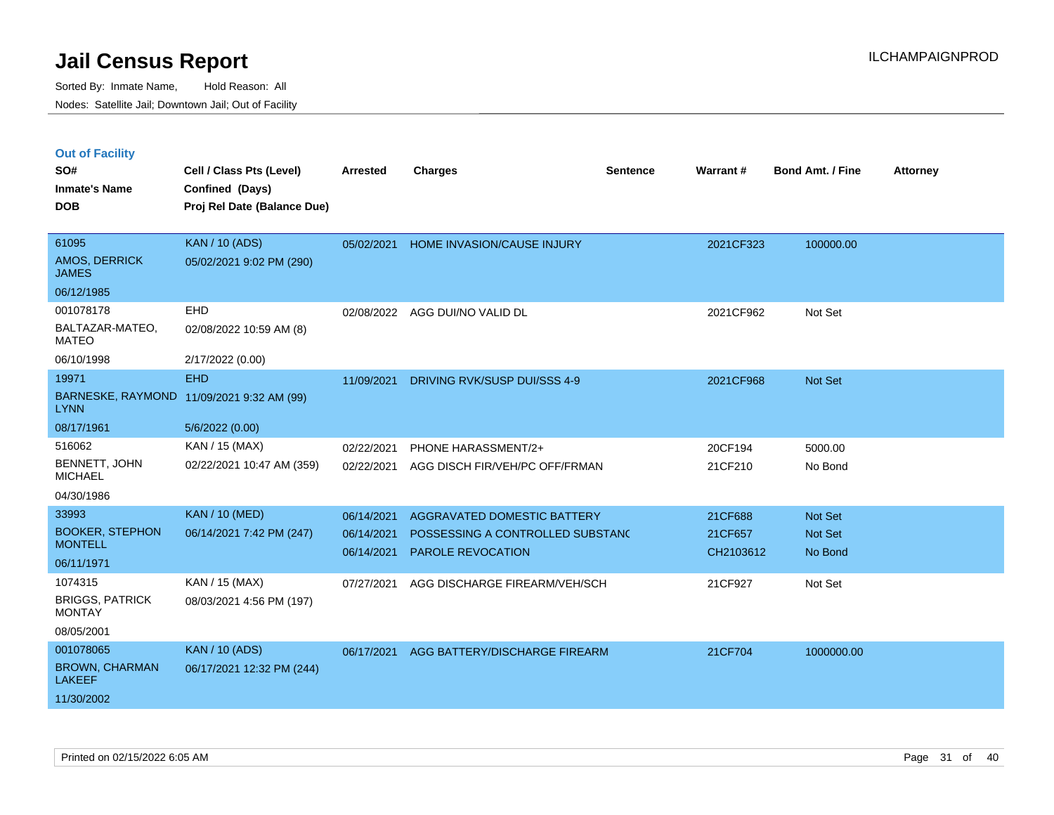|  | <b>Out of Facility</b> |  |
|--|------------------------|--|
|  |                        |  |

| SO#                                      | Cell / Class Pts (Level)                       | <b>Arrested</b> | <b>Charges</b>                   | <b>Sentence</b> | Warrant#  | <b>Bond Amt. / Fine</b> | <b>Attorney</b> |
|------------------------------------------|------------------------------------------------|-----------------|----------------------------------|-----------------|-----------|-------------------------|-----------------|
| <b>Inmate's Name</b><br><b>DOB</b>       | Confined (Days)<br>Proj Rel Date (Balance Due) |                 |                                  |                 |           |                         |                 |
|                                          |                                                |                 |                                  |                 |           |                         |                 |
| 61095                                    | <b>KAN / 10 (ADS)</b>                          | 05/02/2021      | HOME INVASION/CAUSE INJURY       |                 | 2021CF323 | 100000.00               |                 |
| AMOS, DERRICK<br><b>JAMES</b>            | 05/02/2021 9:02 PM (290)                       |                 |                                  |                 |           |                         |                 |
| 06/12/1985                               |                                                |                 |                                  |                 |           |                         |                 |
| 001078178                                | <b>EHD</b>                                     |                 | 02/08/2022 AGG DUI/NO VALID DL   |                 | 2021CF962 | Not Set                 |                 |
| BALTAZAR-MATEO,<br><b>MATEO</b>          | 02/08/2022 10:59 AM (8)                        |                 |                                  |                 |           |                         |                 |
| 06/10/1998                               | 2/17/2022 (0.00)                               |                 |                                  |                 |           |                         |                 |
| 19971                                    | <b>EHD</b>                                     | 11/09/2021      | DRIVING RVK/SUSP DUI/SSS 4-9     |                 | 2021CF968 | Not Set                 |                 |
| <b>LYNN</b>                              | BARNESKE, RAYMOND 11/09/2021 9:32 AM (99)      |                 |                                  |                 |           |                         |                 |
| 08/17/1961                               | 5/6/2022 (0.00)                                |                 |                                  |                 |           |                         |                 |
| 516062                                   | KAN / 15 (MAX)                                 | 02/22/2021      | PHONE HARASSMENT/2+              |                 | 20CF194   | 5000.00                 |                 |
| BENNETT, JOHN<br><b>MICHAEL</b>          | 02/22/2021 10:47 AM (359)                      | 02/22/2021      | AGG DISCH FIR/VEH/PC OFF/FRMAN   |                 | 21CF210   | No Bond                 |                 |
| 04/30/1986                               |                                                |                 |                                  |                 |           |                         |                 |
| 33993                                    | <b>KAN / 10 (MED)</b>                          | 06/14/2021      | AGGRAVATED DOMESTIC BATTERY      |                 | 21CF688   | Not Set                 |                 |
| <b>BOOKER, STEPHON</b><br><b>MONTELL</b> | 06/14/2021 7:42 PM (247)                       | 06/14/2021      | POSSESSING A CONTROLLED SUBSTAND |                 | 21CF657   | <b>Not Set</b>          |                 |
| 06/11/1971                               |                                                | 06/14/2021      | <b>PAROLE REVOCATION</b>         |                 | CH2103612 | No Bond                 |                 |
| 1074315                                  | KAN / 15 (MAX)                                 | 07/27/2021      | AGG DISCHARGE FIREARM/VEH/SCH    |                 | 21CF927   | Not Set                 |                 |
| <b>BRIGGS, PATRICK</b>                   | 08/03/2021 4:56 PM (197)                       |                 |                                  |                 |           |                         |                 |
| <b>MONTAY</b>                            |                                                |                 |                                  |                 |           |                         |                 |
| 08/05/2001                               |                                                |                 |                                  |                 |           |                         |                 |
| 001078065                                | <b>KAN / 10 (ADS)</b>                          | 06/17/2021      | AGG BATTERY/DISCHARGE FIREARM    |                 | 21CF704   | 1000000.00              |                 |
| <b>BROWN, CHARMAN</b><br><b>LAKEEF</b>   | 06/17/2021 12:32 PM (244)                      |                 |                                  |                 |           |                         |                 |
| 11/30/2002                               |                                                |                 |                                  |                 |           |                         |                 |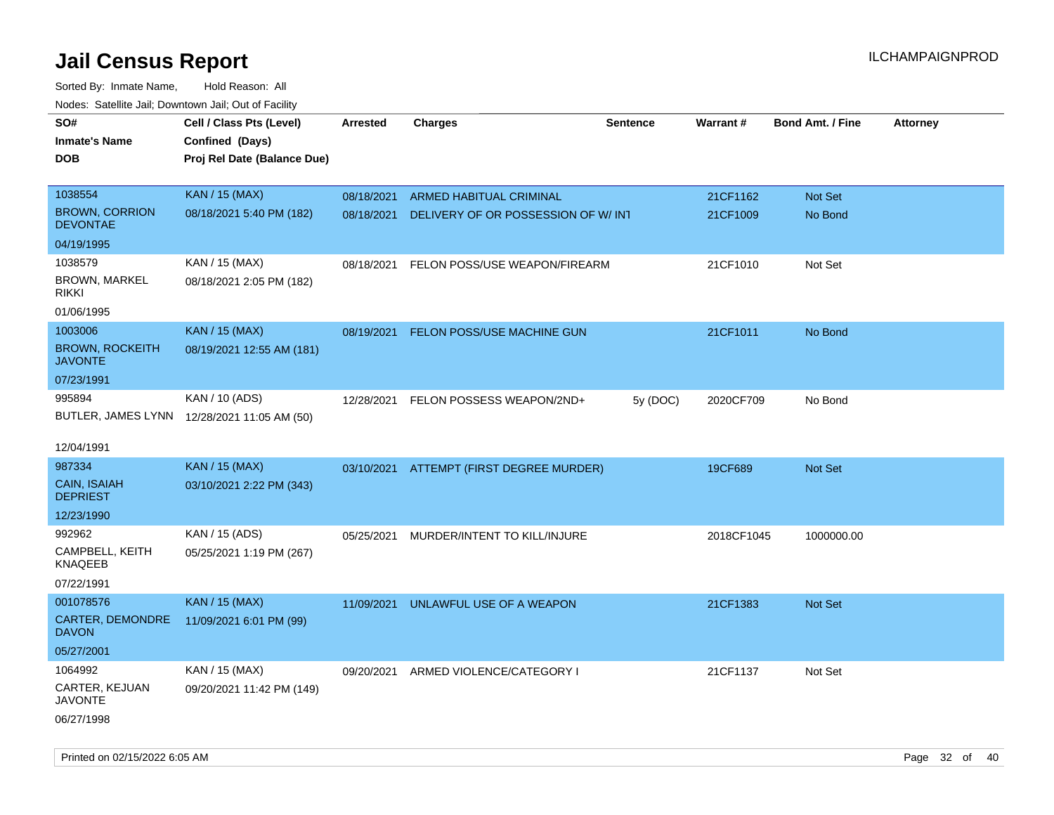| roaco. Catolino dall, Downtown dall, Out of Fability |                                             |                 |                                          |                 |                 |                         |                 |
|------------------------------------------------------|---------------------------------------------|-----------------|------------------------------------------|-----------------|-----------------|-------------------------|-----------------|
| SO#                                                  | Cell / Class Pts (Level)                    | <b>Arrested</b> | <b>Charges</b>                           | <b>Sentence</b> | <b>Warrant#</b> | <b>Bond Amt. / Fine</b> | <b>Attorney</b> |
| <b>Inmate's Name</b>                                 | Confined (Days)                             |                 |                                          |                 |                 |                         |                 |
| <b>DOB</b>                                           | Proj Rel Date (Balance Due)                 |                 |                                          |                 |                 |                         |                 |
|                                                      |                                             |                 |                                          |                 |                 |                         |                 |
| 1038554                                              | <b>KAN / 15 (MAX)</b>                       | 08/18/2021      | ARMED HABITUAL CRIMINAL                  |                 | 21CF1162        | Not Set                 |                 |
| <b>BROWN, CORRION</b><br><b>DEVONTAE</b>             | 08/18/2021 5:40 PM (182)                    | 08/18/2021      | DELIVERY OF OR POSSESSION OF W/ INT      |                 | 21CF1009        | No Bond                 |                 |
| 04/19/1995                                           |                                             |                 |                                          |                 |                 |                         |                 |
| 1038579                                              | KAN / 15 (MAX)                              | 08/18/2021      | FELON POSS/USE WEAPON/FIREARM            |                 | 21CF1010        | Not Set                 |                 |
| <b>BROWN, MARKEL</b><br><b>RIKKI</b>                 | 08/18/2021 2:05 PM (182)                    |                 |                                          |                 |                 |                         |                 |
| 01/06/1995                                           |                                             |                 |                                          |                 |                 |                         |                 |
| 1003006                                              | <b>KAN / 15 (MAX)</b>                       | 08/19/2021      | FELON POSS/USE MACHINE GUN               |                 | 21CF1011        | No Bond                 |                 |
| <b>BROWN, ROCKEITH</b><br><b>JAVONTE</b>             | 08/19/2021 12:55 AM (181)                   |                 |                                          |                 |                 |                         |                 |
| 07/23/1991                                           |                                             |                 |                                          |                 |                 |                         |                 |
| 995894                                               | KAN / 10 (ADS)                              | 12/28/2021      | FELON POSSESS WEAPON/2ND+                | 5y (DOC)        | 2020CF709       | No Bond                 |                 |
|                                                      | BUTLER, JAMES LYNN 12/28/2021 11:05 AM (50) |                 |                                          |                 |                 |                         |                 |
|                                                      |                                             |                 |                                          |                 |                 |                         |                 |
| 12/04/1991                                           |                                             |                 |                                          |                 |                 |                         |                 |
| 987334                                               | <b>KAN / 15 (MAX)</b>                       |                 | 03/10/2021 ATTEMPT (FIRST DEGREE MURDER) |                 | 19CF689         | Not Set                 |                 |
| CAIN, ISAIAH<br><b>DEPRIEST</b>                      | 03/10/2021 2:22 PM (343)                    |                 |                                          |                 |                 |                         |                 |
| 12/23/1990                                           |                                             |                 |                                          |                 |                 |                         |                 |
| 992962                                               | KAN / 15 (ADS)                              | 05/25/2021      | MURDER/INTENT TO KILL/INJURE             |                 | 2018CF1045      | 1000000.00              |                 |
| CAMPBELL, KEITH<br>KNAQEEB                           | 05/25/2021 1:19 PM (267)                    |                 |                                          |                 |                 |                         |                 |
| 07/22/1991                                           |                                             |                 |                                          |                 |                 |                         |                 |
| 001078576                                            | <b>KAN / 15 (MAX)</b>                       | 11/09/2021      | UNLAWFUL USE OF A WEAPON                 |                 | 21CF1383        | <b>Not Set</b>          |                 |
| CARTER, DEMONDRE<br><b>DAVON</b>                     | 11/09/2021 6:01 PM (99)                     |                 |                                          |                 |                 |                         |                 |
| 05/27/2001                                           |                                             |                 |                                          |                 |                 |                         |                 |
| 1064992                                              | KAN / 15 (MAX)                              | 09/20/2021      | ARMED VIOLENCE/CATEGORY I                |                 | 21CF1137        | Not Set                 |                 |
| <b>CARTER, KEJUAN</b><br><b>JAVONTE</b>              | 09/20/2021 11:42 PM (149)                   |                 |                                          |                 |                 |                         |                 |
| 06/27/1998                                           |                                             |                 |                                          |                 |                 |                         |                 |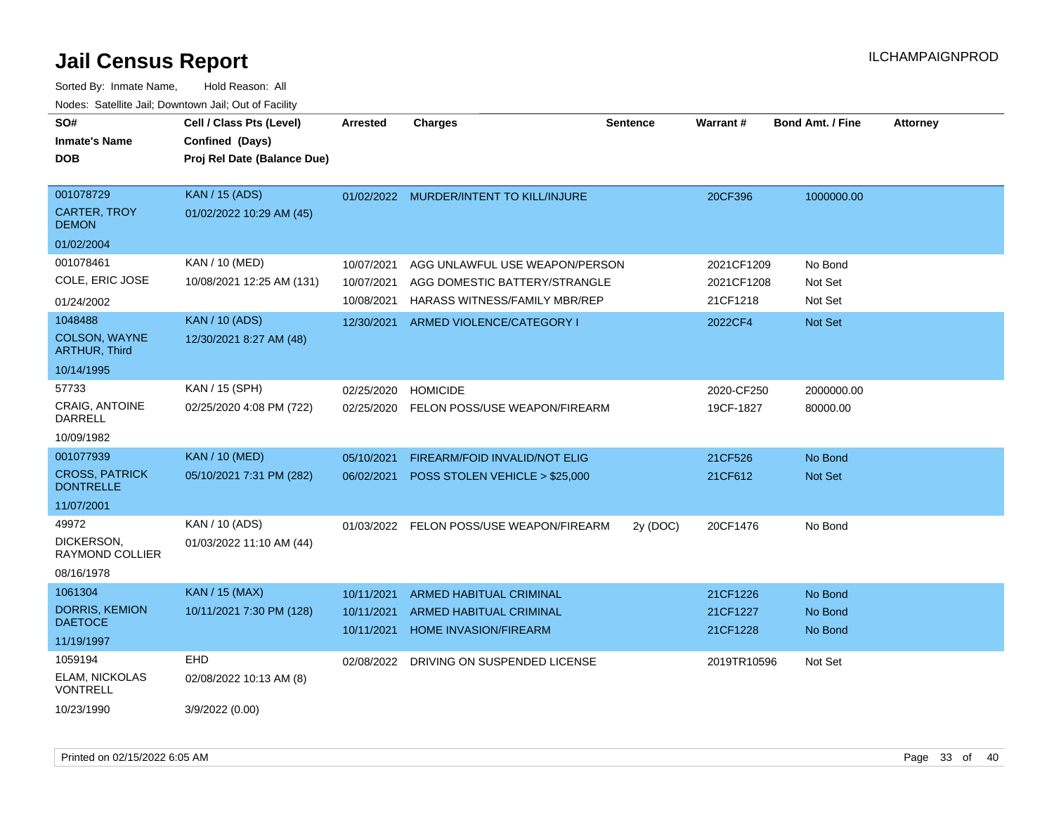| SO#<br><b>Inmate's Name</b><br><b>DOB</b> | Cell / Class Pts (Level)<br>Confined (Days)<br>Proj Rel Date (Balance Due) | <b>Arrested</b>          | <b>Charges</b>                                          | <b>Sentence</b> | <b>Warrant#</b>      | <b>Bond Amt. / Fine</b> | <b>Attorney</b> |
|-------------------------------------------|----------------------------------------------------------------------------|--------------------------|---------------------------------------------------------|-----------------|----------------------|-------------------------|-----------------|
| 001078729<br><b>CARTER, TROY</b>          | <b>KAN / 15 (ADS)</b><br>01/02/2022 10:29 AM (45)                          |                          | 01/02/2022 MURDER/INTENT TO KILL/INJURE                 |                 | 20CF396              | 1000000.00              |                 |
| <b>DEMON</b>                              |                                                                            |                          |                                                         |                 |                      |                         |                 |
| 01/02/2004                                |                                                                            |                          |                                                         |                 |                      |                         |                 |
| 001078461                                 | KAN / 10 (MED)                                                             | 10/07/2021               | AGG UNLAWFUL USE WEAPON/PERSON                          |                 | 2021CF1209           | No Bond                 |                 |
| COLE, ERIC JOSE                           | 10/08/2021 12:25 AM (131)                                                  | 10/07/2021               | AGG DOMESTIC BATTERY/STRANGLE                           |                 | 2021CF1208           | Not Set                 |                 |
| 01/24/2002                                |                                                                            | 10/08/2021               | HARASS WITNESS/FAMILY MBR/REP                           |                 | 21CF1218             | Not Set                 |                 |
| 1048488                                   | <b>KAN / 10 (ADS)</b>                                                      | 12/30/2021               | ARMED VIOLENCE/CATEGORY I                               |                 | 2022CF4              | Not Set                 |                 |
| COLSON, WAYNE<br><b>ARTHUR, Third</b>     | 12/30/2021 8:27 AM (48)                                                    |                          |                                                         |                 |                      |                         |                 |
| 10/14/1995                                |                                                                            |                          |                                                         |                 |                      |                         |                 |
| 57733                                     | KAN / 15 (SPH)                                                             | 02/25/2020               | <b>HOMICIDE</b>                                         |                 | 2020-CF250           | 2000000.00              |                 |
| <b>CRAIG, ANTOINE</b><br><b>DARRELL</b>   | 02/25/2020 4:08 PM (722)                                                   |                          | 02/25/2020 FELON POSS/USE WEAPON/FIREARM                |                 | 19CF-1827            | 80000.00                |                 |
| 10/09/1982                                |                                                                            |                          |                                                         |                 |                      |                         |                 |
| 001077939                                 | <b>KAN / 10 (MED)</b>                                                      | 05/10/2021               | FIREARM/FOID INVALID/NOT ELIG                           |                 | 21CF526              | No Bond                 |                 |
| <b>CROSS, PATRICK</b><br><b>DONTRELLE</b> | 05/10/2021 7:31 PM (282)                                                   | 06/02/2021               | POSS STOLEN VEHICLE > \$25,000                          |                 | 21CF612              | <b>Not Set</b>          |                 |
| 11/07/2001                                |                                                                            |                          |                                                         |                 |                      |                         |                 |
| 49972                                     | KAN / 10 (ADS)                                                             |                          | 01/03/2022 FELON POSS/USE WEAPON/FIREARM                | 2y (DOC)        | 20CF1476             | No Bond                 |                 |
| DICKERSON,<br>RAYMOND COLLIER             | 01/03/2022 11:10 AM (44)                                                   |                          |                                                         |                 |                      |                         |                 |
| 08/16/1978                                |                                                                            |                          |                                                         |                 |                      |                         |                 |
| 1061304                                   | <b>KAN / 15 (MAX)</b>                                                      | 10/11/2021               | <b>ARMED HABITUAL CRIMINAL</b>                          |                 | 21CF1226             | No Bond                 |                 |
| <b>DORRIS, KEMION</b><br><b>DAETOCE</b>   | 10/11/2021 7:30 PM (128)                                                   | 10/11/2021<br>10/11/2021 | ARMED HABITUAL CRIMINAL<br><b>HOME INVASION/FIREARM</b> |                 | 21CF1227<br>21CF1228 | No Bond<br>No Bond      |                 |
| 11/19/1997                                |                                                                            |                          |                                                         |                 |                      |                         |                 |
| 1059194                                   | <b>EHD</b>                                                                 | 02/08/2022               | DRIVING ON SUSPENDED LICENSE                            |                 | 2019TR10596          | Not Set                 |                 |
| <b>ELAM, NICKOLAS</b><br><b>VONTRELL</b>  | 02/08/2022 10:13 AM (8)                                                    |                          |                                                         |                 |                      |                         |                 |
| 10/23/1990                                | 3/9/2022 (0.00)                                                            |                          |                                                         |                 |                      |                         |                 |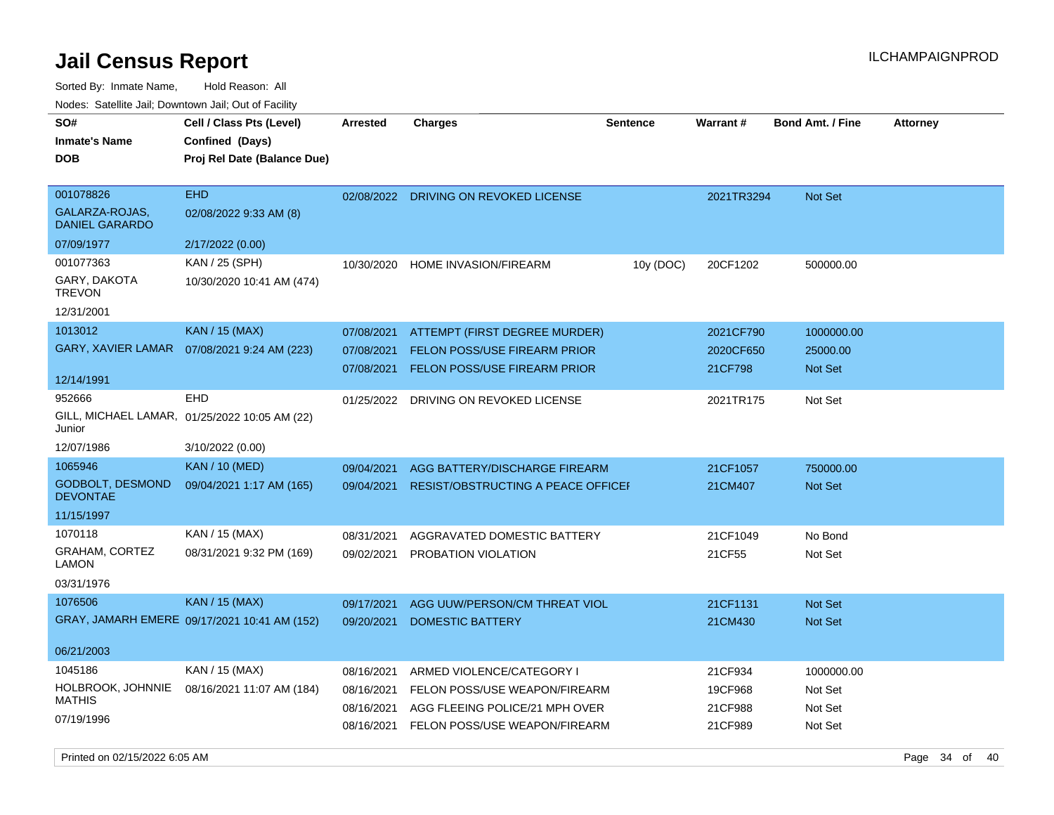| SO#<br><b>Inmate's Name</b><br><b>DOB</b>  | Cell / Class Pts (Level)<br>Confined (Days)<br>Proj Rel Date (Balance Due) | <b>Arrested</b> | <b>Charges</b>                            | <b>Sentence</b> | <b>Warrant#</b> | <b>Bond Amt. / Fine</b> | <b>Attorney</b> |
|--------------------------------------------|----------------------------------------------------------------------------|-----------------|-------------------------------------------|-----------------|-----------------|-------------------------|-----------------|
| 001078826                                  | <b>EHD</b>                                                                 |                 | 02/08/2022 DRIVING ON REVOKED LICENSE     |                 | 2021TR3294      | Not Set                 |                 |
| GALARZA-ROJAS,<br><b>DANIEL GARARDO</b>    | 02/08/2022 9:33 AM (8)                                                     |                 |                                           |                 |                 |                         |                 |
| 07/09/1977                                 | 2/17/2022 (0.00)                                                           |                 |                                           |                 |                 |                         |                 |
| 001077363                                  | KAN / 25 (SPH)                                                             | 10/30/2020      | <b>HOME INVASION/FIREARM</b>              | 10y (DOC)       | 20CF1202        | 500000.00               |                 |
| GARY, DAKOTA<br><b>TREVON</b>              | 10/30/2020 10:41 AM (474)                                                  |                 |                                           |                 |                 |                         |                 |
| 12/31/2001                                 |                                                                            |                 |                                           |                 |                 |                         |                 |
| 1013012                                    | <b>KAN / 15 (MAX)</b>                                                      | 07/08/2021      | ATTEMPT (FIRST DEGREE MURDER)             |                 | 2021CF790       | 1000000.00              |                 |
| <b>GARY, XAVIER LAMAR</b>                  | 07/08/2021 9:24 AM (223)                                                   | 07/08/2021      | FELON POSS/USE FIREARM PRIOR              |                 | 2020CF650       | 25000.00                |                 |
| 12/14/1991                                 |                                                                            | 07/08/2021      | <b>FELON POSS/USE FIREARM PRIOR</b>       |                 | 21CF798         | Not Set                 |                 |
| 952666                                     | EHD                                                                        | 01/25/2022      | DRIVING ON REVOKED LICENSE                |                 | 2021TR175       | Not Set                 |                 |
| Junior                                     | GILL, MICHAEL LAMAR, 01/25/2022 10:05 AM (22)                              |                 |                                           |                 |                 |                         |                 |
| 12/07/1986                                 | 3/10/2022 (0.00)                                                           |                 |                                           |                 |                 |                         |                 |
| 1065946                                    | <b>KAN / 10 (MED)</b>                                                      | 09/04/2021      | AGG BATTERY/DISCHARGE FIREARM             |                 | 21CF1057        | 750000.00               |                 |
| <b>GODBOLT, DESMOND</b><br><b>DEVONTAE</b> | 09/04/2021 1:17 AM (165)                                                   | 09/04/2021      | <b>RESIST/OBSTRUCTING A PEACE OFFICEF</b> |                 | 21CM407         | Not Set                 |                 |
| 11/15/1997                                 |                                                                            |                 |                                           |                 |                 |                         |                 |
| 1070118                                    | KAN / 15 (MAX)                                                             | 08/31/2021      | AGGRAVATED DOMESTIC BATTERY               |                 | 21CF1049        | No Bond                 |                 |
| GRAHAM, CORTEZ<br><b>LAMON</b>             | 08/31/2021 9:32 PM (169)                                                   | 09/02/2021      | PROBATION VIOLATION                       |                 | 21CF55          | Not Set                 |                 |
| 03/31/1976                                 |                                                                            |                 |                                           |                 |                 |                         |                 |
| 1076506                                    | <b>KAN / 15 (MAX)</b>                                                      | 09/17/2021      | AGG UUW/PERSON/CM THREAT VIOL             |                 | 21CF1131        | <b>Not Set</b>          |                 |
|                                            | GRAY, JAMARH EMERE 09/17/2021 10:41 AM (152)                               | 09/20/2021      | <b>DOMESTIC BATTERY</b>                   |                 | 21CM430         | <b>Not Set</b>          |                 |
| 06/21/2003                                 |                                                                            |                 |                                           |                 |                 |                         |                 |
| 1045186                                    | KAN / 15 (MAX)                                                             | 08/16/2021      | ARMED VIOLENCE/CATEGORY I                 |                 | 21CF934         | 1000000.00              |                 |
| HOLBROOK, JOHNNIE                          | 08/16/2021 11:07 AM (184)                                                  | 08/16/2021      | FELON POSS/USE WEAPON/FIREARM             |                 | 19CF968         | Not Set                 |                 |
| <b>MATHIS</b>                              |                                                                            | 08/16/2021      | AGG FLEEING POLICE/21 MPH OVER            |                 | 21CF988         | Not Set                 |                 |
| 07/19/1996                                 |                                                                            | 08/16/2021      | FELON POSS/USE WEAPON/FIREARM             |                 | 21CF989         | Not Set                 |                 |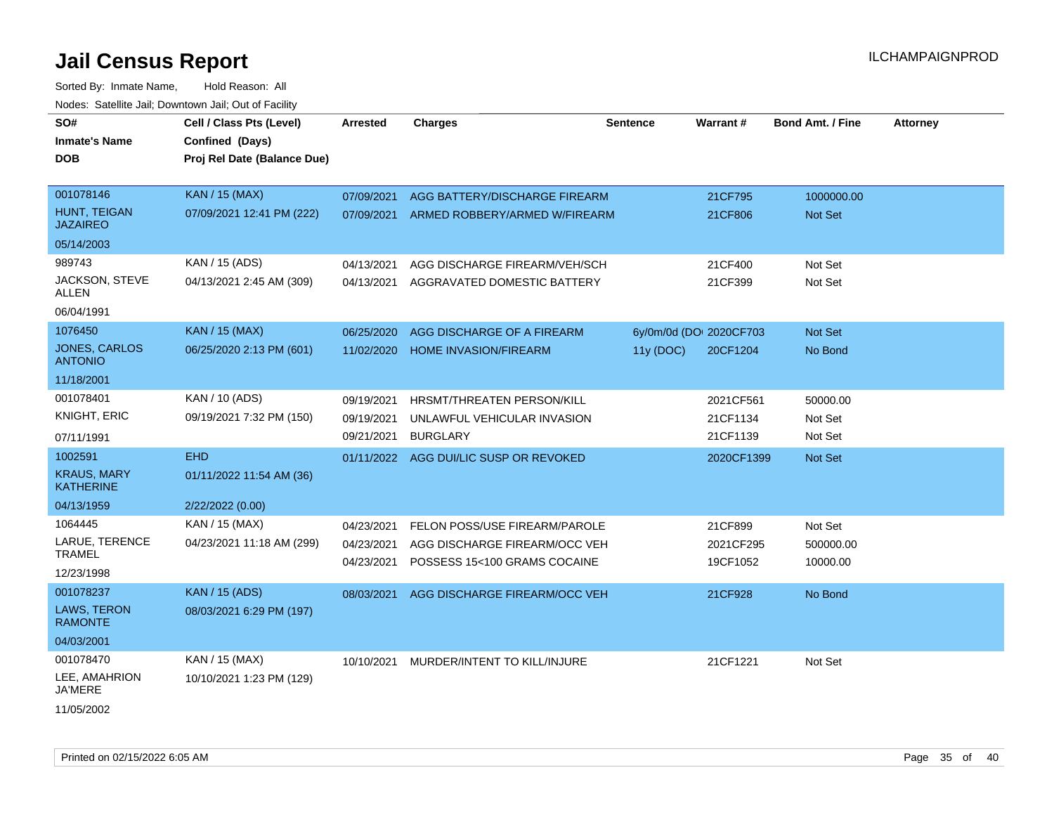Sorted By: Inmate Name, Hold Reason: All Nodes: Satellite Jail; Downtown Jail; Out of Facility

| SO#                                    | Cell / Class Pts (Level)    | <b>Arrested</b> | <b>Charges</b>                       | <b>Sentence</b> | Warrant#                | <b>Bond Amt. / Fine</b> | <b>Attorney</b> |
|----------------------------------------|-----------------------------|-----------------|--------------------------------------|-----------------|-------------------------|-------------------------|-----------------|
| <b>Inmate's Name</b>                   | Confined (Days)             |                 |                                      |                 |                         |                         |                 |
| <b>DOB</b>                             | Proj Rel Date (Balance Due) |                 |                                      |                 |                         |                         |                 |
|                                        |                             |                 |                                      |                 |                         |                         |                 |
| 001078146                              | KAN / 15 (MAX)              | 07/09/2021      | AGG BATTERY/DISCHARGE FIREARM        |                 | 21CF795                 | 1000000.00              |                 |
| HUNT, TEIGAN<br><b>JAZAIREO</b>        | 07/09/2021 12:41 PM (222)   | 07/09/2021      | ARMED ROBBERY/ARMED W/FIREARM        |                 | 21CF806                 | Not Set                 |                 |
| 05/14/2003                             |                             |                 |                                      |                 |                         |                         |                 |
| 989743                                 | KAN / 15 (ADS)              | 04/13/2021      | AGG DISCHARGE FIREARM/VEH/SCH        |                 | 21CF400                 | Not Set                 |                 |
| JACKSON, STEVE<br><b>ALLEN</b>         | 04/13/2021 2:45 AM (309)    | 04/13/2021      | AGGRAVATED DOMESTIC BATTERY          |                 | 21CF399                 | Not Set                 |                 |
| 06/04/1991                             |                             |                 |                                      |                 |                         |                         |                 |
| 1076450                                | <b>KAN / 15 (MAX)</b>       | 06/25/2020      | AGG DISCHARGE OF A FIREARM           |                 | 6y/0m/0d (DOI 2020CF703 | Not Set                 |                 |
| <b>JONES, CARLOS</b><br><b>ANTONIO</b> | 06/25/2020 2:13 PM (601)    | 11/02/2020      | <b>HOME INVASION/FIREARM</b>         | 11y(DOC)        | 20CF1204                | No Bond                 |                 |
| 11/18/2001                             |                             |                 |                                      |                 |                         |                         |                 |
| 001078401                              | KAN / 10 (ADS)              | 09/19/2021      | HRSMT/THREATEN PERSON/KILL           |                 | 2021CF561               | 50000.00                |                 |
| <b>KNIGHT, ERIC</b>                    | 09/19/2021 7:32 PM (150)    | 09/19/2021      | UNLAWFUL VEHICULAR INVASION          |                 | 21CF1134                | Not Set                 |                 |
| 07/11/1991                             |                             | 09/21/2021      | <b>BURGLARY</b>                      |                 | 21CF1139                | Not Set                 |                 |
| 1002591                                | <b>EHD</b>                  | 01/11/2022      | AGG DUI/LIC SUSP OR REVOKED          |                 | 2020CF1399              | Not Set                 |                 |
| <b>KRAUS, MARY</b><br><b>KATHERINE</b> | 01/11/2022 11:54 AM (36)    |                 |                                      |                 |                         |                         |                 |
| 04/13/1959                             | 2/22/2022 (0.00)            |                 |                                      |                 |                         |                         |                 |
| 1064445                                | KAN / 15 (MAX)              | 04/23/2021      | <b>FELON POSS/USE FIREARM/PAROLE</b> |                 | 21CF899                 | Not Set                 |                 |
| LARUE, TERENCE                         | 04/23/2021 11:18 AM (299)   | 04/23/2021      | AGG DISCHARGE FIREARM/OCC VEH        |                 | 2021CF295               | 500000.00               |                 |
| <b>TRAMEL</b>                          |                             | 04/23/2021      | POSSESS 15<100 GRAMS COCAINE         |                 | 19CF1052                | 10000.00                |                 |
| 12/23/1998                             |                             |                 |                                      |                 |                         |                         |                 |
| 001078237                              | <b>KAN / 15 (ADS)</b>       | 08/03/2021      | AGG DISCHARGE FIREARM/OCC VEH        |                 | 21CF928                 | No Bond                 |                 |
| <b>LAWS, TERON</b><br><b>RAMONTE</b>   | 08/03/2021 6:29 PM (197)    |                 |                                      |                 |                         |                         |                 |
| 04/03/2001                             |                             |                 |                                      |                 |                         |                         |                 |
| 001078470                              | KAN / 15 (MAX)              | 10/10/2021      | MURDER/INTENT TO KILL/INJURE         |                 | 21CF1221                | Not Set                 |                 |
| LEE, AMAHRION<br><b>JA'MERE</b>        | 10/10/2021 1:23 PM (129)    |                 |                                      |                 |                         |                         |                 |
| 11/05/2002                             |                             |                 |                                      |                 |                         |                         |                 |

Printed on 02/15/2022 6:05 AM Page 35 of 40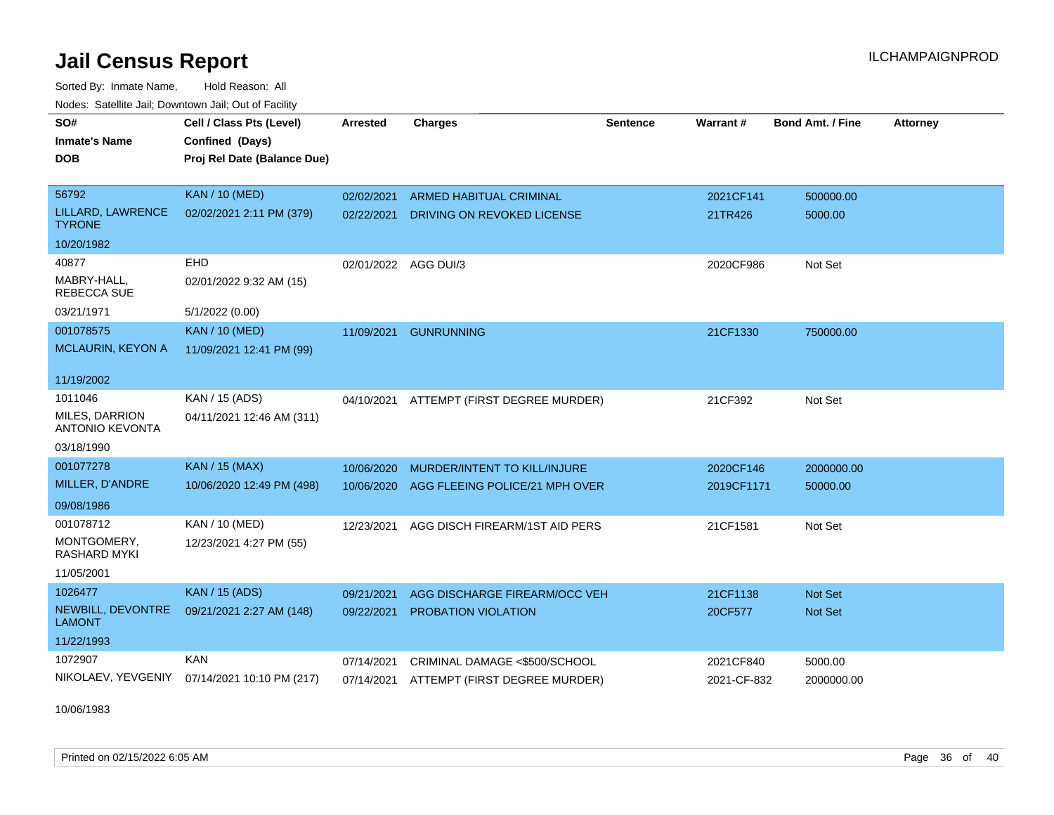Sorted By: Inmate Name, Hold Reason: All Nodes: Satellite Jail; Downtown Jail; Out of Facility

| SO#<br><b>Inmate's Name</b><br>DOB       | Cell / Class Pts (Level)<br>Confined (Days)<br>Proj Rel Date (Balance Due) | <b>Arrested</b>      | <b>Charges</b>                           | <b>Sentence</b> | Warrant#    | <b>Bond Amt. / Fine</b> | <b>Attorney</b> |
|------------------------------------------|----------------------------------------------------------------------------|----------------------|------------------------------------------|-----------------|-------------|-------------------------|-----------------|
| 56792                                    | <b>KAN / 10 (MED)</b>                                                      | 02/02/2021           | <b>ARMED HABITUAL CRIMINAL</b>           |                 | 2021CF141   | 500000.00               |                 |
| LILLARD, LAWRENCE<br><b>TYRONE</b>       | 02/02/2021 2:11 PM (379)                                                   | 02/22/2021           | DRIVING ON REVOKED LICENSE               |                 | 21TR426     | 5000.00                 |                 |
| 10/20/1982                               |                                                                            |                      |                                          |                 |             |                         |                 |
| 40877                                    | EHD                                                                        | 02/01/2022 AGG DUI/3 |                                          |                 | 2020CF986   | Not Set                 |                 |
| MABRY-HALL,<br><b>REBECCA SUE</b>        | 02/01/2022 9:32 AM (15)                                                    |                      |                                          |                 |             |                         |                 |
| 03/21/1971                               | 5/1/2022 (0.00)                                                            |                      |                                          |                 |             |                         |                 |
| 001078575                                | <b>KAN / 10 (MED)</b>                                                      | 11/09/2021           | <b>GUNRUNNING</b>                        |                 | 21CF1330    | 750000.00               |                 |
| <b>MCLAURIN, KEYON A</b>                 | 11/09/2021 12:41 PM (99)                                                   |                      |                                          |                 |             |                         |                 |
| 11/19/2002                               |                                                                            |                      |                                          |                 |             |                         |                 |
| 1011046                                  | KAN / 15 (ADS)                                                             | 04/10/2021           | ATTEMPT (FIRST DEGREE MURDER)            |                 | 21CF392     | Not Set                 |                 |
| MILES, DARRION<br><b>ANTONIO KEVONTA</b> | 04/11/2021 12:46 AM (311)                                                  |                      |                                          |                 |             |                         |                 |
| 03/18/1990                               |                                                                            |                      |                                          |                 |             |                         |                 |
| 001077278                                | <b>KAN / 15 (MAX)</b>                                                      | 10/06/2020           | MURDER/INTENT TO KILL/INJURE             |                 | 2020CF146   | 2000000.00              |                 |
| MILLER, D'ANDRE                          | 10/06/2020 12:49 PM (498)                                                  | 10/06/2020           | AGG FLEEING POLICE/21 MPH OVER           |                 | 2019CF1171  | 50000.00                |                 |
| 09/08/1986                               |                                                                            |                      |                                          |                 |             |                         |                 |
| 001078712                                | KAN / 10 (MED)                                                             | 12/23/2021           | AGG DISCH FIREARM/1ST AID PERS           |                 | 21CF1581    | Not Set                 |                 |
| MONTGOMERY,<br><b>RASHARD MYKI</b>       | 12/23/2021 4:27 PM (55)                                                    |                      |                                          |                 |             |                         |                 |
| 11/05/2001                               |                                                                            |                      |                                          |                 |             |                         |                 |
| 1026477                                  | <b>KAN / 15 (ADS)</b>                                                      | 09/21/2021           | AGG DISCHARGE FIREARM/OCC VEH            |                 | 21CF1138    | <b>Not Set</b>          |                 |
| NEWBILL, DEVONTRE<br><b>LAMONT</b>       | 09/21/2021 2:27 AM (148)                                                   | 09/22/2021           | PROBATION VIOLATION                      |                 | 20CF577     | Not Set                 |                 |
| 11/22/1993                               |                                                                            |                      |                                          |                 |             |                         |                 |
| 1072907                                  | <b>KAN</b>                                                                 | 07/14/2021           | CRIMINAL DAMAGE <\$500/SCHOOL            |                 | 2021CF840   | 5000.00                 |                 |
| NIKOLAEV, YEVGENIY                       | 07/14/2021 10:10 PM (217)                                                  |                      | 07/14/2021 ATTEMPT (FIRST DEGREE MURDER) |                 | 2021-CF-832 | 2000000.00              |                 |

10/06/1983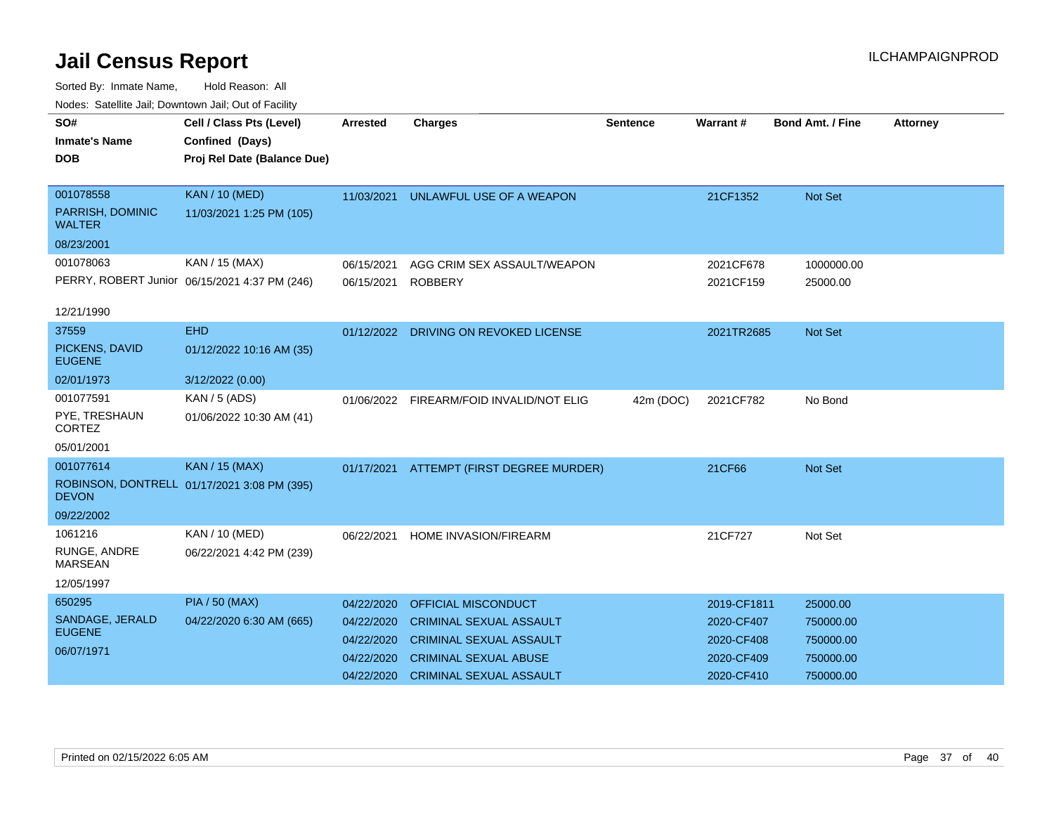| voucs. Oatchite sail, Downtown sail, Out of Facility |                                               |                 |                                       |                 |             |                         |                 |
|------------------------------------------------------|-----------------------------------------------|-----------------|---------------------------------------|-----------------|-------------|-------------------------|-----------------|
| SO#                                                  | Cell / Class Pts (Level)                      | <b>Arrested</b> | <b>Charges</b>                        | <b>Sentence</b> | Warrant#    | <b>Bond Amt. / Fine</b> | <b>Attorney</b> |
| <b>Inmate's Name</b>                                 | Confined (Days)                               |                 |                                       |                 |             |                         |                 |
| <b>DOB</b>                                           | Proj Rel Date (Balance Due)                   |                 |                                       |                 |             |                         |                 |
|                                                      |                                               |                 |                                       |                 |             |                         |                 |
| 001078558                                            | <b>KAN / 10 (MED)</b>                         | 11/03/2021      | UNLAWFUL USE OF A WEAPON              |                 | 21CF1352    | Not Set                 |                 |
| PARRISH, DOMINIC<br><b>WALTER</b>                    | 11/03/2021 1:25 PM (105)                      |                 |                                       |                 |             |                         |                 |
| 08/23/2001                                           |                                               |                 |                                       |                 |             |                         |                 |
| 001078063                                            | KAN / 15 (MAX)                                | 06/15/2021      | AGG CRIM SEX ASSAULT/WEAPON           |                 | 2021CF678   | 1000000.00              |                 |
|                                                      | PERRY, ROBERT Junior 06/15/2021 4:37 PM (246) | 06/15/2021      | <b>ROBBERY</b>                        |                 | 2021CF159   | 25000.00                |                 |
|                                                      |                                               |                 |                                       |                 |             |                         |                 |
| 12/21/1990                                           |                                               |                 |                                       |                 |             |                         |                 |
| 37559                                                | <b>EHD</b>                                    |                 | 01/12/2022 DRIVING ON REVOKED LICENSE |                 | 2021TR2685  | <b>Not Set</b>          |                 |
| PICKENS, DAVID<br><b>EUGENE</b>                      | 01/12/2022 10:16 AM (35)                      |                 |                                       |                 |             |                         |                 |
| 02/01/1973                                           | 3/12/2022 (0.00)                              |                 |                                       |                 |             |                         |                 |
| 001077591                                            | KAN / 5 (ADS)                                 | 01/06/2022      | FIREARM/FOID INVALID/NOT ELIG         | 42m (DOC)       | 2021CF782   | No Bond                 |                 |
| PYE, TRESHAUN<br><b>CORTEZ</b>                       | 01/06/2022 10:30 AM (41)                      |                 |                                       |                 |             |                         |                 |
| 05/01/2001                                           |                                               |                 |                                       |                 |             |                         |                 |
| 001077614                                            | <b>KAN / 15 (MAX)</b>                         | 01/17/2021      | ATTEMPT (FIRST DEGREE MURDER)         |                 | 21CF66      | <b>Not Set</b>          |                 |
| <b>DEVON</b>                                         | ROBINSON, DONTRELL 01/17/2021 3:08 PM (395)   |                 |                                       |                 |             |                         |                 |
| 09/22/2002                                           |                                               |                 |                                       |                 |             |                         |                 |
| 1061216                                              | KAN / 10 (MED)                                | 06/22/2021      | HOME INVASION/FIREARM                 |                 | 21CF727     | Not Set                 |                 |
| RUNGE, ANDRE<br><b>MARSEAN</b>                       | 06/22/2021 4:42 PM (239)                      |                 |                                       |                 |             |                         |                 |
| 12/05/1997                                           |                                               |                 |                                       |                 |             |                         |                 |
| 650295                                               | <b>PIA / 50 (MAX)</b>                         | 04/22/2020      | <b>OFFICIAL MISCONDUCT</b>            |                 | 2019-CF1811 | 25000.00                |                 |
| SANDAGE, JERALD                                      | 04/22/2020 6:30 AM (665)                      | 04/22/2020      | <b>CRIMINAL SEXUAL ASSAULT</b>        |                 | 2020-CF407  | 750000.00               |                 |
| <b>EUGENE</b>                                        |                                               | 04/22/2020      | <b>CRIMINAL SEXUAL ASSAULT</b>        |                 | 2020-CF408  | 750000.00               |                 |
| 06/07/1971                                           |                                               | 04/22/2020      | <b>CRIMINAL SEXUAL ABUSE</b>          |                 | 2020-CF409  | 750000.00               |                 |
|                                                      |                                               | 04/22/2020      | <b>CRIMINAL SEXUAL ASSAULT</b>        |                 | 2020-CF410  | 750000.00               |                 |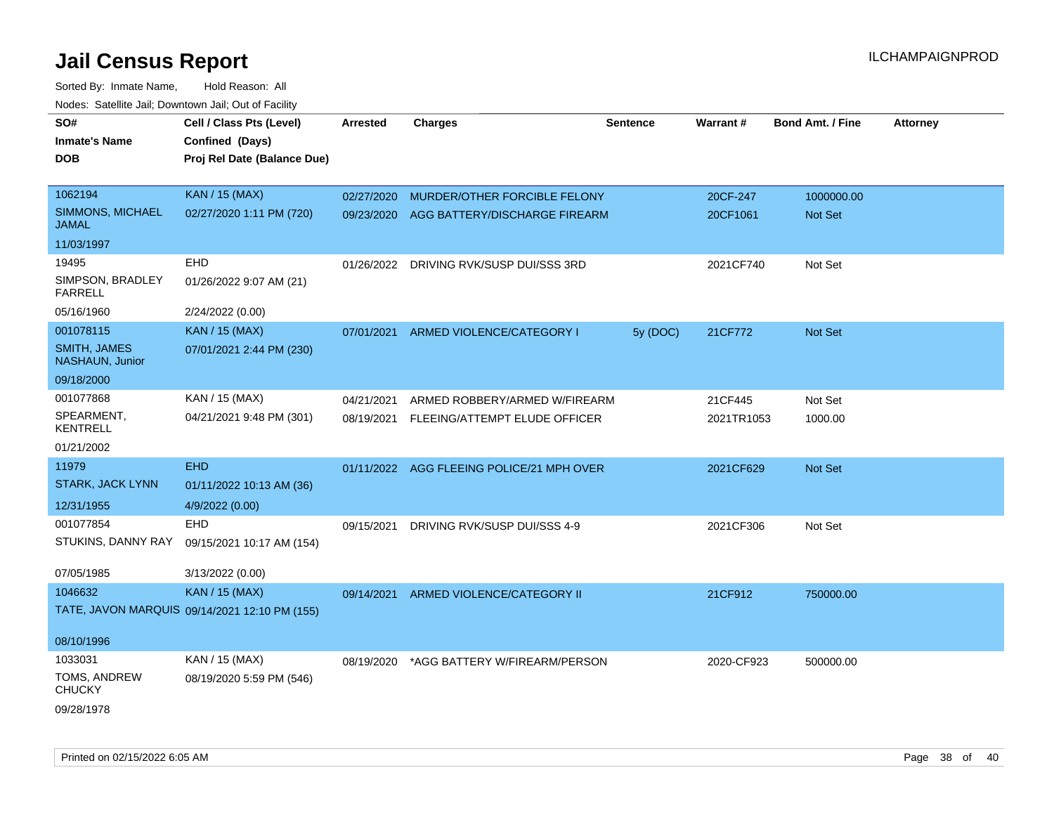| SO#                                    | Cell / Class Pts (Level)                      | <b>Arrested</b> | <b>Charges</b>                            | <b>Sentence</b> | Warrant#   | <b>Bond Amt. / Fine</b> | <b>Attorney</b> |
|----------------------------------------|-----------------------------------------------|-----------------|-------------------------------------------|-----------------|------------|-------------------------|-----------------|
| <b>Inmate's Name</b>                   | Confined (Days)                               |                 |                                           |                 |            |                         |                 |
| <b>DOB</b>                             | Proj Rel Date (Balance Due)                   |                 |                                           |                 |            |                         |                 |
|                                        |                                               |                 |                                           |                 |            |                         |                 |
| 1062194                                | <b>KAN / 15 (MAX)</b>                         | 02/27/2020      | MURDER/OTHER FORCIBLE FELONY              |                 | 20CF-247   | 1000000.00              |                 |
| SIMMONS, MICHAEL<br><b>JAMAL</b>       | 02/27/2020 1:11 PM (720)                      | 09/23/2020      | AGG BATTERY/DISCHARGE FIREARM             |                 | 20CF1061   | Not Set                 |                 |
| 11/03/1997                             |                                               |                 |                                           |                 |            |                         |                 |
| 19495                                  | EHD                                           | 01/26/2022      | DRIVING RVK/SUSP DUI/SSS 3RD              |                 | 2021CF740  | Not Set                 |                 |
| SIMPSON, BRADLEY<br><b>FARRELL</b>     | 01/26/2022 9:07 AM (21)                       |                 |                                           |                 |            |                         |                 |
| 05/16/1960                             | 2/24/2022 (0.00)                              |                 |                                           |                 |            |                         |                 |
| 001078115                              | <b>KAN / 15 (MAX)</b>                         | 07/01/2021      | ARMED VIOLENCE/CATEGORY I                 | 5y (DOC)        | 21CF772    | Not Set                 |                 |
| <b>SMITH, JAMES</b><br>NASHAUN, Junior | 07/01/2021 2:44 PM (230)                      |                 |                                           |                 |            |                         |                 |
| 09/18/2000                             |                                               |                 |                                           |                 |            |                         |                 |
| 001077868                              | KAN / 15 (MAX)                                | 04/21/2021      | ARMED ROBBERY/ARMED W/FIREARM             |                 | 21CF445    | Not Set                 |                 |
| SPEARMENT,<br><b>KENTRELL</b>          | 04/21/2021 9:48 PM (301)                      | 08/19/2021      | FLEEING/ATTEMPT ELUDE OFFICER             |                 | 2021TR1053 | 1000.00                 |                 |
| 01/21/2002                             |                                               |                 |                                           |                 |            |                         |                 |
| 11979                                  | <b>EHD</b>                                    |                 | 01/11/2022 AGG FLEEING POLICE/21 MPH OVER |                 | 2021CF629  | Not Set                 |                 |
| <b>STARK, JACK LYNN</b>                | 01/11/2022 10:13 AM (36)                      |                 |                                           |                 |            |                         |                 |
| 12/31/1955                             | 4/9/2022 (0.00)                               |                 |                                           |                 |            |                         |                 |
| 001077854                              | <b>EHD</b>                                    | 09/15/2021      | DRIVING RVK/SUSP DUI/SSS 4-9              |                 | 2021CF306  | Not Set                 |                 |
| STUKINS, DANNY RAY                     | 09/15/2021 10:17 AM (154)                     |                 |                                           |                 |            |                         |                 |
|                                        |                                               |                 |                                           |                 |            |                         |                 |
| 07/05/1985                             | 3/13/2022 (0.00)                              |                 |                                           |                 |            |                         |                 |
| 1046632                                | <b>KAN / 15 (MAX)</b>                         | 09/14/2021      | ARMED VIOLENCE/CATEGORY II                |                 | 21CF912    | 750000.00               |                 |
|                                        | TATE, JAVON MARQUIS 09/14/2021 12:10 PM (155) |                 |                                           |                 |            |                         |                 |
|                                        |                                               |                 |                                           |                 |            |                         |                 |
| 08/10/1996                             |                                               |                 |                                           |                 |            |                         |                 |
| 1033031                                | KAN / 15 (MAX)                                | 08/19/2020      | *AGG BATTERY W/FIREARM/PERSON             |                 | 2020-CF923 | 500000.00               |                 |
| TOMS, ANDREW<br><b>CHUCKY</b>          | 08/19/2020 5:59 PM (546)                      |                 |                                           |                 |            |                         |                 |
| 09/28/1978                             |                                               |                 |                                           |                 |            |                         |                 |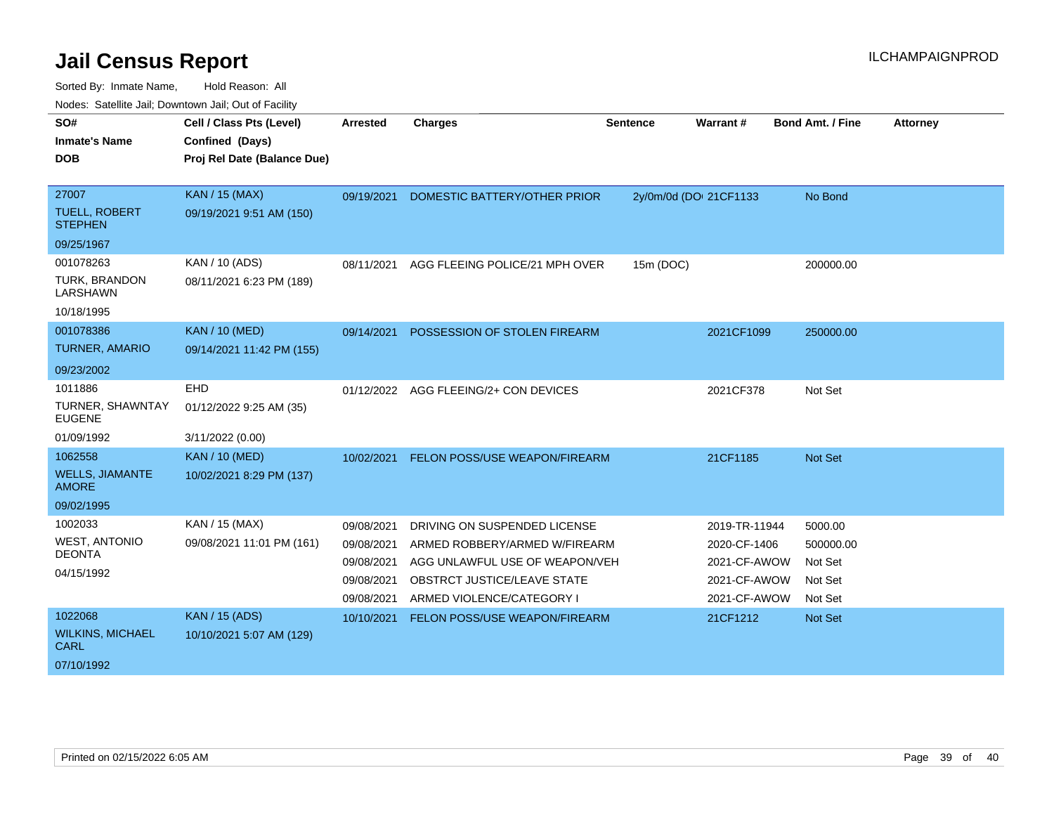| Noucs. Calcillity sail, Downtown sail, Out of Facility |                             |                 |                                |                 |                        |                         |                 |
|--------------------------------------------------------|-----------------------------|-----------------|--------------------------------|-----------------|------------------------|-------------------------|-----------------|
| SO#                                                    | Cell / Class Pts (Level)    | <b>Arrested</b> | <b>Charges</b>                 | <b>Sentence</b> | Warrant#               | <b>Bond Amt. / Fine</b> | <b>Attorney</b> |
| <b>Inmate's Name</b>                                   | Confined (Days)             |                 |                                |                 |                        |                         |                 |
| <b>DOB</b>                                             | Proj Rel Date (Balance Due) |                 |                                |                 |                        |                         |                 |
|                                                        |                             |                 |                                |                 |                        |                         |                 |
| 27007                                                  | <b>KAN / 15 (MAX)</b>       | 09/19/2021      | DOMESTIC BATTERY/OTHER PRIOR   |                 | 2y/0m/0d (DOI 21CF1133 | No Bond                 |                 |
| <b>TUELL, ROBERT</b><br><b>STEPHEN</b>                 | 09/19/2021 9:51 AM (150)    |                 |                                |                 |                        |                         |                 |
| 09/25/1967                                             |                             |                 |                                |                 |                        |                         |                 |
| 001078263                                              | KAN / 10 (ADS)              | 08/11/2021      | AGG FLEEING POLICE/21 MPH OVER | 15m (DOC)       |                        | 200000.00               |                 |
| TURK, BRANDON<br>LARSHAWN                              | 08/11/2021 6:23 PM (189)    |                 |                                |                 |                        |                         |                 |
| 10/18/1995                                             |                             |                 |                                |                 |                        |                         |                 |
| 001078386                                              | <b>KAN / 10 (MED)</b>       | 09/14/2021      | POSSESSION OF STOLEN FIREARM   |                 | 2021CF1099             | 250000.00               |                 |
| <b>TURNER, AMARIO</b>                                  | 09/14/2021 11:42 PM (155)   |                 |                                |                 |                        |                         |                 |
| 09/23/2002                                             |                             |                 |                                |                 |                        |                         |                 |
| 1011886                                                | <b>EHD</b>                  | 01/12/2022      | AGG FLEEING/2+ CON DEVICES     |                 | 2021CF378              | Not Set                 |                 |
| TURNER, SHAWNTAY<br><b>EUGENE</b>                      | 01/12/2022 9:25 AM (35)     |                 |                                |                 |                        |                         |                 |
| 01/09/1992                                             | 3/11/2022 (0.00)            |                 |                                |                 |                        |                         |                 |
| 1062558                                                | <b>KAN / 10 (MED)</b>       | 10/02/2021      | FELON POSS/USE WEAPON/FIREARM  |                 | 21CF1185               | <b>Not Set</b>          |                 |
| <b>WELLS, JIAMANTE</b><br><b>AMORE</b>                 | 10/02/2021 8:29 PM (137)    |                 |                                |                 |                        |                         |                 |
| 09/02/1995                                             |                             |                 |                                |                 |                        |                         |                 |
| 1002033                                                | KAN / 15 (MAX)              | 09/08/2021      | DRIVING ON SUSPENDED LICENSE   |                 | 2019-TR-11944          | 5000.00                 |                 |
| <b>WEST, ANTONIO</b>                                   | 09/08/2021 11:01 PM (161)   | 09/08/2021      | ARMED ROBBERY/ARMED W/FIREARM  |                 | 2020-CF-1406           | 500000.00               |                 |
| <b>DEONTA</b>                                          |                             | 09/08/2021      | AGG UNLAWFUL USE OF WEAPON/VEH |                 | 2021-CF-AWOW           | Not Set                 |                 |
| 04/15/1992                                             |                             | 09/08/2021      | OBSTRCT JUSTICE/LEAVE STATE    |                 | 2021-CF-AWOW           | Not Set                 |                 |
|                                                        |                             | 09/08/2021      | ARMED VIOLENCE/CATEGORY I      |                 | 2021-CF-AWOW           | Not Set                 |                 |
| 1022068                                                | <b>KAN / 15 (ADS)</b>       | 10/10/2021      | FELON POSS/USE WEAPON/FIREARM  |                 | 21CF1212               | Not Set                 |                 |
| <b>WILKINS, MICHAEL</b><br><b>CARL</b>                 | 10/10/2021 5:07 AM (129)    |                 |                                |                 |                        |                         |                 |
| 07/10/1992                                             |                             |                 |                                |                 |                        |                         |                 |